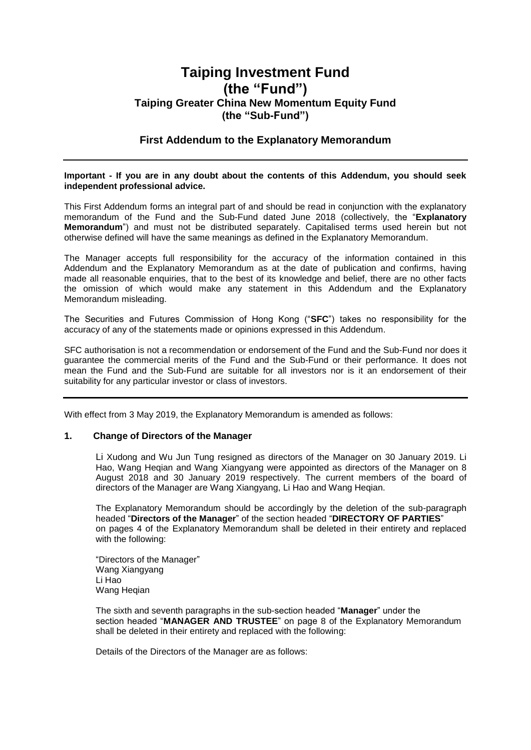# **Taiping Investment Fund (the "Fund") Taiping Greater China New Momentum Equity Fund (the "Sub-Fund")**

#### **First Addendum to the Explanatory Memorandum**

#### **Important - If you are in any doubt about the contents of this Addendum, you should seek independent professional advice.**

This First Addendum forms an integral part of and should be read in conjunction with the explanatory memorandum of the Fund and the Sub-Fund dated June 2018 (collectively, the "**Explanatory Memorandum**") and must not be distributed separately. Capitalised terms used herein but not otherwise defined will have the same meanings as defined in the Explanatory Memorandum.

The Manager accepts full responsibility for the accuracy of the information contained in this Addendum and the Explanatory Memorandum as at the date of publication and confirms, having made all reasonable enquiries, that to the best of its knowledge and belief, there are no other facts the omission of which would make any statement in this Addendum and the Explanatory Memorandum misleading.

The Securities and Futures Commission of Hong Kong ("**SFC**") takes no responsibility for the accuracy of any of the statements made or opinions expressed in this Addendum.

SFC authorisation is not a recommendation or endorsement of the Fund and the Sub-Fund nor does it guarantee the commercial merits of the Fund and the Sub-Fund or their performance. It does not mean the Fund and the Sub-Fund are suitable for all investors nor is it an endorsement of their suitability for any particular investor or class of investors.

With effect from 3 May 2019, the Explanatory Memorandum is amended as follows:

#### **1. Change of Directors of the Manager**

Li Xudong and Wu Jun Tung resigned as directors of the Manager on 30 January 2019. Li Hao, Wang Heqian and Wang Xiangyang were appointed as directors of the Manager on 8 August 2018 and 30 January 2019 respectively. The current members of the board of directors of the Manager are Wang Xiangyang, Li Hao and Wang Heqian.

The Explanatory Memorandum should be accordingly by the deletion of the sub-paragraph headed "**Directors of the Manager**" of the section headed "**DIRECTORY OF PARTIES**" on pages 4 of the Explanatory Memorandum shall be deleted in their entirety and replaced with the following:

"Directors of the Manager" Wang Xiangyang Li Hao Wang Hegian

The sixth and seventh paragraphs in the sub-section headed "**Manager**" under the section headed "**MANAGER AND TRUSTEE**" on page 8 of the Explanatory Memorandum shall be deleted in their entirety and replaced with the following:

Details of the Directors of the Manager are as follows: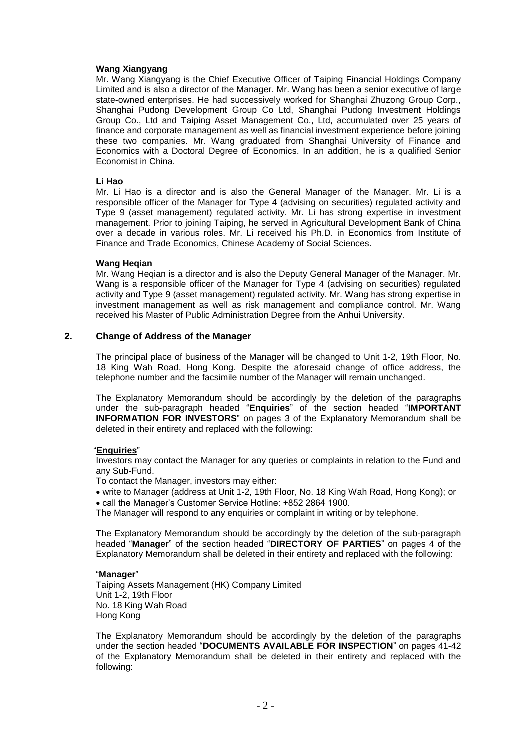#### **Wang Xiangyang**

Mr. Wang Xiangyang is the Chief Executive Officer of Taiping Financial Holdings Company Limited and is also a director of the Manager. Mr. Wang has been a senior executive of large state-owned enterprises. He had successively worked for Shanghai Zhuzong Group Corp., Shanghai Pudong Development Group Co Ltd, Shanghai Pudong Investment Holdings Group Co., Ltd and Taiping Asset Management Co., Ltd, accumulated over 25 years of finance and corporate management as well as financial investment experience before joining these two companies. Mr. Wang graduated from Shanghai University of Finance and Economics with a Doctoral Degree of Economics. In an addition, he is a qualified Senior Economist in China.

#### **Li Hao**

Mr. Li Hao is a director and is also the General Manager of the Manager. Mr. Li is a responsible officer of the Manager for Type 4 (advising on securities) regulated activity and Type 9 (asset management) regulated activity. Mr. Li has strong expertise in investment management. Prior to joining Taiping, he served in Agricultural Development Bank of China over a decade in various roles. Mr. Li received his Ph.D. in Economics from Institute of Finance and Trade Economics, Chinese Academy of Social Sciences.

#### **Wang Heqian**

Mr. Wang Heqian is a director and is also the Deputy General Manager of the Manager. Mr. Wang is a responsible officer of the Manager for Type 4 (advising on securities) regulated activity and Type 9 (asset management) regulated activity. Mr. Wang has strong expertise in investment management as well as risk management and compliance control. Mr. Wang received his Master of Public Administration Degree from the Anhui University.

#### **2. Change of Address of the Manager**

The principal place of business of the Manager will be changed to Unit 1-2, 19th Floor, No. 18 King Wah Road, Hong Kong. Despite the aforesaid change of office address, the telephone number and the facsimile number of the Manager will remain unchanged.

The Explanatory Memorandum should be accordingly by the deletion of the paragraphs under the sub-paragraph headed "**Enquiries**" of the section headed "**IMPORTANT INFORMATION FOR INVESTORS**" on pages 3 of the Explanatory Memorandum shall be deleted in their entirety and replaced with the following:

#### "**Enquiries**"

Investors may contact the Manager for any queries or complaints in relation to the Fund and any Sub-Fund.

To contact the Manager, investors may either:

 write to Manager (address at Unit 1-2, 19th Floor, No. 18 King Wah Road, Hong Kong); or call the Manager's Customer Service Hotline: +852 2864 1900.

The Manager will respond to any enquiries or complaint in writing or by telephone.

The Explanatory Memorandum should be accordingly by the deletion of the sub-paragraph headed "**Manager**" of the section headed "**DIRECTORY OF PARTIES**" on pages 4 of the Explanatory Memorandum shall be deleted in their entirety and replaced with the following:

#### "**Manager**"

Taiping Assets Management (HK) Company Limited Unit 1-2, 19th Floor No. 18 King Wah Road Hong Kong

The Explanatory Memorandum should be accordingly by the deletion of the paragraphs under the section headed "**DOCUMENTS AVAILABLE FOR INSPECTION**" on pages 41-42 of the Explanatory Memorandum shall be deleted in their entirety and replaced with the following: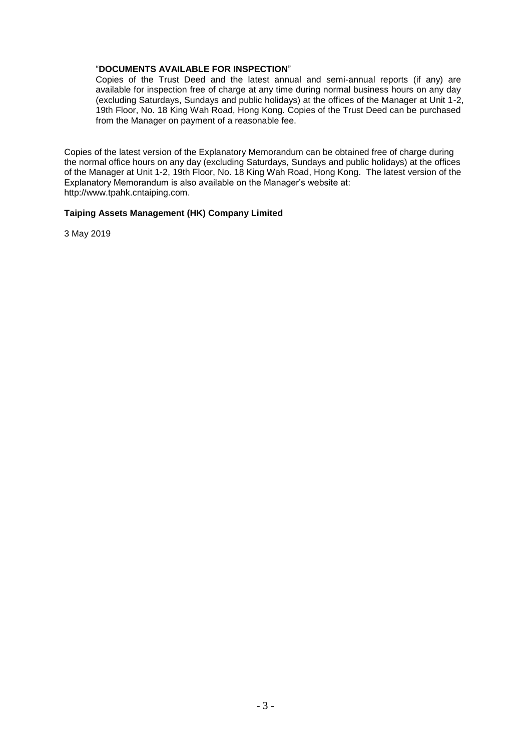#### "**DOCUMENTS AVAILABLE FOR INSPECTION**"

Copies of the Trust Deed and the latest annual and semi-annual reports (if any) are available for inspection free of charge at any time during normal business hours on any day (excluding Saturdays, Sundays and public holidays) at the offices of the Manager at Unit 1-2, 19th Floor, No. 18 King Wah Road, Hong Kong. Copies of the Trust Deed can be purchased from the Manager on payment of a reasonable fee.

Copies of the latest version of the Explanatory Memorandum can be obtained free of charge during the normal office hours on any day (excluding Saturdays, Sundays and public holidays) at the offices of the Manager at Unit 1-2, 19th Floor, No. 18 King Wah Road, Hong Kong. The latest version of the Explanatory Memorandum is also available on the Manager's website at: http://www.tpahk.cntaiping.com.

#### **Taiping Assets Management (HK) Company Limited**

3 May 2019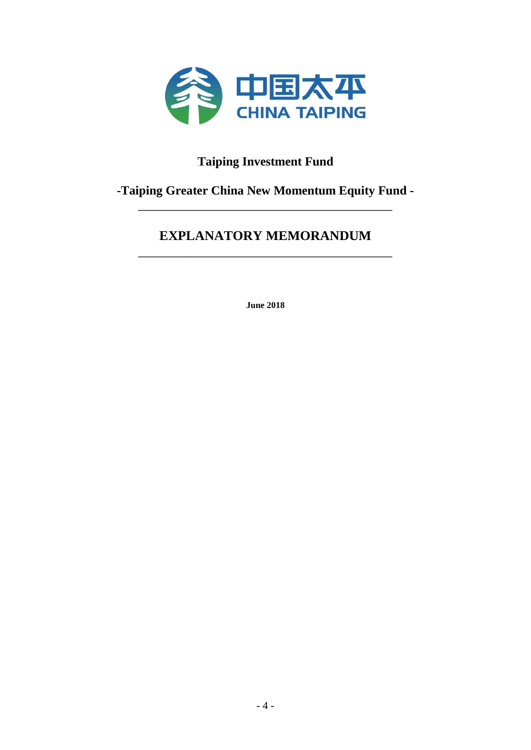

# **Taiping Investment Fund**

# **-Taiping Greater China New Momentum Equity Fund -** \_\_\_\_\_\_\_\_\_\_\_\_\_\_\_\_\_\_\_\_\_\_\_\_\_\_\_\_\_\_\_\_\_\_\_\_\_\_

# **EXPLANATORY MEMORANDUM** \_\_\_\_\_\_\_\_\_\_\_\_\_\_\_\_\_\_\_\_\_\_\_\_\_\_\_\_\_\_\_\_\_\_\_\_\_\_

**June 2018**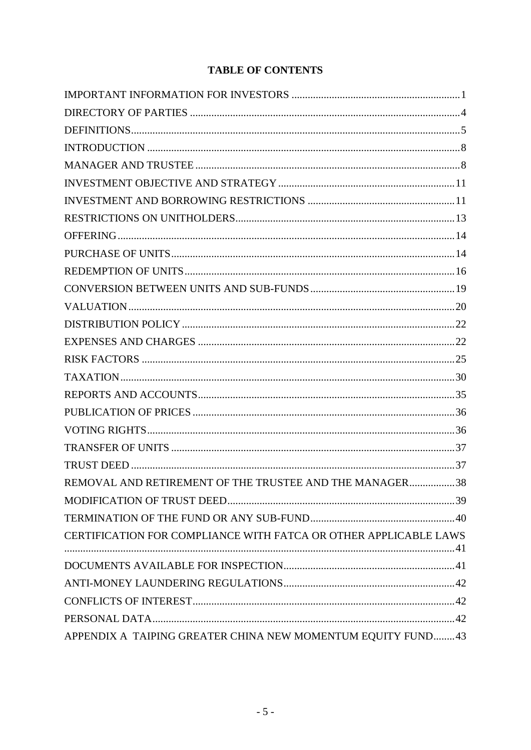# **TABLE OF CONTENTS**

| REMOVAL AND RETIREMENT OF THE TRUSTEE AND THE MANAGER38          |  |
|------------------------------------------------------------------|--|
|                                                                  |  |
|                                                                  |  |
| CERTIFICATION FOR COMPLIANCE WITH FATCA OR OTHER APPLICABLE LAWS |  |
|                                                                  |  |
|                                                                  |  |
|                                                                  |  |
|                                                                  |  |
| APPENDIX A TAIPING GREATER CHINA NEW MOMENTUM EQUITY FUND43      |  |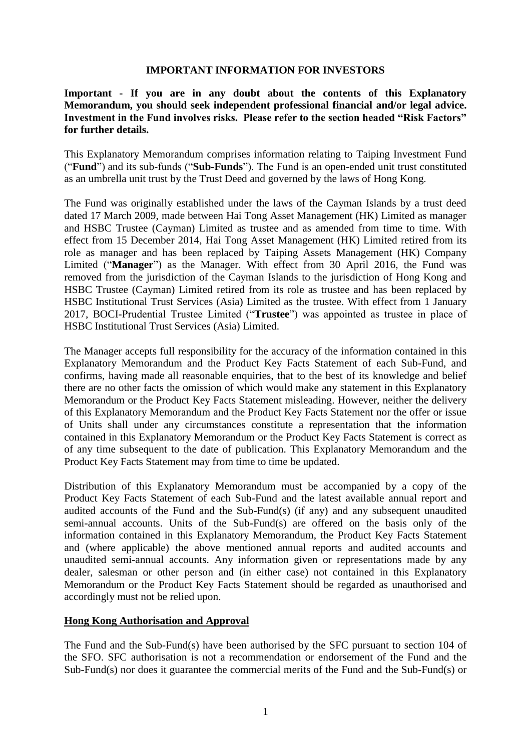#### **IMPORTANT INFORMATION FOR INVESTORS**

<span id="page-5-0"></span>**Important - If you are in any doubt about the contents of this Explanatory Memorandum, you should seek independent professional financial and/or legal advice. Investment in the Fund involves risks. Please refer to the section headed "Risk Factors" for further details.**

This Explanatory Memorandum comprises information relating to Taiping Investment Fund ("**Fund**") and its sub-funds ("**Sub-Funds**"). The Fund is an open-ended unit trust constituted as an umbrella unit trust by the Trust Deed and governed by the laws of Hong Kong.

The Fund was originally established under the laws of the Cayman Islands by a trust deed dated 17 March 2009, made between Hai Tong Asset Management (HK) Limited as manager and HSBC Trustee (Cayman) Limited as trustee and as amended from time to time. With effect from 15 December 2014, Hai Tong Asset Management (HK) Limited retired from its role as manager and has been replaced by Taiping Assets Management (HK) Company Limited ("**Manager**") as the Manager. With effect from 30 April 2016, the Fund was removed from the jurisdiction of the Cayman Islands to the jurisdiction of Hong Kong and HSBC Trustee (Cayman) Limited retired from its role as trustee and has been replaced by HSBC Institutional Trust Services (Asia) Limited as the trustee. With effect from 1 January 2017, BOCI-Prudential Trustee Limited ("**Trustee**") was appointed as trustee in place of HSBC Institutional Trust Services (Asia) Limited.

The Manager accepts full responsibility for the accuracy of the information contained in this Explanatory Memorandum and the Product Key Facts Statement of each Sub-Fund, and confirms, having made all reasonable enquiries, that to the best of its knowledge and belief there are no other facts the omission of which would make any statement in this Explanatory Memorandum or the Product Key Facts Statement misleading. However, neither the delivery of this Explanatory Memorandum and the Product Key Facts Statement nor the offer or issue of Units shall under any circumstances constitute a representation that the information contained in this Explanatory Memorandum or the Product Key Facts Statement is correct as of any time subsequent to the date of publication. This Explanatory Memorandum and the Product Key Facts Statement may from time to time be updated.

Distribution of this Explanatory Memorandum must be accompanied by a copy of the Product Key Facts Statement of each Sub-Fund and the latest available annual report and audited accounts of the Fund and the Sub-Fund(s) (if any) and any subsequent unaudited semi-annual accounts. Units of the Sub-Fund(s) are offered on the basis only of the information contained in this Explanatory Memorandum, the Product Key Facts Statement and (where applicable) the above mentioned annual reports and audited accounts and unaudited semi-annual accounts. Any information given or representations made by any dealer, salesman or other person and (in either case) not contained in this Explanatory Memorandum or the Product Key Facts Statement should be regarded as unauthorised and accordingly must not be relied upon.

#### **Hong Kong Authorisation and Approval**

The Fund and the Sub-Fund(s) have been authorised by the SFC pursuant to section 104 of the SFO. SFC authorisation is not a recommendation or endorsement of the Fund and the Sub-Fund(s) nor does it guarantee the commercial merits of the Fund and the Sub-Fund(s) or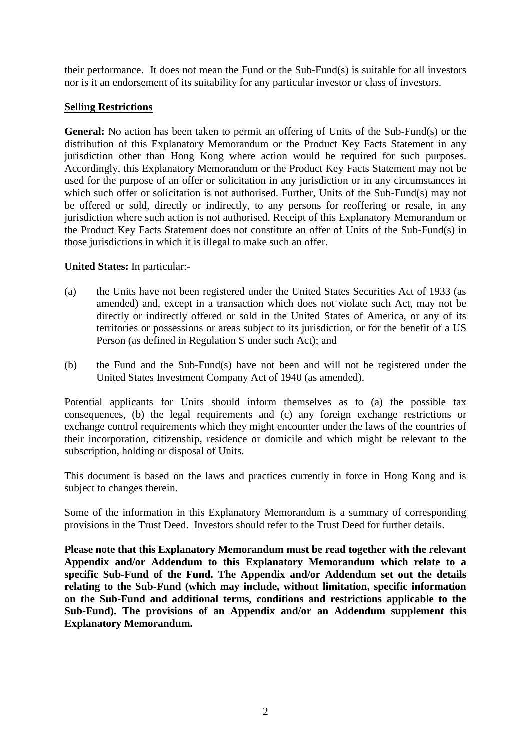their performance. It does not mean the Fund or the Sub-Fund(s) is suitable for all investors nor is it an endorsement of its suitability for any particular investor or class of investors.

## **Selling Restrictions**

**General:** No action has been taken to permit an offering of Units of the Sub-Fund(s) or the distribution of this Explanatory Memorandum or the Product Key Facts Statement in any jurisdiction other than Hong Kong where action would be required for such purposes. Accordingly, this Explanatory Memorandum or the Product Key Facts Statement may not be used for the purpose of an offer or solicitation in any jurisdiction or in any circumstances in which such offer or solicitation is not authorised. Further, Units of the Sub-Fund(s) may not be offered or sold, directly or indirectly, to any persons for reoffering or resale, in any jurisdiction where such action is not authorised. Receipt of this Explanatory Memorandum or the Product Key Facts Statement does not constitute an offer of Units of the Sub-Fund(s) in those jurisdictions in which it is illegal to make such an offer.

### **United States:** In particular:-

- (a) the Units have not been registered under the United States Securities Act of 1933 (as amended) and, except in a transaction which does not violate such Act, may not be directly or indirectly offered or sold in the United States of America, or any of its territories or possessions or areas subject to its jurisdiction, or for the benefit of a US Person (as defined in Regulation S under such Act); and
- (b) the Fund and the Sub-Fund(s) have not been and will not be registered under the United States Investment Company Act of 1940 (as amended).

Potential applicants for Units should inform themselves as to (a) the possible tax consequences, (b) the legal requirements and (c) any foreign exchange restrictions or exchange control requirements which they might encounter under the laws of the countries of their incorporation, citizenship, residence or domicile and which might be relevant to the subscription, holding or disposal of Units.

This document is based on the laws and practices currently in force in Hong Kong and is subject to changes therein.

Some of the information in this Explanatory Memorandum is a summary of corresponding provisions in the Trust Deed. Investors should refer to the Trust Deed for further details.

**Please note that this Explanatory Memorandum must be read together with the relevant Appendix and/or Addendum to this Explanatory Memorandum which relate to a specific Sub-Fund of the Fund. The Appendix and/or Addendum set out the details relating to the Sub-Fund (which may include, without limitation, specific information on the Sub-Fund and additional terms, conditions and restrictions applicable to the Sub-Fund). The provisions of an Appendix and/or an Addendum supplement this Explanatory Memorandum.**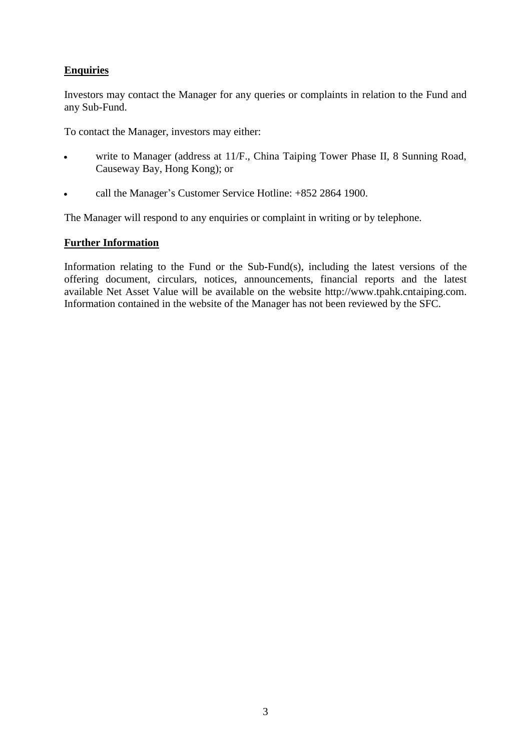# **Enquiries**

Investors may contact the Manager for any queries or complaints in relation to the Fund and any Sub-Fund.

To contact the Manager, investors may either:

- write to Manager (address at 11/F., China Taiping Tower Phase II, 8 Sunning Road, Causeway Bay, Hong Kong); or
- call the Manager's Customer Service Hotline: +852 2864 1900.

The Manager will respond to any enquiries or complaint in writing or by telephone.

# **Further Information**

Information relating to the Fund or the Sub-Fund(s), including the latest versions of the offering document, circulars, notices, announcements, financial reports and the latest available Net Asset Value will be available on the website http://www.tpahk.cntaiping.com. Information contained in the website of the Manager has not been reviewed by the SFC.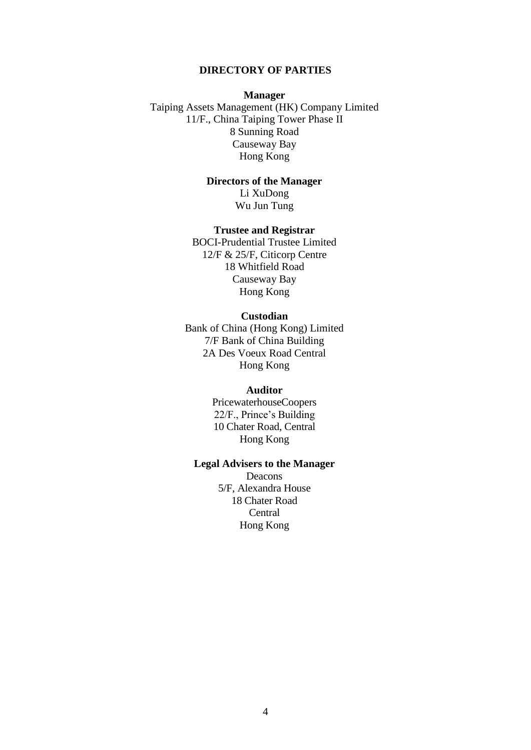#### **DIRECTORY OF PARTIES**

#### **Manager**

<span id="page-8-0"></span>Taiping Assets Management (HK) Company Limited 11/F., China Taiping Tower Phase II 8 Sunning Road Causeway Bay Hong Kong

> **Directors of the Manager** Li XuDong Wu Jun Tung

#### **Trustee and Registrar**

BOCI-Prudential Trustee Limited 12/F & 25/F, Citicorp Centre 18 Whitfield Road Causeway Bay Hong Kong

#### **Custodian**

Bank of China (Hong Kong) Limited 7/F Bank of China Building 2A Des Voeux Road Central Hong Kong

#### **Auditor**

PricewaterhouseCoopers 22/F., Prince's Building 10 Chater Road, Central Hong Kong

## **Legal Advisers to the Manager**

Deacons 5/F, Alexandra House 18 Chater Road **Central** Hong Kong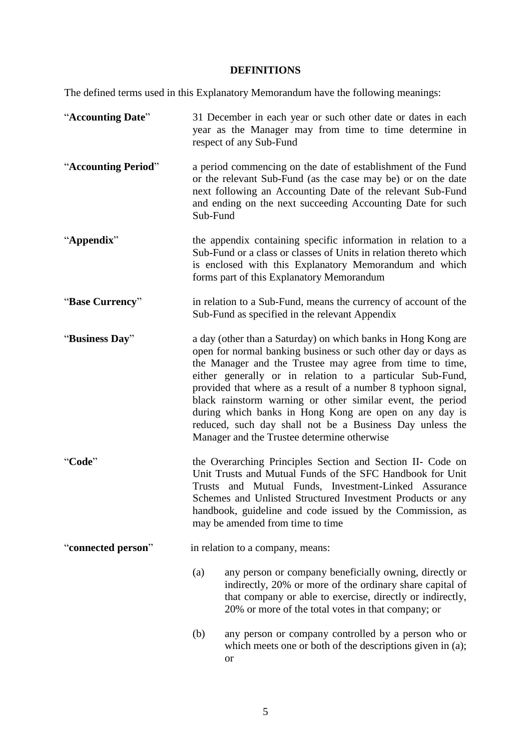# **DEFINITIONS**

<span id="page-9-0"></span>The defined terms used in this Explanatory Memorandum have the following meanings:

| "Accounting Date"   | 31 December in each year or such other date or dates in each<br>year as the Manager may from time to time determine in<br>respect of any Sub-Fund                                                                                                                                                                                                                                                                                                                                                                                                           |  |
|---------------------|-------------------------------------------------------------------------------------------------------------------------------------------------------------------------------------------------------------------------------------------------------------------------------------------------------------------------------------------------------------------------------------------------------------------------------------------------------------------------------------------------------------------------------------------------------------|--|
| "Accounting Period" | a period commencing on the date of establishment of the Fund<br>or the relevant Sub-Fund (as the case may be) or on the date<br>next following an Accounting Date of the relevant Sub-Fund<br>and ending on the next succeeding Accounting Date for such<br>Sub-Fund                                                                                                                                                                                                                                                                                        |  |
| "Appendix"          | the appendix containing specific information in relation to a<br>Sub-Fund or a class or classes of Units in relation thereto which<br>is enclosed with this Explanatory Memorandum and which<br>forms part of this Explanatory Memorandum                                                                                                                                                                                                                                                                                                                   |  |
| "Base Currency"     | in relation to a Sub-Fund, means the currency of account of the<br>Sub-Fund as specified in the relevant Appendix                                                                                                                                                                                                                                                                                                                                                                                                                                           |  |
| "Business Day"      | a day (other than a Saturday) on which banks in Hong Kong are<br>open for normal banking business or such other day or days as<br>the Manager and the Trustee may agree from time to time,<br>either generally or in relation to a particular Sub-Fund,<br>provided that where as a result of a number 8 typhoon signal,<br>black rainstorm warning or other similar event, the period<br>during which banks in Hong Kong are open on any day is<br>reduced, such day shall not be a Business Day unless the<br>Manager and the Trustee determine otherwise |  |
| "Code"              | the Overarching Principles Section and Section II- Code on<br>Unit Trusts and Mutual Funds of the SFC Handbook for Unit<br>and Mutual Funds, Investment-Linked Assurance<br>Trusts<br>Schemes and Unlisted Structured Investment Products or any<br>handbook, guideline and code issued by the Commission, as<br>may be amended from time to time                                                                                                                                                                                                           |  |
| "connected person"  | in relation to a company, means:                                                                                                                                                                                                                                                                                                                                                                                                                                                                                                                            |  |
|                     | any person or company beneficially owning, directly or<br>(a)<br>indirectly, 20% or more of the ordinary share capital of<br>that company or able to exercise, directly or indirectly,<br>20% or more of the total votes in that company; or                                                                                                                                                                                                                                                                                                                |  |
|                     | (b)<br>any person or company controlled by a person who or<br>which meets one or both of the descriptions given in (a);<br><b>or</b>                                                                                                                                                                                                                                                                                                                                                                                                                        |  |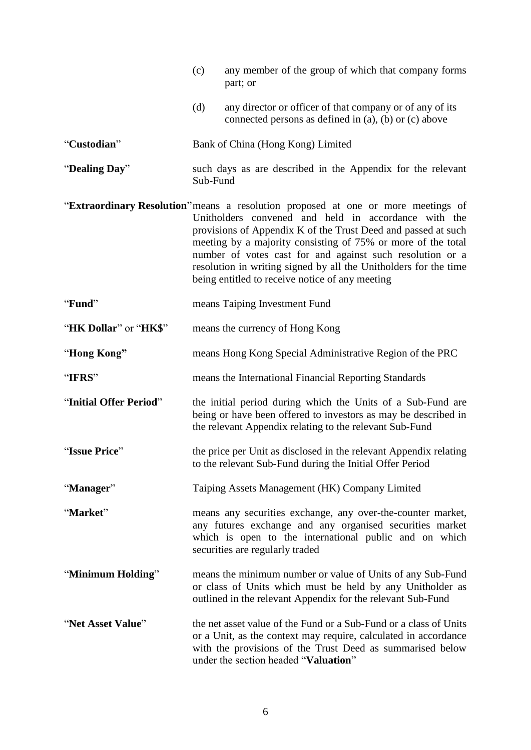|                        | (c)                                                                     | any member of the group of which that company forms<br>part; or                                                                                                                                                                                                                                                                                                                                                                                                |
|------------------------|-------------------------------------------------------------------------|----------------------------------------------------------------------------------------------------------------------------------------------------------------------------------------------------------------------------------------------------------------------------------------------------------------------------------------------------------------------------------------------------------------------------------------------------------------|
|                        | (d)                                                                     | any director or officer of that company or of any of its<br>connected persons as defined in (a), (b) or (c) above                                                                                                                                                                                                                                                                                                                                              |
| "Custodian"            |                                                                         | Bank of China (Hong Kong) Limited                                                                                                                                                                                                                                                                                                                                                                                                                              |
| "Dealing Day"          | such days as are described in the Appendix for the relevant<br>Sub-Fund |                                                                                                                                                                                                                                                                                                                                                                                                                                                                |
|                        |                                                                         | "Extraordinary Resolution" means a resolution proposed at one or more meetings of<br>Unitholders convened and held in accordance with the<br>provisions of Appendix K of the Trust Deed and passed at such<br>meeting by a majority consisting of 75% or more of the total<br>number of votes cast for and against such resolution or a<br>resolution in writing signed by all the Unitholders for the time<br>being entitled to receive notice of any meeting |
| "Fund"                 | means Taiping Investment Fund                                           |                                                                                                                                                                                                                                                                                                                                                                                                                                                                |
| "HK Dollar" or "HK\$"  | means the currency of Hong Kong                                         |                                                                                                                                                                                                                                                                                                                                                                                                                                                                |
| "Hong Kong"            | means Hong Kong Special Administrative Region of the PRC                |                                                                                                                                                                                                                                                                                                                                                                                                                                                                |
| "IFRS"                 | means the International Financial Reporting Standards                   |                                                                                                                                                                                                                                                                                                                                                                                                                                                                |
| "Initial Offer Period" |                                                                         | the initial period during which the Units of a Sub-Fund are<br>being or have been offered to investors as may be described in<br>the relevant Appendix relating to the relevant Sub-Fund                                                                                                                                                                                                                                                                       |
| "Issue Price"          |                                                                         | the price per Unit as disclosed in the relevant Appendix relating<br>to the relevant Sub-Fund during the Initial Offer Period                                                                                                                                                                                                                                                                                                                                  |
| "Manager"              |                                                                         | Taiping Assets Management (HK) Company Limited                                                                                                                                                                                                                                                                                                                                                                                                                 |
| "Market"               |                                                                         | means any securities exchange, any over-the-counter market,<br>any futures exchange and any organised securities market<br>which is open to the international public and on which<br>securities are regularly traded                                                                                                                                                                                                                                           |
| "Minimum Holding"      |                                                                         | means the minimum number or value of Units of any Sub-Fund<br>or class of Units which must be held by any Unitholder as<br>outlined in the relevant Appendix for the relevant Sub-Fund                                                                                                                                                                                                                                                                         |
| "Net Asset Value"      |                                                                         | the net asset value of the Fund or a Sub-Fund or a class of Units<br>or a Unit, as the context may require, calculated in accordance<br>with the provisions of the Trust Deed as summarised below<br>under the section headed "Valuation"                                                                                                                                                                                                                      |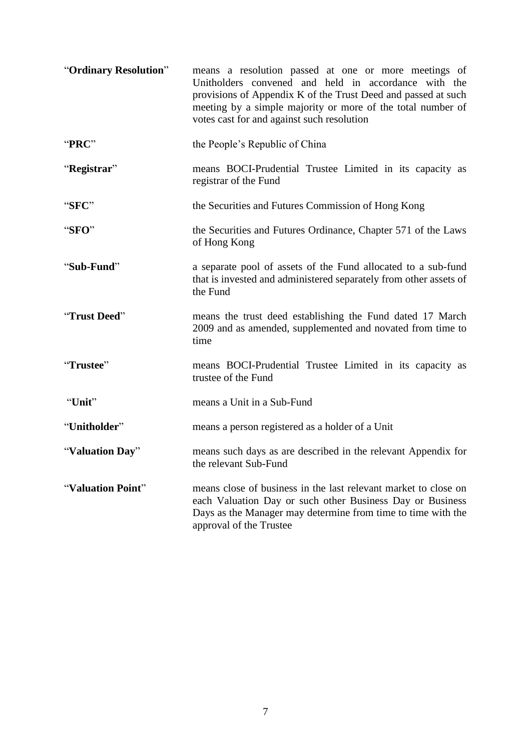| "Ordinary Resolution" | means a resolution passed at one or more meetings of<br>Unitholders convened and held in accordance with the<br>provisions of Appendix K of the Trust Deed and passed at such<br>meeting by a simple majority or more of the total number of<br>votes cast for and against such resolution |  |
|-----------------------|--------------------------------------------------------------------------------------------------------------------------------------------------------------------------------------------------------------------------------------------------------------------------------------------|--|
| "PRC"                 | the People's Republic of China                                                                                                                                                                                                                                                             |  |
| "Registrar"           | means BOCI-Prudential Trustee Limited in its capacity as<br>registrar of the Fund                                                                                                                                                                                                          |  |
| "SFC"                 | the Securities and Futures Commission of Hong Kong                                                                                                                                                                                                                                         |  |
| "SFO"                 | the Securities and Futures Ordinance, Chapter 571 of the Laws<br>of Hong Kong                                                                                                                                                                                                              |  |
| "Sub-Fund"            | a separate pool of assets of the Fund allocated to a sub-fund<br>that is invested and administered separately from other assets of<br>the Fund                                                                                                                                             |  |
| "Trust Deed"          | means the trust deed establishing the Fund dated 17 March<br>2009 and as amended, supplemented and novated from time to<br>time                                                                                                                                                            |  |
| "Trustee"             | means BOCI-Prudential Trustee Limited in its capacity as<br>trustee of the Fund                                                                                                                                                                                                            |  |
| "Unit"                | means a Unit in a Sub-Fund                                                                                                                                                                                                                                                                 |  |
| "Unitholder"          | means a person registered as a holder of a Unit                                                                                                                                                                                                                                            |  |
| "Valuation Day"       | means such days as are described in the relevant Appendix for<br>the relevant Sub-Fund                                                                                                                                                                                                     |  |
| "Valuation Point"     | means close of business in the last relevant market to close on<br>each Valuation Day or such other Business Day or Business<br>Days as the Manager may determine from time to time with the<br>approval of the Trustee                                                                    |  |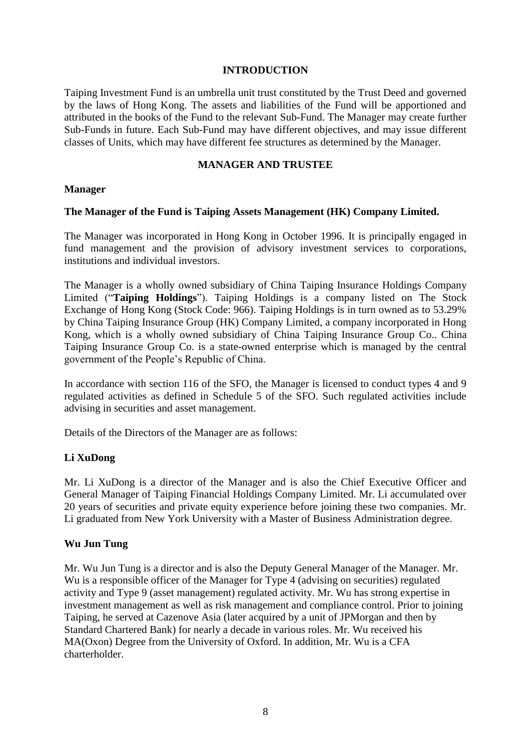#### **INTRODUCTION**

<span id="page-12-0"></span>Taiping Investment Fund is an umbrella unit trust constituted by the Trust Deed and governed by the laws of Hong Kong. The assets and liabilities of the Fund will be apportioned and attributed in the books of the Fund to the relevant Sub-Fund. The Manager may create further Sub-Funds in future. Each Sub-Fund may have different objectives, and may issue different classes of Units, which may have different fee structures as determined by the Manager.

#### **MANAGER AND TRUSTEE**

#### <span id="page-12-1"></span>**Manager**

### **The Manager of the Fund is Taiping Assets Management (HK) Company Limited.**

The Manager was incorporated in Hong Kong in October 1996. It is principally engaged in fund management and the provision of advisory investment services to corporations, institutions and individual investors.

The Manager is a wholly owned subsidiary of China Taiping Insurance Holdings Company Limited ("**Taiping Holdings**"). Taiping Holdings is a company listed on The Stock Exchange of Hong Kong (Stock Code: 966). Taiping Holdings is in turn owned as to 53.29% by China Taiping Insurance Group (HK) Company Limited, a company incorporated in Hong Kong, which is a wholly owned subsidiary of China Taiping Insurance Group Co.. China Taiping Insurance Group Co. is a state-owned enterprise which is managed by the central government of the People's Republic of China.

In accordance with section 116 of the SFO, the Manager is licensed to conduct types 4 and 9 regulated activities as defined in Schedule 5 of the SFO. Such regulated activities include advising in securities and asset management.

Details of the Directors of the Manager are as follows:

#### **Li XuDong**

Mr. Li XuDong is a director of the Manager and is also the Chief Executive Officer and General Manager of Taiping Financial Holdings Company Limited. Mr. Li accumulated over 20 years of securities and private equity experience before joining these two companies. Mr. Li graduated from New York University with a Master of Business Administration degree.

#### **Wu Jun Tung**

Mr. Wu Jun Tung is a director and is also the Deputy General Manager of the Manager. Mr. Wu is a responsible officer of the Manager for Type 4 (advising on securities) regulated activity and Type 9 (asset management) regulated activity. Mr. Wu has strong expertise in investment management as well as risk management and compliance control. Prior to joining Taiping, he served at Cazenove Asia (later acquired by a unit of JPMorgan and then by Standard Chartered Bank) for nearly a decade in various roles. Mr. Wu received his MA(Oxon) Degree from the University of Oxford. In addition, Mr. Wu is a CFA charterholder.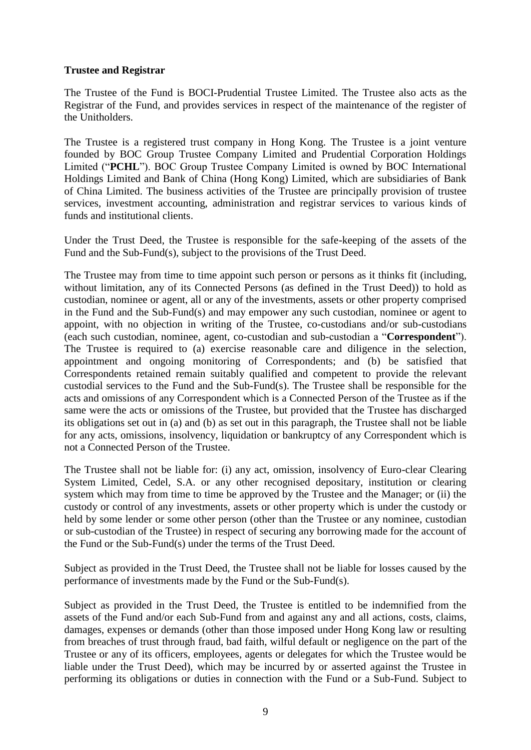### **Trustee and Registrar**

The Trustee of the Fund is BOCI-Prudential Trustee Limited. The Trustee also acts as the Registrar of the Fund, and provides services in respect of the maintenance of the register of the Unitholders.

The Trustee is a registered trust company in Hong Kong. The Trustee is a joint venture founded by BOC Group Trustee Company Limited and Prudential Corporation Holdings Limited ("**PCHL**"). BOC Group Trustee Company Limited is owned by BOC International Holdings Limited and Bank of China (Hong Kong) Limited, which are subsidiaries of Bank of China Limited. The business activities of the Trustee are principally provision of trustee services, investment accounting, administration and registrar services to various kinds of funds and institutional clients.

Under the Trust Deed, the Trustee is responsible for the safe-keeping of the assets of the Fund and the Sub-Fund(s), subject to the provisions of the Trust Deed.

The Trustee may from time to time appoint such person or persons as it thinks fit (including, without limitation, any of its Connected Persons (as defined in the Trust Deed)) to hold as custodian, nominee or agent, all or any of the investments, assets or other property comprised in the Fund and the Sub-Fund(s) and may empower any such custodian, nominee or agent to appoint, with no objection in writing of the Trustee, co-custodians and/or sub-custodians (each such custodian, nominee, agent, co-custodian and sub-custodian a "**Correspondent**"). The Trustee is required to (a) exercise reasonable care and diligence in the selection, appointment and ongoing monitoring of Correspondents; and (b) be satisfied that Correspondents retained remain suitably qualified and competent to provide the relevant custodial services to the Fund and the Sub-Fund(s). The Trustee shall be responsible for the acts and omissions of any Correspondent which is a Connected Person of the Trustee as if the same were the acts or omissions of the Trustee, but provided that the Trustee has discharged its obligations set out in (a) and (b) as set out in this paragraph, the Trustee shall not be liable for any acts, omissions, insolvency, liquidation or bankruptcy of any Correspondent which is not a Connected Person of the Trustee.

The Trustee shall not be liable for: (i) any act, omission, insolvency of Euro-clear Clearing System Limited, Cedel, S.A. or any other recognised depositary, institution or clearing system which may from time to time be approved by the Trustee and the Manager; or (ii) the custody or control of any investments, assets or other property which is under the custody or held by some lender or some other person (other than the Trustee or any nominee, custodian or sub-custodian of the Trustee) in respect of securing any borrowing made for the account of the Fund or the Sub-Fund(s) under the terms of the Trust Deed.

Subject as provided in the Trust Deed, the Trustee shall not be liable for losses caused by the performance of investments made by the Fund or the Sub-Fund(s).

Subject as provided in the Trust Deed, the Trustee is entitled to be indemnified from the assets of the Fund and/or each Sub-Fund from and against any and all actions, costs, claims, damages, expenses or demands (other than those imposed under Hong Kong law or resulting from breaches of trust through fraud, bad faith, wilful default or negligence on the part of the Trustee or any of its officers, employees, agents or delegates for which the Trustee would be liable under the Trust Deed), which may be incurred by or asserted against the Trustee in performing its obligations or duties in connection with the Fund or a Sub-Fund. Subject to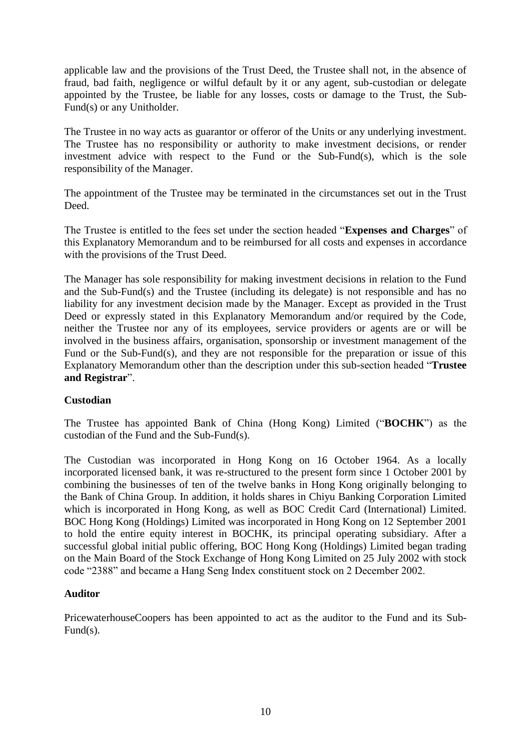applicable law and the provisions of the Trust Deed, the Trustee shall not, in the absence of fraud, bad faith, negligence or wilful default by it or any agent, sub-custodian or delegate appointed by the Trustee, be liable for any losses, costs or damage to the Trust, the Sub-Fund(s) or any Unitholder.

The Trustee in no way acts as guarantor or offeror of the Units or any underlying investment. The Trustee has no responsibility or authority to make investment decisions, or render investment advice with respect to the Fund or the Sub-Fund(s), which is the sole responsibility of the Manager.

The appointment of the Trustee may be terminated in the circumstances set out in the Trust Deed.

The Trustee is entitled to the fees set under the section headed "**Expenses and Charges**" of this Explanatory Memorandum and to be reimbursed for all costs and expenses in accordance with the provisions of the Trust Deed.

The Manager has sole responsibility for making investment decisions in relation to the Fund and the Sub-Fund(s) and the Trustee (including its delegate) is not responsible and has no liability for any investment decision made by the Manager. Except as provided in the Trust Deed or expressly stated in this Explanatory Memorandum and/or required by the Code, neither the Trustee nor any of its employees, service providers or agents are or will be involved in the business affairs, organisation, sponsorship or investment management of the Fund or the Sub-Fund(s), and they are not responsible for the preparation or issue of this Explanatory Memorandum other than the description under this sub-section headed "**Trustee and Registrar**".

## **Custodian**

The Trustee has appointed Bank of China (Hong Kong) Limited ("**BOCHK**") as the custodian of the Fund and the Sub-Fund(s).

The Custodian was incorporated in Hong Kong on 16 October 1964. As a locally incorporated licensed bank, it was re-structured to the present form since 1 October 2001 by combining the businesses of ten of the twelve banks in Hong Kong originally belonging to the Bank of China Group. In addition, it holds shares in Chiyu Banking Corporation Limited which is incorporated in Hong Kong, as well as BOC Credit Card (International) Limited. BOC Hong Kong (Holdings) Limited was incorporated in Hong Kong on 12 September 2001 to hold the entire equity interest in BOCHK, its principal operating subsidiary. After a successful global initial public offering, BOC Hong Kong (Holdings) Limited began trading on the Main Board of the Stock Exchange of Hong Kong Limited on 25 July 2002 with stock code "2388" and became a Hang Seng Index constituent stock on 2 December 2002.

#### **Auditor**

PricewaterhouseCoopers has been appointed to act as the auditor to the Fund and its Sub-Fund(s).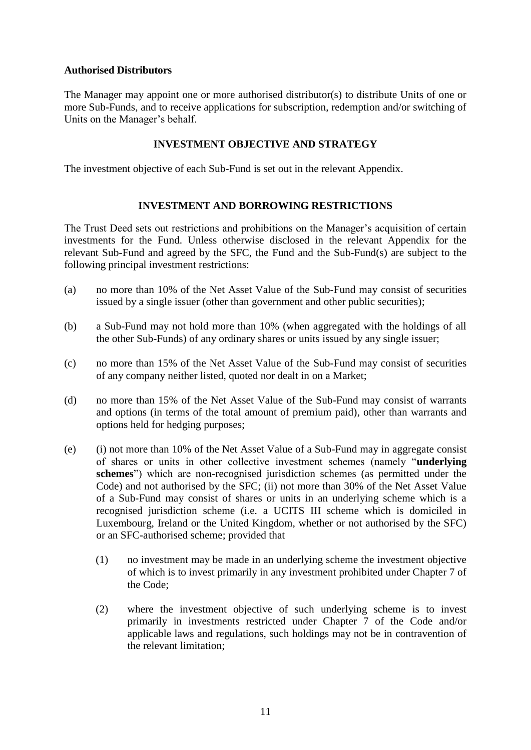#### **Authorised Distributors**

The Manager may appoint one or more authorised distributor(s) to distribute Units of one or more Sub-Funds, and to receive applications for subscription, redemption and/or switching of Units on the Manager's behalf.

### **INVESTMENT OBJECTIVE AND STRATEGY**

<span id="page-15-0"></span>The investment objective of each Sub-Fund is set out in the relevant Appendix.

### **INVESTMENT AND BORROWING RESTRICTIONS**

<span id="page-15-1"></span>The Trust Deed sets out restrictions and prohibitions on the Manager's acquisition of certain investments for the Fund. Unless otherwise disclosed in the relevant Appendix for the relevant Sub-Fund and agreed by the SFC, the Fund and the Sub-Fund(s) are subject to the following principal investment restrictions:

- (a) no more than 10% of the Net Asset Value of the Sub-Fund may consist of securities issued by a single issuer (other than government and other public securities);
- (b) a Sub-Fund may not hold more than 10% (when aggregated with the holdings of all the other Sub-Funds) of any ordinary shares or units issued by any single issuer;
- (c) no more than 15% of the Net Asset Value of the Sub-Fund may consist of securities of any company neither listed, quoted nor dealt in on a Market;
- (d) no more than 15% of the Net Asset Value of the Sub-Fund may consist of warrants and options (in terms of the total amount of premium paid), other than warrants and options held for hedging purposes;
- (e) (i) not more than 10% of the Net Asset Value of a Sub-Fund may in aggregate consist of shares or units in other collective investment schemes (namely "**underlying schemes**") which are non-recognised jurisdiction schemes (as permitted under the Code) and not authorised by the SFC; (ii) not more than 30% of the Net Asset Value of a Sub-Fund may consist of shares or units in an underlying scheme which is a recognised jurisdiction scheme (i.e. a UCITS III scheme which is domiciled in Luxembourg, Ireland or the United Kingdom, whether or not authorised by the SFC) or an SFC-authorised scheme; provided that
	- (1) no investment may be made in an underlying scheme the investment objective of which is to invest primarily in any investment prohibited under Chapter 7 of the Code;
	- (2) where the investment objective of such underlying scheme is to invest primarily in investments restricted under Chapter 7 of the Code and/or applicable laws and regulations, such holdings may not be in contravention of the relevant limitation;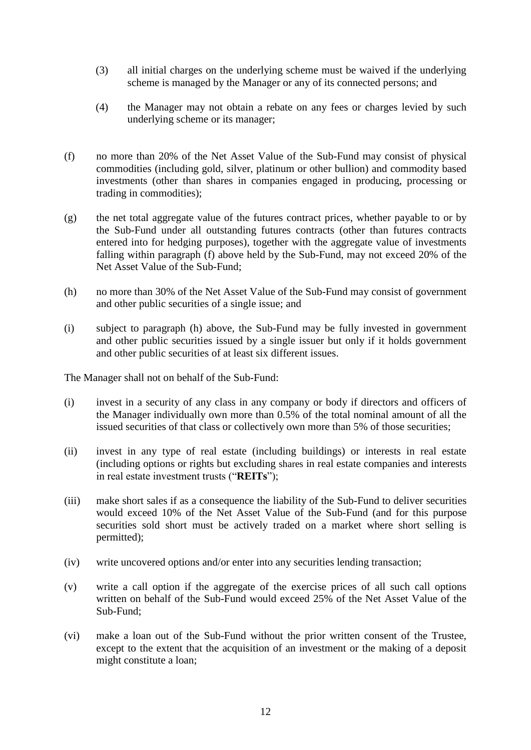- (3) all initial charges on the underlying scheme must be waived if the underlying scheme is managed by the Manager or any of its connected persons; and
- (4) the Manager may not obtain a rebate on any fees or charges levied by such underlying scheme or its manager;
- (f) no more than 20% of the Net Asset Value of the Sub-Fund may consist of physical commodities (including gold, silver, platinum or other bullion) and commodity based investments (other than shares in companies engaged in producing, processing or trading in commodities);
- (g) the net total aggregate value of the futures contract prices, whether payable to or by the Sub-Fund under all outstanding futures contracts (other than futures contracts entered into for hedging purposes), together with the aggregate value of investments falling within paragraph (f) above held by the Sub-Fund, may not exceed 20% of the Net Asset Value of the Sub-Fund;
- (h) no more than 30% of the Net Asset Value of the Sub-Fund may consist of government and other public securities of a single issue; and
- (i) subject to paragraph (h) above, the Sub-Fund may be fully invested in government and other public securities issued by a single issuer but only if it holds government and other public securities of at least six different issues.

The Manager shall not on behalf of the Sub-Fund:

- (i) invest in a security of any class in any company or body if directors and officers of the Manager individually own more than 0.5% of the total nominal amount of all the issued securities of that class or collectively own more than 5% of those securities;
- (ii) invest in any type of real estate (including buildings) or interests in real estate (including options or rights but excluding shares in real estate companies and interests in real estate investment trusts ("**REITs**");
- (iii) make short sales if as a consequence the liability of the Sub-Fund to deliver securities would exceed 10% of the Net Asset Value of the Sub-Fund (and for this purpose securities sold short must be actively traded on a market where short selling is permitted);
- (iv) write uncovered options and/or enter into any securities lending transaction;
- (v) write a call option if the aggregate of the exercise prices of all such call options written on behalf of the Sub-Fund would exceed 25% of the Net Asset Value of the Sub-Fund;
- (vi) make a loan out of the Sub-Fund without the prior written consent of the Trustee, except to the extent that the acquisition of an investment or the making of a deposit might constitute a loan;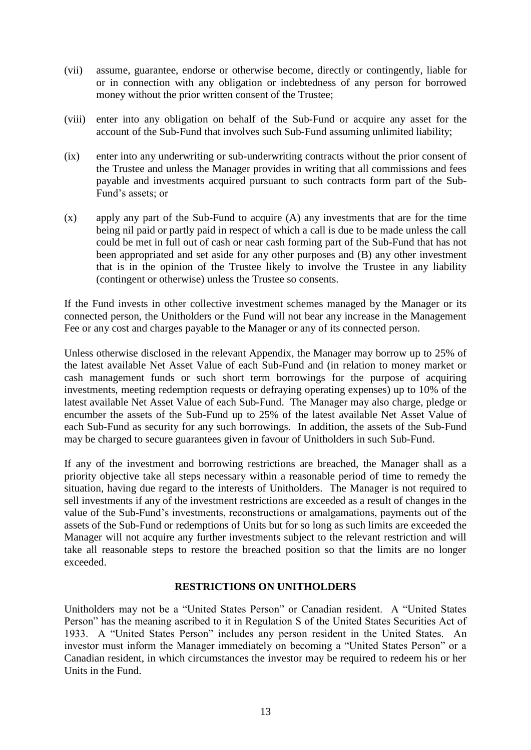- (vii) assume, guarantee, endorse or otherwise become, directly or contingently, liable for or in connection with any obligation or indebtedness of any person for borrowed money without the prior written consent of the Trustee;
- (viii) enter into any obligation on behalf of the Sub-Fund or acquire any asset for the account of the Sub-Fund that involves such Sub-Fund assuming unlimited liability;
- (ix) enter into any underwriting or sub-underwriting contracts without the prior consent of the Trustee and unless the Manager provides in writing that all commissions and fees payable and investments acquired pursuant to such contracts form part of the Sub-Fund's assets; or
- (x) apply any part of the Sub-Fund to acquire (A) any investments that are for the time being nil paid or partly paid in respect of which a call is due to be made unless the call could be met in full out of cash or near cash forming part of the Sub-Fund that has not been appropriated and set aside for any other purposes and (B) any other investment that is in the opinion of the Trustee likely to involve the Trustee in any liability (contingent or otherwise) unless the Trustee so consents.

If the Fund invests in other collective investment schemes managed by the Manager or its connected person, the Unitholders or the Fund will not bear any increase in the Management Fee or any cost and charges payable to the Manager or any of its connected person.

Unless otherwise disclosed in the relevant Appendix, the Manager may borrow up to 25% of the latest available Net Asset Value of each Sub-Fund and (in relation to money market or cash management funds or such short term borrowings for the purpose of acquiring investments, meeting redemption requests or defraying operating expenses) up to 10% of the latest available Net Asset Value of each Sub-Fund. The Manager may also charge, pledge or encumber the assets of the Sub-Fund up to 25% of the latest available Net Asset Value of each Sub-Fund as security for any such borrowings. In addition, the assets of the Sub-Fund may be charged to secure guarantees given in favour of Unitholders in such Sub-Fund.

If any of the investment and borrowing restrictions are breached, the Manager shall as a priority objective take all steps necessary within a reasonable period of time to remedy the situation, having due regard to the interests of Unitholders. The Manager is not required to sell investments if any of the investment restrictions are exceeded as a result of changes in the value of the Sub-Fund's investments, reconstructions or amalgamations, payments out of the assets of the Sub-Fund or redemptions of Units but for so long as such limits are exceeded the Manager will not acquire any further investments subject to the relevant restriction and will take all reasonable steps to restore the breached position so that the limits are no longer exceeded.

## **RESTRICTIONS ON UNITHOLDERS**

<span id="page-17-0"></span>Unitholders may not be a "United States Person" or Canadian resident. A "United States Person" has the meaning ascribed to it in Regulation S of the United States Securities Act of 1933. A "United States Person" includes any person resident in the United States. An investor must inform the Manager immediately on becoming a "United States Person" or a Canadian resident, in which circumstances the investor may be required to redeem his or her Units in the Fund.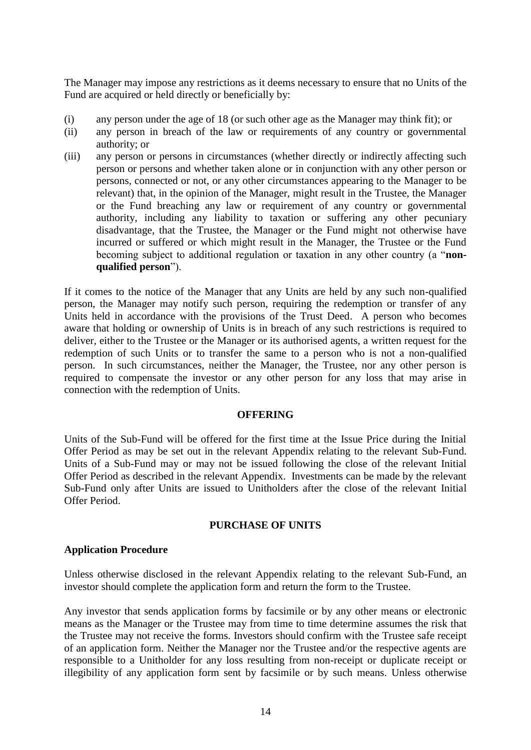The Manager may impose any restrictions as it deems necessary to ensure that no Units of the Fund are acquired or held directly or beneficially by:

- (i) any person under the age of 18 (or such other age as the Manager may think fit); or
- (ii) any person in breach of the law or requirements of any country or governmental authority; or
- (iii) any person or persons in circumstances (whether directly or indirectly affecting such person or persons and whether taken alone or in conjunction with any other person or persons, connected or not, or any other circumstances appearing to the Manager to be relevant) that, in the opinion of the Manager, might result in the Trustee, the Manager or the Fund breaching any law or requirement of any country or governmental authority, including any liability to taxation or suffering any other pecuniary disadvantage, that the Trustee, the Manager or the Fund might not otherwise have incurred or suffered or which might result in the Manager, the Trustee or the Fund becoming subject to additional regulation or taxation in any other country (a "**nonqualified person**").

If it comes to the notice of the Manager that any Units are held by any such non-qualified person, the Manager may notify such person, requiring the redemption or transfer of any Units held in accordance with the provisions of the Trust Deed. A person who becomes aware that holding or ownership of Units is in breach of any such restrictions is required to deliver, either to the Trustee or the Manager or its authorised agents, a written request for the redemption of such Units or to transfer the same to a person who is not a non-qualified person. In such circumstances, neither the Manager, the Trustee, nor any other person is required to compensate the investor or any other person for any loss that may arise in connection with the redemption of Units.

#### **OFFERING**

<span id="page-18-0"></span>Units of the Sub-Fund will be offered for the first time at the Issue Price during the Initial Offer Period as may be set out in the relevant Appendix relating to the relevant Sub-Fund. Units of a Sub-Fund may or may not be issued following the close of the relevant Initial Offer Period as described in the relevant Appendix. Investments can be made by the relevant Sub-Fund only after Units are issued to Unitholders after the close of the relevant Initial Offer Period.

## **PURCHASE OF UNITS**

## <span id="page-18-1"></span>**Application Procedure**

Unless otherwise disclosed in the relevant Appendix relating to the relevant Sub-Fund, an investor should complete the application form and return the form to the Trustee.

Any investor that sends application forms by facsimile or by any other means or electronic means as the Manager or the Trustee may from time to time determine assumes the risk that the Trustee may not receive the forms. Investors should confirm with the Trustee safe receipt of an application form. Neither the Manager nor the Trustee and/or the respective agents are responsible to a Unitholder for any loss resulting from non-receipt or duplicate receipt or illegibility of any application form sent by facsimile or by such means. Unless otherwise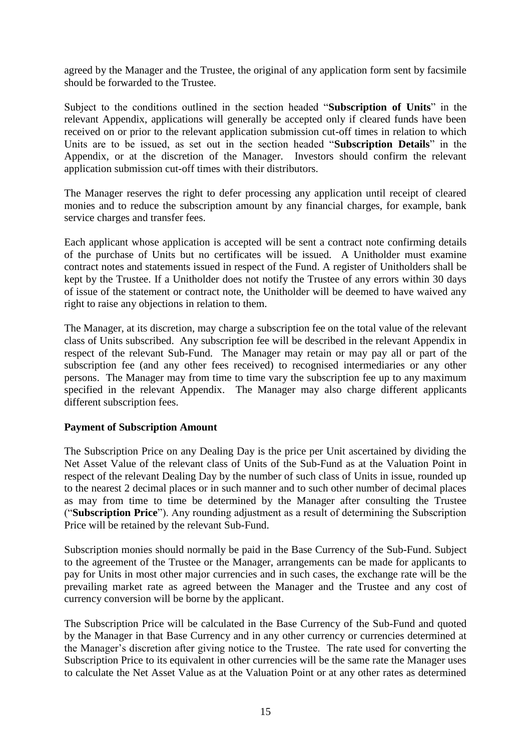agreed by the Manager and the Trustee, the original of any application form sent by facsimile should be forwarded to the Trustee.

Subject to the conditions outlined in the section headed "**Subscription of Units**" in the relevant Appendix, applications will generally be accepted only if cleared funds have been received on or prior to the relevant application submission cut-off times in relation to which Units are to be issued, as set out in the section headed "**Subscription Details**" in the Appendix, or at the discretion of the Manager. Investors should confirm the relevant application submission cut-off times with their distributors.

The Manager reserves the right to defer processing any application until receipt of cleared monies and to reduce the subscription amount by any financial charges, for example, bank service charges and transfer fees.

Each applicant whose application is accepted will be sent a contract note confirming details of the purchase of Units but no certificates will be issued. A Unitholder must examine contract notes and statements issued in respect of the Fund. A register of Unitholders shall be kept by the Trustee. If a Unitholder does not notify the Trustee of any errors within 30 days of issue of the statement or contract note, the Unitholder will be deemed to have waived any right to raise any objections in relation to them.

The Manager, at its discretion, may charge a subscription fee on the total value of the relevant class of Units subscribed. Any subscription fee will be described in the relevant Appendix in respect of the relevant Sub-Fund. The Manager may retain or may pay all or part of the subscription fee (and any other fees received) to recognised intermediaries or any other persons. The Manager may from time to time vary the subscription fee up to any maximum specified in the relevant Appendix. The Manager may also charge different applicants different subscription fees.

#### **Payment of Subscription Amount**

The Subscription Price on any Dealing Day is the price per Unit ascertained by dividing the Net Asset Value of the relevant class of Units of the Sub-Fund as at the Valuation Point in respect of the relevant Dealing Day by the number of such class of Units in issue, rounded up to the nearest 2 decimal places or in such manner and to such other number of decimal places as may from time to time be determined by the Manager after consulting the Trustee ("**Subscription Price**"). Any rounding adjustment as a result of determining the Subscription Price will be retained by the relevant Sub-Fund.

Subscription monies should normally be paid in the Base Currency of the Sub-Fund. Subject to the agreement of the Trustee or the Manager, arrangements can be made for applicants to pay for Units in most other major currencies and in such cases, the exchange rate will be the prevailing market rate as agreed between the Manager and the Trustee and any cost of currency conversion will be borne by the applicant.

The Subscription Price will be calculated in the Base Currency of the Sub-Fund and quoted by the Manager in that Base Currency and in any other currency or currencies determined at the Manager's discretion after giving notice to the Trustee. The rate used for converting the Subscription Price to its equivalent in other currencies will be the same rate the Manager uses to calculate the Net Asset Value as at the Valuation Point or at any other rates as determined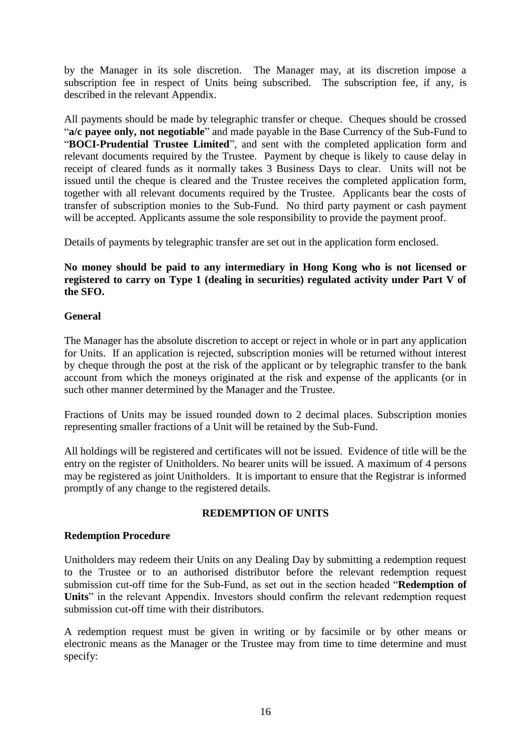by the Manager in its sole discretion. The Manager may, at its discretion impose a subscription fee in respect of Units being subscribed. The subscription fee, if any, is described in the relevant Appendix.

All payments should be made by telegraphic transfer or cheque. Cheques should be crossed "**a/c payee only, not negotiable**" and made payable in the Base Currency of the Sub-Fund to "**BOCI-Prudential Trustee Limited**", and sent with the completed application form and relevant documents required by the Trustee. Payment by cheque is likely to cause delay in receipt of cleared funds as it normally takes 3 Business Days to clear. Units will not be issued until the cheque is cleared and the Trustee receives the completed application form, together with all relevant documents required by the Trustee. Applicants bear the costs of transfer of subscription monies to the Sub-Fund. No third party payment or cash payment will be accepted. Applicants assume the sole responsibility to provide the payment proof.

Details of payments by telegraphic transfer are set out in the application form enclosed.

## **No money should be paid to any intermediary in Hong Kong who is not licensed or registered to carry on Type 1 (dealing in securities) regulated activity under Part V of the SFO.**

### **General**

The Manager has the absolute discretion to accept or reject in whole or in part any application for Units. If an application is rejected, subscription monies will be returned without interest by cheque through the post at the risk of the applicant or by telegraphic transfer to the bank account from which the moneys originated at the risk and expense of the applicants (or in such other manner determined by the Manager and the Trustee.

Fractions of Units may be issued rounded down to 2 decimal places. Subscription monies representing smaller fractions of a Unit will be retained by the Sub-Fund.

All holdings will be registered and certificates will not be issued. Evidence of title will be the entry on the register of Unitholders. No bearer units will be issued. A maximum of 4 persons may be registered as joint Unitholders. It is important to ensure that the Registrar is informed promptly of any change to the registered details.

## **REDEMPTION OF UNITS**

#### <span id="page-20-0"></span>**Redemption Procedure**

Unitholders may redeem their Units on any Dealing Day by submitting a redemption request to the Trustee or to an authorised distributor before the relevant redemption request submission cut-off time for the Sub-Fund, as set out in the section headed "**Redemption of Units**" in the relevant Appendix. Investors should confirm the relevant redemption request submission cut-off time with their distributors.

A redemption request must be given in writing or by facsimile or by other means or electronic means as the Manager or the Trustee may from time to time determine and must specify: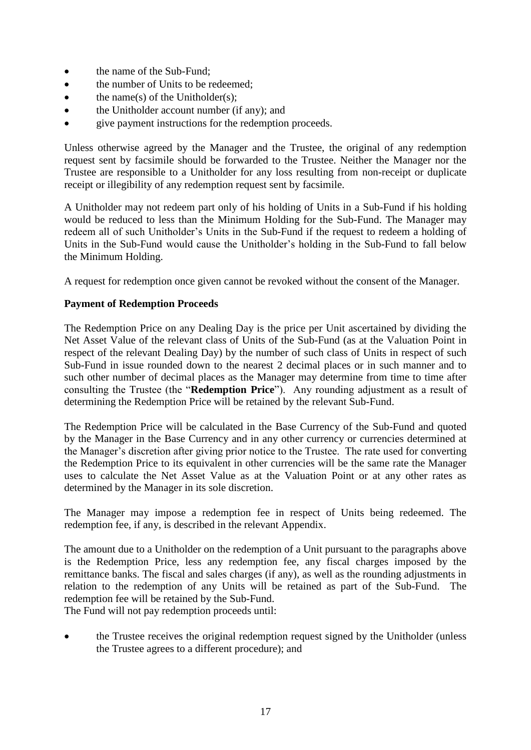- the name of the Sub-Fund;
- the number of Units to be redeemed;
- $\bullet$  the name(s) of the Unitholder(s);
- the Unitholder account number (if any); and
- give payment instructions for the redemption proceeds.

Unless otherwise agreed by the Manager and the Trustee, the original of any redemption request sent by facsimile should be forwarded to the Trustee. Neither the Manager nor the Trustee are responsible to a Unitholder for any loss resulting from non-receipt or duplicate receipt or illegibility of any redemption request sent by facsimile.

A Unitholder may not redeem part only of his holding of Units in a Sub-Fund if his holding would be reduced to less than the Minimum Holding for the Sub-Fund. The Manager may redeem all of such Unitholder's Units in the Sub-Fund if the request to redeem a holding of Units in the Sub-Fund would cause the Unitholder's holding in the Sub-Fund to fall below the Minimum Holding.

A request for redemption once given cannot be revoked without the consent of the Manager.

### **Payment of Redemption Proceeds**

The Redemption Price on any Dealing Day is the price per Unit ascertained by dividing the Net Asset Value of the relevant class of Units of the Sub-Fund (as at the Valuation Point in respect of the relevant Dealing Day) by the number of such class of Units in respect of such Sub-Fund in issue rounded down to the nearest 2 decimal places or in such manner and to such other number of decimal places as the Manager may determine from time to time after consulting the Trustee (the "**Redemption Price**"). Any rounding adjustment as a result of determining the Redemption Price will be retained by the relevant Sub-Fund.

The Redemption Price will be calculated in the Base Currency of the Sub-Fund and quoted by the Manager in the Base Currency and in any other currency or currencies determined at the Manager's discretion after giving prior notice to the Trustee. The rate used for converting the Redemption Price to its equivalent in other currencies will be the same rate the Manager uses to calculate the Net Asset Value as at the Valuation Point or at any other rates as determined by the Manager in its sole discretion.

The Manager may impose a redemption fee in respect of Units being redeemed. The redemption fee, if any, is described in the relevant Appendix.

The amount due to a Unitholder on the redemption of a Unit pursuant to the paragraphs above is the Redemption Price, less any redemption fee, any fiscal charges imposed by the remittance banks. The fiscal and sales charges (if any), as well as the rounding adjustments in relation to the redemption of any Units will be retained as part of the Sub-Fund. The redemption fee will be retained by the Sub-Fund.

The Fund will not pay redemption proceeds until:

 the Trustee receives the original redemption request signed by the Unitholder (unless the Trustee agrees to a different procedure); and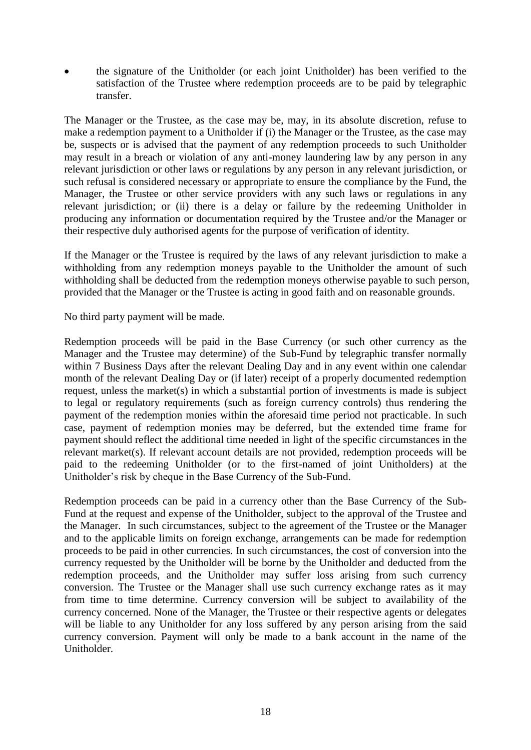the signature of the Unitholder (or each joint Unitholder) has been verified to the satisfaction of the Trustee where redemption proceeds are to be paid by telegraphic transfer.

The Manager or the Trustee, as the case may be, may, in its absolute discretion, refuse to make a redemption payment to a Unitholder if (i) the Manager or the Trustee, as the case may be, suspects or is advised that the payment of any redemption proceeds to such Unitholder may result in a breach or violation of any anti-money laundering law by any person in any relevant jurisdiction or other laws or regulations by any person in any relevant jurisdiction, or such refusal is considered necessary or appropriate to ensure the compliance by the Fund, the Manager, the Trustee or other service providers with any such laws or regulations in any relevant jurisdiction; or (ii) there is a delay or failure by the redeeming Unitholder in producing any information or documentation required by the Trustee and/or the Manager or their respective duly authorised agents for the purpose of verification of identity.

If the Manager or the Trustee is required by the laws of any relevant jurisdiction to make a withholding from any redemption moneys payable to the Unitholder the amount of such withholding shall be deducted from the redemption moneys otherwise payable to such person, provided that the Manager or the Trustee is acting in good faith and on reasonable grounds.

No third party payment will be made.

Redemption proceeds will be paid in the Base Currency (or such other currency as the Manager and the Trustee may determine) of the Sub-Fund by telegraphic transfer normally within 7 Business Days after the relevant Dealing Day and in any event within one calendar month of the relevant Dealing Day or (if later) receipt of a properly documented redemption request, unless the market(s) in which a substantial portion of investments is made is subject to legal or regulatory requirements (such as foreign currency controls) thus rendering the payment of the redemption monies within the aforesaid time period not practicable. In such case, payment of redemption monies may be deferred, but the extended time frame for payment should reflect the additional time needed in light of the specific circumstances in the relevant market(s). If relevant account details are not provided, redemption proceeds will be paid to the redeeming Unitholder (or to the first-named of joint Unitholders) at the Unitholder's risk by cheque in the Base Currency of the Sub-Fund.

Redemption proceeds can be paid in a currency other than the Base Currency of the Sub-Fund at the request and expense of the Unitholder, subject to the approval of the Trustee and the Manager. In such circumstances, subject to the agreement of the Trustee or the Manager and to the applicable limits on foreign exchange, arrangements can be made for redemption proceeds to be paid in other currencies. In such circumstances, the cost of conversion into the currency requested by the Unitholder will be borne by the Unitholder and deducted from the redemption proceeds, and the Unitholder may suffer loss arising from such currency conversion. The Trustee or the Manager shall use such currency exchange rates as it may from time to time determine. Currency conversion will be subject to availability of the currency concerned. None of the Manager, the Trustee or their respective agents or delegates will be liable to any Unitholder for any loss suffered by any person arising from the said currency conversion. Payment will only be made to a bank account in the name of the Unitholder.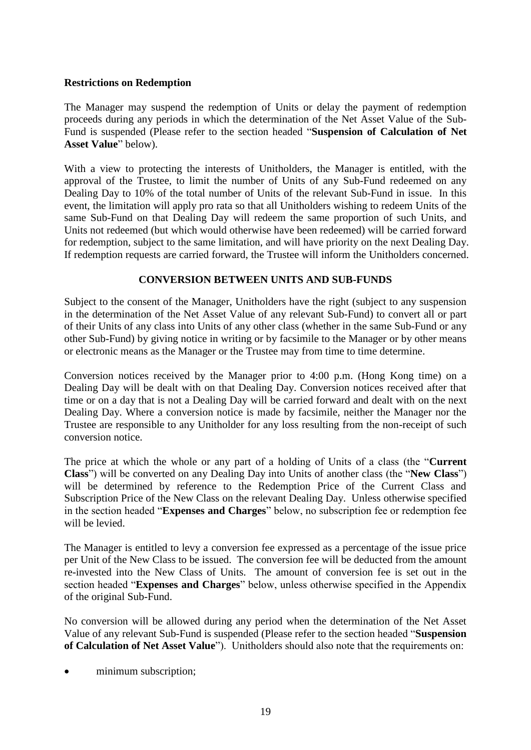#### **Restrictions on Redemption**

The Manager may suspend the redemption of Units or delay the payment of redemption proceeds during any periods in which the determination of the Net Asset Value of the Sub-Fund is suspended (Please refer to the section headed "**Suspension of Calculation of Net Asset Value**" below).

With a view to protecting the interests of Unitholders, the Manager is entitled, with the approval of the Trustee, to limit the number of Units of any Sub-Fund redeemed on any Dealing Day to 10% of the total number of Units of the relevant Sub-Fund in issue. In this event, the limitation will apply pro rata so that all Unitholders wishing to redeem Units of the same Sub-Fund on that Dealing Day will redeem the same proportion of such Units, and Units not redeemed (but which would otherwise have been redeemed) will be carried forward for redemption, subject to the same limitation, and will have priority on the next Dealing Day. If redemption requests are carried forward, the Trustee will inform the Unitholders concerned.

## **CONVERSION BETWEEN UNITS AND SUB-FUNDS**

<span id="page-23-0"></span>Subject to the consent of the Manager, Unitholders have the right (subject to any suspension in the determination of the Net Asset Value of any relevant Sub-Fund) to convert all or part of their Units of any class into Units of any other class (whether in the same Sub-Fund or any other Sub-Fund) by giving notice in writing or by facsimile to the Manager or by other means or electronic means as the Manager or the Trustee may from time to time determine.

Conversion notices received by the Manager prior to 4:00 p.m. (Hong Kong time) on a Dealing Day will be dealt with on that Dealing Day. Conversion notices received after that time or on a day that is not a Dealing Day will be carried forward and dealt with on the next Dealing Day. Where a conversion notice is made by facsimile, neither the Manager nor the Trustee are responsible to any Unitholder for any loss resulting from the non-receipt of such conversion notice.

The price at which the whole or any part of a holding of Units of a class (the "**Current Class**") will be converted on any Dealing Day into Units of another class (the "**New Class**") will be determined by reference to the Redemption Price of the Current Class and Subscription Price of the New Class on the relevant Dealing Day. Unless otherwise specified in the section headed "**Expenses and Charges**" below, no subscription fee or redemption fee will be levied.

The Manager is entitled to levy a conversion fee expressed as a percentage of the issue price per Unit of the New Class to be issued. The conversion fee will be deducted from the amount re-invested into the New Class of Units. The amount of conversion fee is set out in the section headed "**Expenses and Charges**" below, unless otherwise specified in the Appendix of the original Sub-Fund.

No conversion will be allowed during any period when the determination of the Net Asset Value of any relevant Sub-Fund is suspended (Please refer to the section headed "**Suspension of Calculation of Net Asset Value**"). Unitholders should also note that the requirements on:

minimum subscription;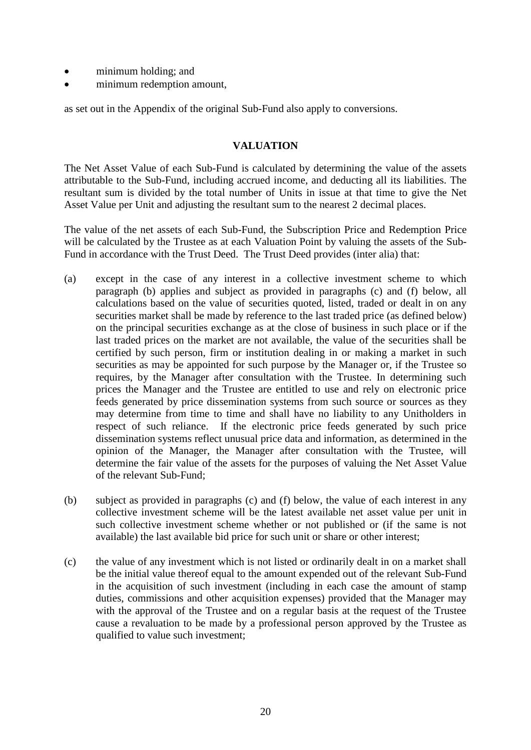- minimum holding; and
- minimum redemption amount,

as set out in the Appendix of the original Sub-Fund also apply to conversions.

### **VALUATION**

<span id="page-24-0"></span>The Net Asset Value of each Sub-Fund is calculated by determining the value of the assets attributable to the Sub-Fund, including accrued income, and deducting all its liabilities. The resultant sum is divided by the total number of Units in issue at that time to give the Net Asset Value per Unit and adjusting the resultant sum to the nearest 2 decimal places.

The value of the net assets of each Sub-Fund, the Subscription Price and Redemption Price will be calculated by the Trustee as at each Valuation Point by valuing the assets of the Sub-Fund in accordance with the Trust Deed. The Trust Deed provides (inter alia) that:

- (a) except in the case of any interest in a collective investment scheme to which paragraph (b) applies and subject as provided in paragraphs (c) and (f) below, all calculations based on the value of securities quoted, listed, traded or dealt in on any securities market shall be made by reference to the last traded price (as defined below) on the principal securities exchange as at the close of business in such place or if the last traded prices on the market are not available, the value of the securities shall be certified by such person, firm or institution dealing in or making a market in such securities as may be appointed for such purpose by the Manager or, if the Trustee so requires, by the Manager after consultation with the Trustee. In determining such prices the Manager and the Trustee are entitled to use and rely on electronic price feeds generated by price dissemination systems from such source or sources as they may determine from time to time and shall have no liability to any Unitholders in respect of such reliance. If the electronic price feeds generated by such price dissemination systems reflect unusual price data and information, as determined in the opinion of the Manager, the Manager after consultation with the Trustee, will determine the fair value of the assets for the purposes of valuing the Net Asset Value of the relevant Sub-Fund;
- (b) subject as provided in paragraphs (c) and (f) below, the value of each interest in any collective investment scheme will be the latest available net asset value per unit in such collective investment scheme whether or not published or (if the same is not available) the last available bid price for such unit or share or other interest;
- (c) the value of any investment which is not listed or ordinarily dealt in on a market shall be the initial value thereof equal to the amount expended out of the relevant Sub-Fund in the acquisition of such investment (including in each case the amount of stamp duties, commissions and other acquisition expenses) provided that the Manager may with the approval of the Trustee and on a regular basis at the request of the Trustee cause a revaluation to be made by a professional person approved by the Trustee as qualified to value such investment;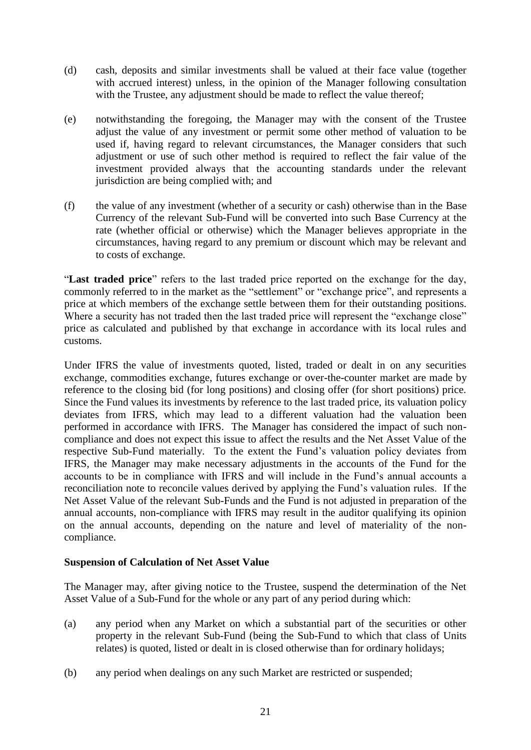- (d) cash, deposits and similar investments shall be valued at their face value (together with accrued interest) unless, in the opinion of the Manager following consultation with the Trustee, any adjustment should be made to reflect the value thereof:
- (e) notwithstanding the foregoing, the Manager may with the consent of the Trustee adjust the value of any investment or permit some other method of valuation to be used if, having regard to relevant circumstances, the Manager considers that such adjustment or use of such other method is required to reflect the fair value of the investment provided always that the accounting standards under the relevant jurisdiction are being complied with; and
- (f) the value of any investment (whether of a security or cash) otherwise than in the Base Currency of the relevant Sub-Fund will be converted into such Base Currency at the rate (whether official or otherwise) which the Manager believes appropriate in the circumstances, having regard to any premium or discount which may be relevant and to costs of exchange.

"**Last traded price**" refers to the last traded price reported on the exchange for the day, commonly referred to in the market as the "settlement" or "exchange price", and represents a price at which members of the exchange settle between them for their outstanding positions. Where a security has not traded then the last traded price will represent the "exchange close" price as calculated and published by that exchange in accordance with its local rules and customs.

Under IFRS the value of investments quoted, listed, traded or dealt in on any securities exchange, commodities exchange, futures exchange or over-the-counter market are made by reference to the closing bid (for long positions) and closing offer (for short positions) price. Since the Fund values its investments by reference to the last traded price, its valuation policy deviates from IFRS, which may lead to a different valuation had the valuation been performed in accordance with IFRS. The Manager has considered the impact of such noncompliance and does not expect this issue to affect the results and the Net Asset Value of the respective Sub-Fund materially. To the extent the Fund's valuation policy deviates from IFRS, the Manager may make necessary adjustments in the accounts of the Fund for the accounts to be in compliance with IFRS and will include in the Fund's annual accounts a reconciliation note to reconcile values derived by applying the Fund's valuation rules. If the Net Asset Value of the relevant Sub-Funds and the Fund is not adjusted in preparation of the annual accounts, non-compliance with IFRS may result in the auditor qualifying its opinion on the annual accounts, depending on the nature and level of materiality of the noncompliance.

## **Suspension of Calculation of Net Asset Value**

The Manager may, after giving notice to the Trustee, suspend the determination of the Net Asset Value of a Sub-Fund for the whole or any part of any period during which:

- (a) any period when any Market on which a substantial part of the securities or other property in the relevant Sub-Fund (being the Sub-Fund to which that class of Units relates) is quoted, listed or dealt in is closed otherwise than for ordinary holidays;
- (b) any period when dealings on any such Market are restricted or suspended;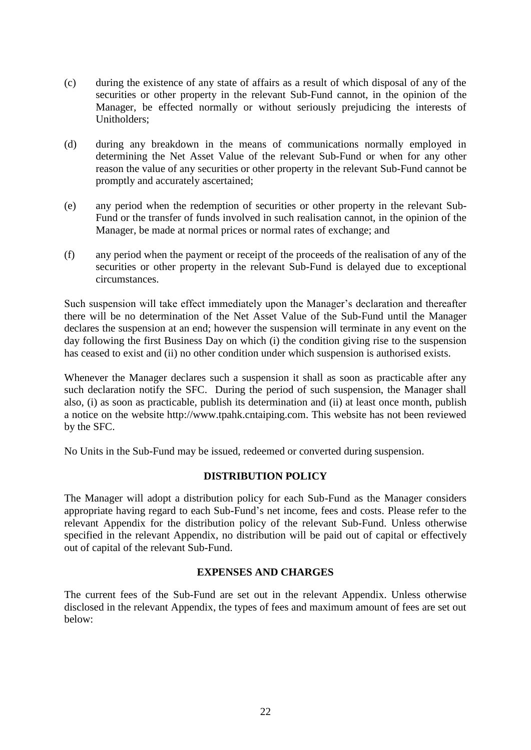- (c) during the existence of any state of affairs as a result of which disposal of any of the securities or other property in the relevant Sub-Fund cannot, in the opinion of the Manager, be effected normally or without seriously prejudicing the interests of Unitholders;
- (d) during any breakdown in the means of communications normally employed in determining the Net Asset Value of the relevant Sub-Fund or when for any other reason the value of any securities or other property in the relevant Sub-Fund cannot be promptly and accurately ascertained;
- (e) any period when the redemption of securities or other property in the relevant Sub-Fund or the transfer of funds involved in such realisation cannot, in the opinion of the Manager, be made at normal prices or normal rates of exchange; and
- (f) any period when the payment or receipt of the proceeds of the realisation of any of the securities or other property in the relevant Sub-Fund is delayed due to exceptional circumstances.

Such suspension will take effect immediately upon the Manager's declaration and thereafter there will be no determination of the Net Asset Value of the Sub-Fund until the Manager declares the suspension at an end; however the suspension will terminate in any event on the day following the first Business Day on which (i) the condition giving rise to the suspension has ceased to exist and (ii) no other condition under which suspension is authorised exists.

Whenever the Manager declares such a suspension it shall as soon as practicable after any such declaration notify the SFC. During the period of such suspension, the Manager shall also, (i) as soon as practicable, publish its determination and (ii) at least once month, publish a notice on the website http://www.tpahk.cntaiping.com. This website has not been reviewed by the SFC.

No Units in the Sub-Fund may be issued, redeemed or converted during suspension.

#### **DISTRIBUTION POLICY**

<span id="page-26-0"></span>The Manager will adopt a distribution policy for each Sub-Fund as the Manager considers appropriate having regard to each Sub-Fund's net income, fees and costs. Please refer to the relevant Appendix for the distribution policy of the relevant Sub-Fund. Unless otherwise specified in the relevant Appendix, no distribution will be paid out of capital or effectively out of capital of the relevant Sub-Fund.

#### **EXPENSES AND CHARGES**

<span id="page-26-1"></span>The current fees of the Sub-Fund are set out in the relevant Appendix. Unless otherwise disclosed in the relevant Appendix, the types of fees and maximum amount of fees are set out below: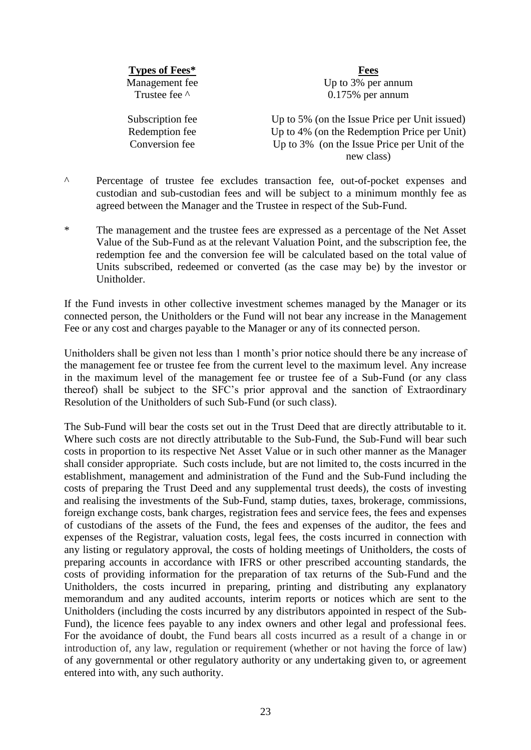**Types of Fees\* Fees**

Management fee Up to 3% per annum<br>Trustee fee A annum 0 175% per annum  $0.175%$  per annum

Subscription fee Up to 5% (on the Issue Price per Unit issued) Redemption fee Up to 4% (on the Redemption Price per Unit) Conversion fee Up to 3% (on the Issue Price per Unit of the new class)

- ^ Percentage of trustee fee excludes transaction fee, out-of-pocket expenses and custodian and sub-custodian fees and will be subject to a minimum monthly fee as agreed between the Manager and the Trustee in respect of the Sub-Fund.
- \* The management and the trustee fees are expressed as a percentage of the Net Asset Value of the Sub-Fund as at the relevant Valuation Point, and the subscription fee, the redemption fee and the conversion fee will be calculated based on the total value of Units subscribed, redeemed or converted (as the case may be) by the investor or Unitholder.

If the Fund invests in other collective investment schemes managed by the Manager or its connected person, the Unitholders or the Fund will not bear any increase in the Management Fee or any cost and charges payable to the Manager or any of its connected person.

Unitholders shall be given not less than 1 month's prior notice should there be any increase of the management fee or trustee fee from the current level to the maximum level. Any increase in the maximum level of the management fee or trustee fee of a Sub-Fund (or any class thereof) shall be subject to the SFC's prior approval and the sanction of Extraordinary Resolution of the Unitholders of such Sub-Fund (or such class).

The Sub-Fund will bear the costs set out in the Trust Deed that are directly attributable to it. Where such costs are not directly attributable to the Sub-Fund, the Sub-Fund will bear such costs in proportion to its respective Net Asset Value or in such other manner as the Manager shall consider appropriate. Such costs include, but are not limited to, the costs incurred in the establishment, management and administration of the Fund and the Sub-Fund including the costs of preparing the Trust Deed and any supplemental trust deeds), the costs of investing and realising the investments of the Sub-Fund, stamp duties, taxes, brokerage, commissions, foreign exchange costs, bank charges, registration fees and service fees, the fees and expenses of custodians of the assets of the Fund, the fees and expenses of the auditor, the fees and expenses of the Registrar, valuation costs, legal fees, the costs incurred in connection with any listing or regulatory approval, the costs of holding meetings of Unitholders, the costs of preparing accounts in accordance with IFRS or other prescribed accounting standards, the costs of providing information for the preparation of tax returns of the Sub-Fund and the Unitholders, the costs incurred in preparing, printing and distributing any explanatory memorandum and any audited accounts, interim reports or notices which are sent to the Unitholders (including the costs incurred by any distributors appointed in respect of the Sub-Fund), the licence fees payable to any index owners and other legal and professional fees. For the avoidance of doubt, the Fund bears all costs incurred as a result of a change in or introduction of, any law, regulation or requirement (whether or not having the force of law) of any governmental or other regulatory authority or any undertaking given to, or agreement entered into with, any such authority.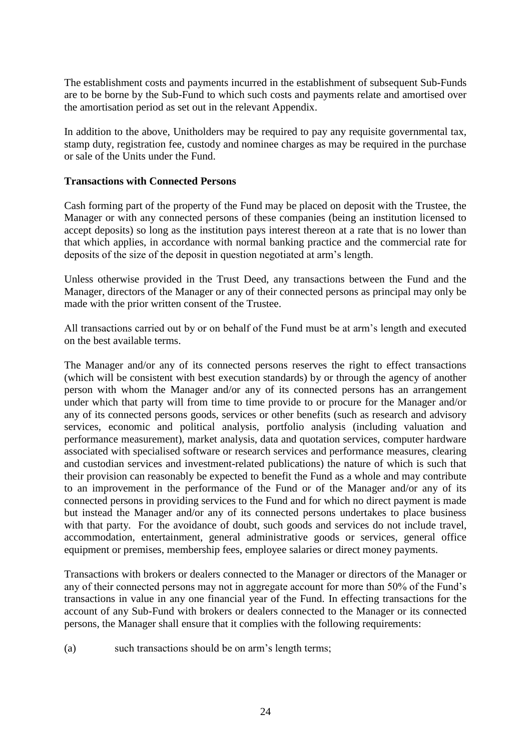The establishment costs and payments incurred in the establishment of subsequent Sub-Funds are to be borne by the Sub-Fund to which such costs and payments relate and amortised over the amortisation period as set out in the relevant Appendix.

In addition to the above, Unitholders may be required to pay any requisite governmental tax, stamp duty, registration fee, custody and nominee charges as may be required in the purchase or sale of the Units under the Fund.

### **Transactions with Connected Persons**

Cash forming part of the property of the Fund may be placed on deposit with the Trustee, the Manager or with any connected persons of these companies (being an institution licensed to accept deposits) so long as the institution pays interest thereon at a rate that is no lower than that which applies, in accordance with normal banking practice and the commercial rate for deposits of the size of the deposit in question negotiated at arm's length.

Unless otherwise provided in the Trust Deed, any transactions between the Fund and the Manager, directors of the Manager or any of their connected persons as principal may only be made with the prior written consent of the Trustee.

All transactions carried out by or on behalf of the Fund must be at arm's length and executed on the best available terms.

The Manager and/or any of its connected persons reserves the right to effect transactions (which will be consistent with best execution standards) by or through the agency of another person with whom the Manager and/or any of its connected persons has an arrangement under which that party will from time to time provide to or procure for the Manager and/or any of its connected persons goods, services or other benefits (such as research and advisory services, economic and political analysis, portfolio analysis (including valuation and performance measurement), market analysis, data and quotation services, computer hardware associated with specialised software or research services and performance measures, clearing and custodian services and investment-related publications) the nature of which is such that their provision can reasonably be expected to benefit the Fund as a whole and may contribute to an improvement in the performance of the Fund or of the Manager and/or any of its connected persons in providing services to the Fund and for which no direct payment is made but instead the Manager and/or any of its connected persons undertakes to place business with that party. For the avoidance of doubt, such goods and services do not include travel, accommodation, entertainment, general administrative goods or services, general office equipment or premises, membership fees, employee salaries or direct money payments.

Transactions with brokers or dealers connected to the Manager or directors of the Manager or any of their connected persons may not in aggregate account for more than 50% of the Fund's transactions in value in any one financial year of the Fund. In effecting transactions for the account of any Sub-Fund with brokers or dealers connected to the Manager or its connected persons, the Manager shall ensure that it complies with the following requirements:

(a) such transactions should be on arm's length terms;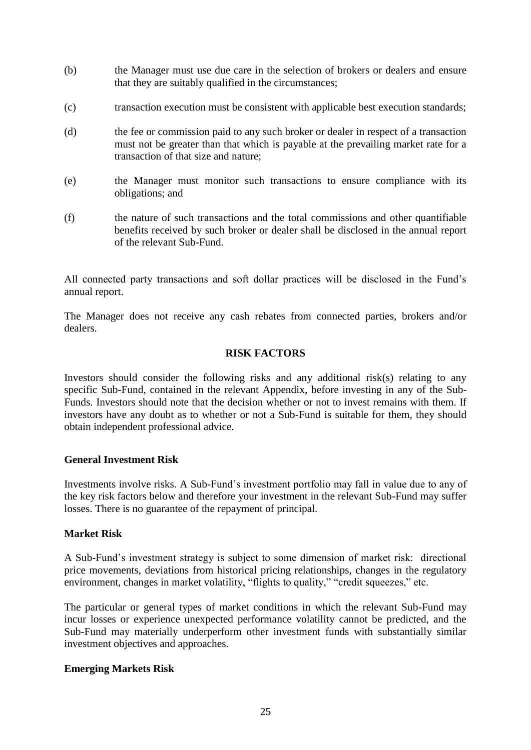- (b) the Manager must use due care in the selection of brokers or dealers and ensure that they are suitably qualified in the circumstances;
- (c) transaction execution must be consistent with applicable best execution standards;
- (d) the fee or commission paid to any such broker or dealer in respect of a transaction must not be greater than that which is payable at the prevailing market rate for a transaction of that size and nature;
- (e) the Manager must monitor such transactions to ensure compliance with its obligations; and
- (f) the nature of such transactions and the total commissions and other quantifiable benefits received by such broker or dealer shall be disclosed in the annual report of the relevant Sub-Fund.

All connected party transactions and soft dollar practices will be disclosed in the Fund's annual report.

The Manager does not receive any cash rebates from connected parties, brokers and/or dealers.

### **RISK FACTORS**

<span id="page-29-0"></span>Investors should consider the following risks and any additional risk(s) relating to any specific Sub-Fund, contained in the relevant Appendix, before investing in any of the Sub-Funds. Investors should note that the decision whether or not to invest remains with them. If investors have any doubt as to whether or not a Sub-Fund is suitable for them, they should obtain independent professional advice.

#### **General Investment Risk**

Investments involve risks. A Sub-Fund's investment portfolio may fall in value due to any of the key risk factors below and therefore your investment in the relevant Sub-Fund may suffer losses. There is no guarantee of the repayment of principal.

#### **Market Risk**

A Sub-Fund's investment strategy is subject to some dimension of market risk: directional price movements, deviations from historical pricing relationships, changes in the regulatory environment, changes in market volatility, "flights to quality," "credit squeezes," etc.

The particular or general types of market conditions in which the relevant Sub-Fund may incur losses or experience unexpected performance volatility cannot be predicted, and the Sub-Fund may materially underperform other investment funds with substantially similar investment objectives and approaches.

## **Emerging Markets Risk**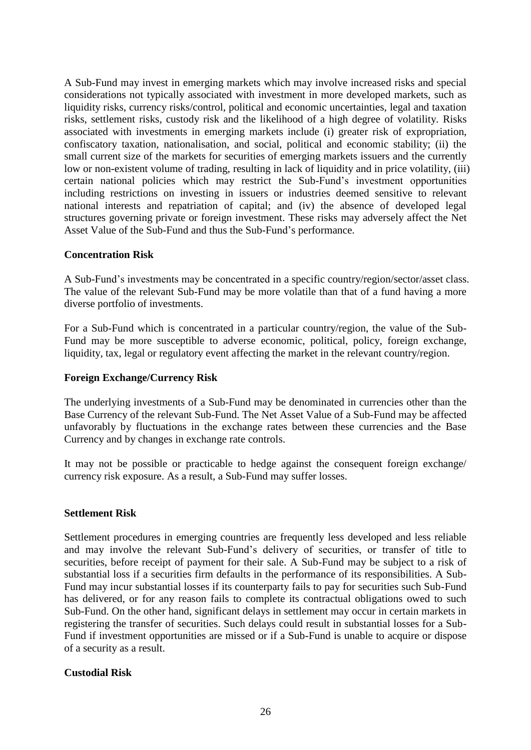A Sub-Fund may invest in emerging markets which may involve increased risks and special considerations not typically associated with investment in more developed markets, such as liquidity risks, currency risks/control, political and economic uncertainties, legal and taxation risks, settlement risks, custody risk and the likelihood of a high degree of volatility. Risks associated with investments in emerging markets include (i) greater risk of expropriation, confiscatory taxation, nationalisation, and social, political and economic stability; (ii) the small current size of the markets for securities of emerging markets issuers and the currently low or non-existent volume of trading, resulting in lack of liquidity and in price volatility, (iii) certain national policies which may restrict the Sub-Fund's investment opportunities including restrictions on investing in issuers or industries deemed sensitive to relevant national interests and repatriation of capital; and (iv) the absence of developed legal structures governing private or foreign investment. These risks may adversely affect the Net Asset Value of the Sub-Fund and thus the Sub-Fund's performance.

### **Concentration Risk**

A Sub-Fund's investments may be concentrated in a specific country/region/sector/asset class. The value of the relevant Sub-Fund may be more volatile than that of a fund having a more diverse portfolio of investments.

For a Sub-Fund which is concentrated in a particular country/region, the value of the Sub-Fund may be more susceptible to adverse economic, political, policy, foreign exchange, liquidity, tax, legal or regulatory event affecting the market in the relevant country/region.

#### **Foreign Exchange/Currency Risk**

The underlying investments of a Sub-Fund may be denominated in currencies other than the Base Currency of the relevant Sub-Fund. The Net Asset Value of a Sub-Fund may be affected unfavorably by fluctuations in the exchange rates between these currencies and the Base Currency and by changes in exchange rate controls.

It may not be possible or practicable to hedge against the consequent foreign exchange/ currency risk exposure. As a result, a Sub-Fund may suffer losses.

#### **Settlement Risk**

Settlement procedures in emerging countries are frequently less developed and less reliable and may involve the relevant Sub-Fund's delivery of securities, or transfer of title to securities, before receipt of payment for their sale. A Sub-Fund may be subject to a risk of substantial loss if a securities firm defaults in the performance of its responsibilities. A Sub-Fund may incur substantial losses if its counterparty fails to pay for securities such Sub-Fund has delivered, or for any reason fails to complete its contractual obligations owed to such Sub-Fund. On the other hand, significant delays in settlement may occur in certain markets in registering the transfer of securities. Such delays could result in substantial losses for a Sub-Fund if investment opportunities are missed or if a Sub-Fund is unable to acquire or dispose of a security as a result.

#### **Custodial Risk**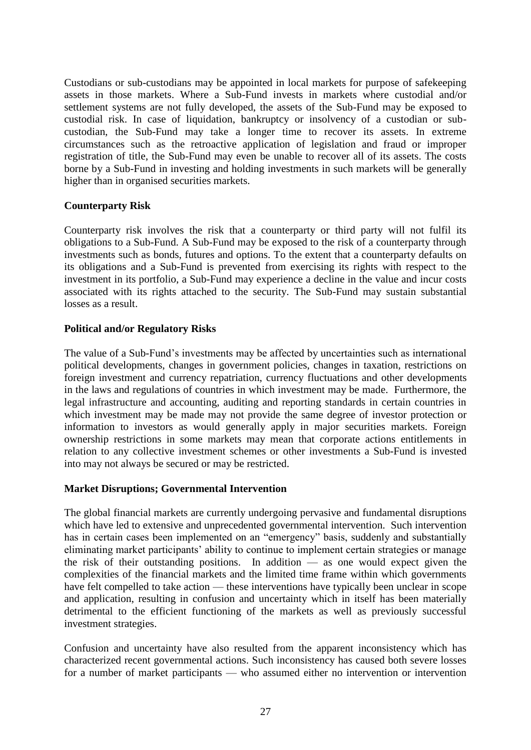Custodians or sub-custodians may be appointed in local markets for purpose of safekeeping assets in those markets. Where a Sub-Fund invests in markets where custodial and/or settlement systems are not fully developed, the assets of the Sub-Fund may be exposed to custodial risk. In case of liquidation, bankruptcy or insolvency of a custodian or subcustodian, the Sub-Fund may take a longer time to recover its assets. In extreme circumstances such as the retroactive application of legislation and fraud or improper registration of title, the Sub-Fund may even be unable to recover all of its assets. The costs borne by a Sub-Fund in investing and holding investments in such markets will be generally higher than in organised securities markets.

### **Counterparty Risk**

Counterparty risk involves the risk that a counterparty or third party will not fulfil its obligations to a Sub-Fund. A Sub-Fund may be exposed to the risk of a counterparty through investments such as bonds, futures and options. To the extent that a counterparty defaults on its obligations and a Sub-Fund is prevented from exercising its rights with respect to the investment in its portfolio, a Sub-Fund may experience a decline in the value and incur costs associated with its rights attached to the security. The Sub-Fund may sustain substantial losses as a result.

### **Political and/or Regulatory Risks**

The value of a Sub-Fund's investments may be affected by uncertainties such as international political developments, changes in government policies, changes in taxation, restrictions on foreign investment and currency repatriation, currency fluctuations and other developments in the laws and regulations of countries in which investment may be made. Furthermore, the legal infrastructure and accounting, auditing and reporting standards in certain countries in which investment may be made may not provide the same degree of investor protection or information to investors as would generally apply in major securities markets. Foreign ownership restrictions in some markets may mean that corporate actions entitlements in relation to any collective investment schemes or other investments a Sub-Fund is invested into may not always be secured or may be restricted.

#### **Market Disruptions; Governmental Intervention**

The global financial markets are currently undergoing pervasive and fundamental disruptions which have led to extensive and unprecedented governmental intervention. Such intervention has in certain cases been implemented on an "emergency" basis, suddenly and substantially eliminating market participants' ability to continue to implement certain strategies or manage the risk of their outstanding positions. In addition — as one would expect given the complexities of the financial markets and the limited time frame within which governments have felt compelled to take action — these interventions have typically been unclear in scope and application, resulting in confusion and uncertainty which in itself has been materially detrimental to the efficient functioning of the markets as well as previously successful investment strategies.

Confusion and uncertainty have also resulted from the apparent inconsistency which has characterized recent governmental actions. Such inconsistency has caused both severe losses for a number of market participants — who assumed either no intervention or intervention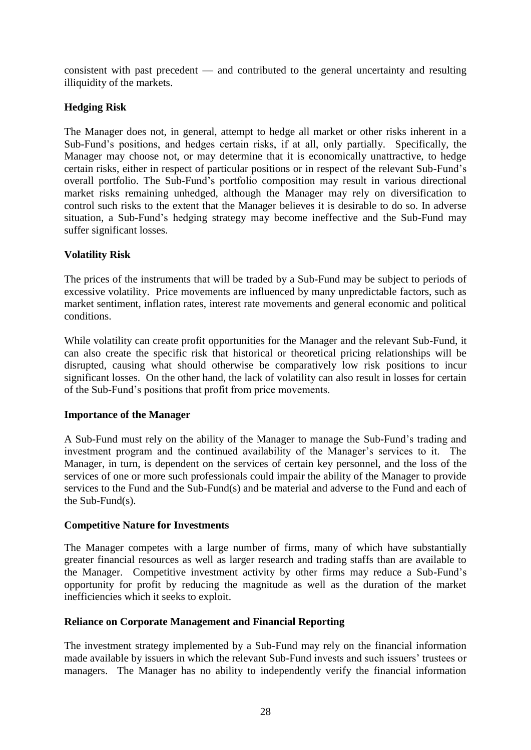consistent with past precedent — and contributed to the general uncertainty and resulting illiquidity of the markets.

# **Hedging Risk**

The Manager does not, in general, attempt to hedge all market or other risks inherent in a Sub-Fund's positions, and hedges certain risks, if at all, only partially. Specifically, the Manager may choose not, or may determine that it is economically unattractive, to hedge certain risks, either in respect of particular positions or in respect of the relevant Sub-Fund's overall portfolio. The Sub-Fund's portfolio composition may result in various directional market risks remaining unhedged, although the Manager may rely on diversification to control such risks to the extent that the Manager believes it is desirable to do so. In adverse situation, a Sub-Fund's hedging strategy may become ineffective and the Sub-Fund may suffer significant losses.

# **Volatility Risk**

The prices of the instruments that will be traded by a Sub-Fund may be subject to periods of excessive volatility. Price movements are influenced by many unpredictable factors, such as market sentiment, inflation rates, interest rate movements and general economic and political conditions.

While volatility can create profit opportunities for the Manager and the relevant Sub-Fund, it can also create the specific risk that historical or theoretical pricing relationships will be disrupted, causing what should otherwise be comparatively low risk positions to incur significant losses. On the other hand, the lack of volatility can also result in losses for certain of the Sub-Fund's positions that profit from price movements.

## **Importance of the Manager**

A Sub-Fund must rely on the ability of the Manager to manage the Sub-Fund's trading and investment program and the continued availability of the Manager's services to it. The Manager, in turn, is dependent on the services of certain key personnel, and the loss of the services of one or more such professionals could impair the ability of the Manager to provide services to the Fund and the Sub-Fund(s) and be material and adverse to the Fund and each of the Sub-Fund(s).

## **Competitive Nature for Investments**

The Manager competes with a large number of firms, many of which have substantially greater financial resources as well as larger research and trading staffs than are available to the Manager. Competitive investment activity by other firms may reduce a Sub-Fund's opportunity for profit by reducing the magnitude as well as the duration of the market inefficiencies which it seeks to exploit.

## **Reliance on Corporate Management and Financial Reporting**

The investment strategy implemented by a Sub-Fund may rely on the financial information made available by issuers in which the relevant Sub-Fund invests and such issuers' trustees or managers. The Manager has no ability to independently verify the financial information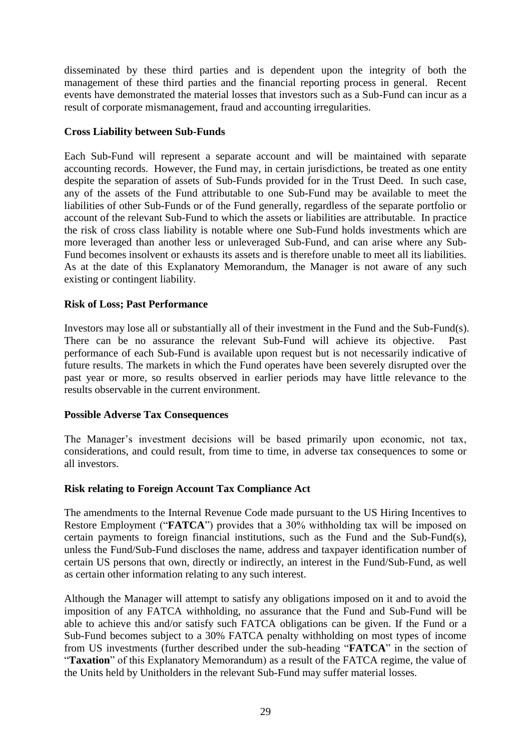disseminated by these third parties and is dependent upon the integrity of both the management of these third parties and the financial reporting process in general. Recent events have demonstrated the material losses that investors such as a Sub-Fund can incur as a result of corporate mismanagement, fraud and accounting irregularities.

### **Cross Liability between Sub-Funds**

Each Sub-Fund will represent a separate account and will be maintained with separate accounting records. However, the Fund may, in certain jurisdictions, be treated as one entity despite the separation of assets of Sub-Funds provided for in the Trust Deed. In such case, any of the assets of the Fund attributable to one Sub-Fund may be available to meet the liabilities of other Sub-Funds or of the Fund generally, regardless of the separate portfolio or account of the relevant Sub-Fund to which the assets or liabilities are attributable. In practice the risk of cross class liability is notable where one Sub-Fund holds investments which are more leveraged than another less or unleveraged Sub-Fund, and can arise where any Sub-Fund becomes insolvent or exhausts its assets and is therefore unable to meet all its liabilities. As at the date of this Explanatory Memorandum, the Manager is not aware of any such existing or contingent liability.

### **Risk of Loss; Past Performance**

Investors may lose all or substantially all of their investment in the Fund and the Sub-Fund(s). There can be no assurance the relevant Sub-Fund will achieve its objective. Past performance of each Sub-Fund is available upon request but is not necessarily indicative of future results. The markets in which the Fund operates have been severely disrupted over the past year or more, so results observed in earlier periods may have little relevance to the results observable in the current environment.

#### **Possible Adverse Tax Consequences**

The Manager's investment decisions will be based primarily upon economic, not tax, considerations, and could result, from time to time, in adverse tax consequences to some or all investors.

## **Risk relating to Foreign Account Tax Compliance Act**

The amendments to the Internal Revenue Code made pursuant to the US Hiring Incentives to Restore Employment ("**FATCA**") provides that a 30% withholding tax will be imposed on certain payments to foreign financial institutions, such as the Fund and the Sub-Fund(s), unless the Fund/Sub-Fund discloses the name, address and taxpayer identification number of certain US persons that own, directly or indirectly, an interest in the Fund/Sub-Fund, as well as certain other information relating to any such interest.

Although the Manager will attempt to satisfy any obligations imposed on it and to avoid the imposition of any FATCA withholding, no assurance that the Fund and Sub-Fund will be able to achieve this and/or satisfy such FATCA obligations can be given. If the Fund or a Sub-Fund becomes subject to a 30% FATCA penalty withholding on most types of income from US investments (further described under the sub-heading "**FATCA**" in the section of "**Taxation**" of this Explanatory Memorandum) as a result of the FATCA regime, the value of the Units held by Unitholders in the relevant Sub-Fund may suffer material losses.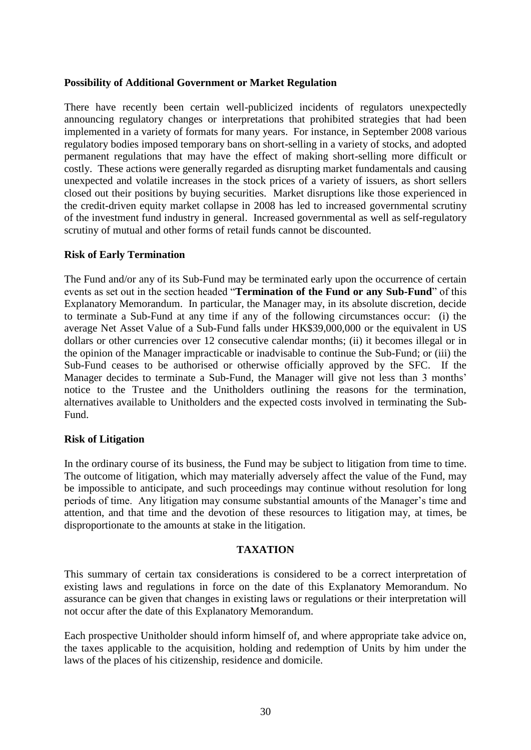#### **Possibility of Additional Government or Market Regulation**

There have recently been certain well-publicized incidents of regulators unexpectedly announcing regulatory changes or interpretations that prohibited strategies that had been implemented in a variety of formats for many years. For instance, in September 2008 various regulatory bodies imposed temporary bans on short-selling in a variety of stocks, and adopted permanent regulations that may have the effect of making short-selling more difficult or costly. These actions were generally regarded as disrupting market fundamentals and causing unexpected and volatile increases in the stock prices of a variety of issuers, as short sellers closed out their positions by buying securities. Market disruptions like those experienced in the credit-driven equity market collapse in 2008 has led to increased governmental scrutiny of the investment fund industry in general. Increased governmental as well as self-regulatory scrutiny of mutual and other forms of retail funds cannot be discounted.

#### **Risk of Early Termination**

The Fund and/or any of its Sub-Fund may be terminated early upon the occurrence of certain events as set out in the section headed "**Termination of the Fund or any Sub-Fund**" of this Explanatory Memorandum. In particular, the Manager may, in its absolute discretion, decide to terminate a Sub-Fund at any time if any of the following circumstances occur: (i) the average Net Asset Value of a Sub-Fund falls under HK\$39,000,000 or the equivalent in US dollars or other currencies over 12 consecutive calendar months; (ii) it becomes illegal or in the opinion of the Manager impracticable or inadvisable to continue the Sub-Fund; or (iii) the Sub-Fund ceases to be authorised or otherwise officially approved by the SFC. If the Manager decides to terminate a Sub-Fund, the Manager will give not less than 3 months' notice to the Trustee and the Unitholders outlining the reasons for the termination, alternatives available to Unitholders and the expected costs involved in terminating the Sub-Fund.

#### **Risk of Litigation**

In the ordinary course of its business, the Fund may be subject to litigation from time to time. The outcome of litigation, which may materially adversely affect the value of the Fund, may be impossible to anticipate, and such proceedings may continue without resolution for long periods of time. Any litigation may consume substantial amounts of the Manager's time and attention, and that time and the devotion of these resources to litigation may, at times, be disproportionate to the amounts at stake in the litigation.

#### **TAXATION**

<span id="page-34-0"></span>This summary of certain tax considerations is considered to be a correct interpretation of existing laws and regulations in force on the date of this Explanatory Memorandum. No assurance can be given that changes in existing laws or regulations or their interpretation will not occur after the date of this Explanatory Memorandum.

Each prospective Unitholder should inform himself of, and where appropriate take advice on, the taxes applicable to the acquisition, holding and redemption of Units by him under the laws of the places of his citizenship, residence and domicile.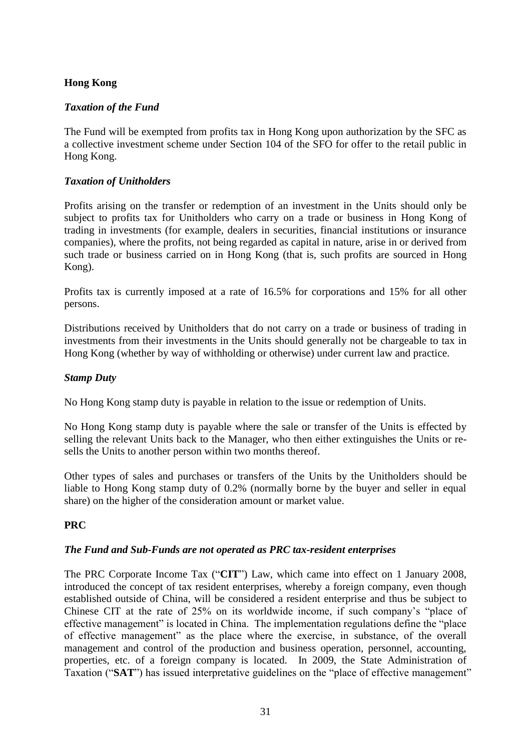# **Hong Kong**

# *Taxation of the Fund*

The Fund will be exempted from profits tax in Hong Kong upon authorization by the SFC as a collective investment scheme under Section 104 of the SFO for offer to the retail public in Hong Kong.

# *Taxation of Unitholders*

Profits arising on the transfer or redemption of an investment in the Units should only be subject to profits tax for Unitholders who carry on a trade or business in Hong Kong of trading in investments (for example, dealers in securities, financial institutions or insurance companies), where the profits, not being regarded as capital in nature, arise in or derived from such trade or business carried on in Hong Kong (that is, such profits are sourced in Hong Kong).

Profits tax is currently imposed at a rate of 16.5% for corporations and 15% for all other persons.

Distributions received by Unitholders that do not carry on a trade or business of trading in investments from their investments in the Units should generally not be chargeable to tax in Hong Kong (whether by way of withholding or otherwise) under current law and practice.

## *Stamp Duty*

No Hong Kong stamp duty is payable in relation to the issue or redemption of Units.

No Hong Kong stamp duty is payable where the sale or transfer of the Units is effected by selling the relevant Units back to the Manager, who then either extinguishes the Units or resells the Units to another person within two months thereof.

Other types of sales and purchases or transfers of the Units by the Unitholders should be liable to Hong Kong stamp duty of 0.2% (normally borne by the buyer and seller in equal share) on the higher of the consideration amount or market value.

# **PRC**

## *The Fund and Sub-Funds are not operated as PRC tax-resident enterprises*

The PRC Corporate Income Tax ("**CIT**") Law, which came into effect on 1 January 2008, introduced the concept of tax resident enterprises, whereby a foreign company, even though established outside of China, will be considered a resident enterprise and thus be subject to Chinese CIT at the rate of 25% on its worldwide income, if such company's "place of effective management" is located in China. The implementation regulations define the "place of effective management" as the place where the exercise, in substance, of the overall management and control of the production and business operation, personnel, accounting, properties, etc. of a foreign company is located. In 2009, the State Administration of Taxation ("**SAT**") has issued interpretative guidelines on the "place of effective management"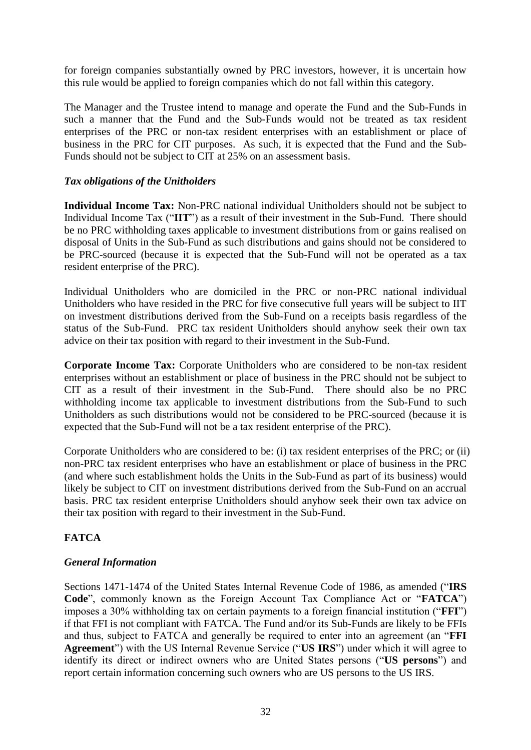for foreign companies substantially owned by PRC investors, however, it is uncertain how this rule would be applied to foreign companies which do not fall within this category.

The Manager and the Trustee intend to manage and operate the Fund and the Sub-Funds in such a manner that the Fund and the Sub-Funds would not be treated as tax resident enterprises of the PRC or non-tax resident enterprises with an establishment or place of business in the PRC for CIT purposes. As such, it is expected that the Fund and the Sub-Funds should not be subject to CIT at 25% on an assessment basis.

### *Tax obligations of the Unitholders*

**Individual Income Tax:** Non-PRC national individual Unitholders should not be subject to Individual Income Tax ("**IIT**") as a result of their investment in the Sub-Fund. There should be no PRC withholding taxes applicable to investment distributions from or gains realised on disposal of Units in the Sub-Fund as such distributions and gains should not be considered to be PRC-sourced (because it is expected that the Sub-Fund will not be operated as a tax resident enterprise of the PRC).

Individual Unitholders who are domiciled in the PRC or non-PRC national individual Unitholders who have resided in the PRC for five consecutive full years will be subject to IIT on investment distributions derived from the Sub-Fund on a receipts basis regardless of the status of the Sub-Fund. PRC tax resident Unitholders should anyhow seek their own tax advice on their tax position with regard to their investment in the Sub-Fund.

**Corporate Income Tax:** Corporate Unitholders who are considered to be non-tax resident enterprises without an establishment or place of business in the PRC should not be subject to CIT as a result of their investment in the Sub-Fund. There should also be no PRC withholding income tax applicable to investment distributions from the Sub-Fund to such Unitholders as such distributions would not be considered to be PRC-sourced (because it is expected that the Sub-Fund will not be a tax resident enterprise of the PRC).

Corporate Unitholders who are considered to be: (i) tax resident enterprises of the PRC; or (ii) non-PRC tax resident enterprises who have an establishment or place of business in the PRC (and where such establishment holds the Units in the Sub-Fund as part of its business) would likely be subject to CIT on investment distributions derived from the Sub-Fund on an accrual basis. PRC tax resident enterprise Unitholders should anyhow seek their own tax advice on their tax position with regard to their investment in the Sub-Fund.

## **FATCA**

#### *General Information*

Sections 1471-1474 of the United States Internal Revenue Code of 1986, as amended ("**IRS Code**", commonly known as the Foreign Account Tax Compliance Act or "**FATCA**") imposes a 30% withholding tax on certain payments to a foreign financial institution ("**FFI**") if that FFI is not compliant with FATCA. The Fund and/or its Sub-Funds are likely to be FFIs and thus, subject to FATCA and generally be required to enter into an agreement (an "**FFI Agreement**") with the US Internal Revenue Service ("**US IRS**") under which it will agree to identify its direct or indirect owners who are United States persons ("**US persons**") and report certain information concerning such owners who are US persons to the US IRS.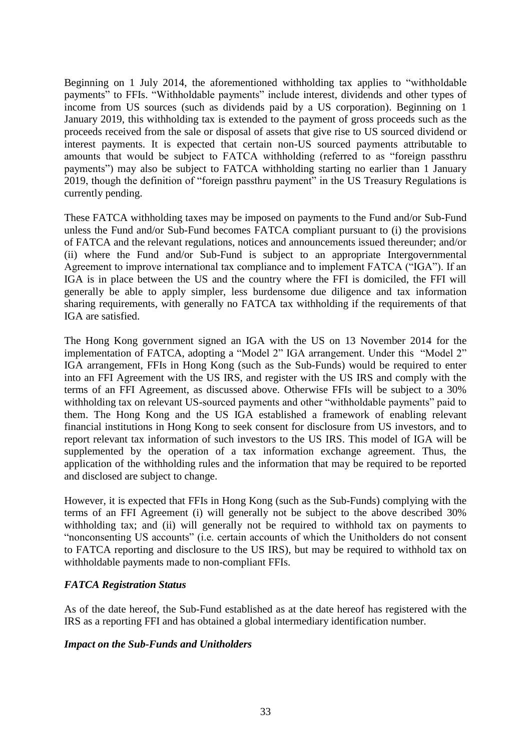Beginning on 1 July 2014, the aforementioned withholding tax applies to "withholdable payments" to FFIs. "Withholdable payments" include interest, dividends and other types of income from US sources (such as dividends paid by a US corporation). Beginning on 1 January 2019, this withholding tax is extended to the payment of gross proceeds such as the proceeds received from the sale or disposal of assets that give rise to US sourced dividend or interest payments. It is expected that certain non-US sourced payments attributable to amounts that would be subject to FATCA withholding (referred to as "foreign passthru payments") may also be subject to FATCA withholding starting no earlier than 1 January 2019, though the definition of "foreign passthru payment" in the US Treasury Regulations is currently pending.

These FATCA withholding taxes may be imposed on payments to the Fund and/or Sub-Fund unless the Fund and/or Sub-Fund becomes FATCA compliant pursuant to (i) the provisions of FATCA and the relevant regulations, notices and announcements issued thereunder; and/or (ii) where the Fund and/or Sub-Fund is subject to an appropriate Intergovernmental Agreement to improve international tax compliance and to implement FATCA ("IGA"). If an IGA is in place between the US and the country where the FFI is domiciled, the FFI will generally be able to apply simpler, less burdensome due diligence and tax information sharing requirements, with generally no FATCA tax withholding if the requirements of that IGA are satisfied.

The Hong Kong government signed an IGA with the US on 13 November 2014 for the implementation of FATCA, adopting a "Model 2" IGA arrangement. Under this "Model 2" IGA arrangement, FFIs in Hong Kong (such as the Sub-Funds) would be required to enter into an FFI Agreement with the US IRS, and register with the US IRS and comply with the terms of an FFI Agreement, as discussed above. Otherwise FFIs will be subject to a 30% withholding tax on relevant US-sourced payments and other "withholdable payments" paid to them. The Hong Kong and the US IGA established a framework of enabling relevant financial institutions in Hong Kong to seek consent for disclosure from US investors, and to report relevant tax information of such investors to the US IRS. This model of IGA will be supplemented by the operation of a tax information exchange agreement. Thus, the application of the withholding rules and the information that may be required to be reported and disclosed are subject to change.

However, it is expected that FFIs in Hong Kong (such as the Sub-Funds) complying with the terms of an FFI Agreement (i) will generally not be subject to the above described 30% withholding tax; and (ii) will generally not be required to withhold tax on payments to "nonconsenting US accounts" (i.e. certain accounts of which the Unitholders do not consent to FATCA reporting and disclosure to the US IRS), but may be required to withhold tax on withholdable payments made to non-compliant FFIs.

## *FATCA Registration Status*

As of the date hereof, the Sub-Fund established as at the date hereof has registered with the IRS as a reporting FFI and has obtained a global intermediary identification number.

#### *Impact on the Sub-Funds and Unitholders*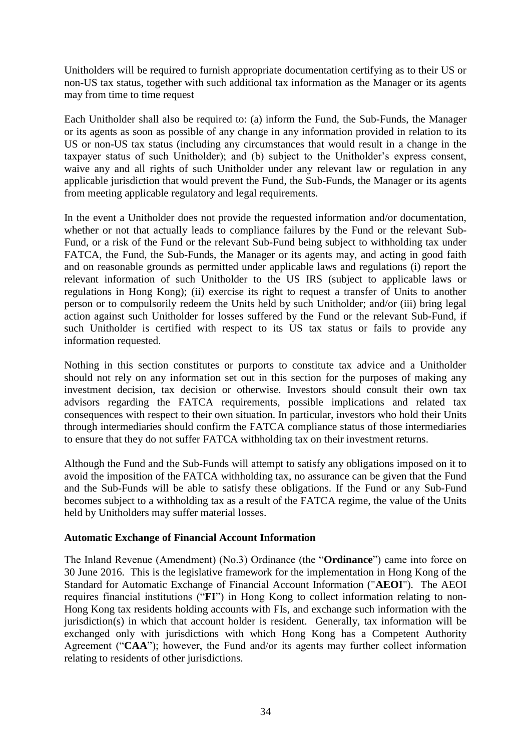Unitholders will be required to furnish appropriate documentation certifying as to their US or non-US tax status, together with such additional tax information as the Manager or its agents may from time to time request

Each Unitholder shall also be required to: (a) inform the Fund, the Sub-Funds, the Manager or its agents as soon as possible of any change in any information provided in relation to its US or non-US tax status (including any circumstances that would result in a change in the taxpayer status of such Unitholder); and (b) subject to the Unitholder's express consent, waive any and all rights of such Unitholder under any relevant law or regulation in any applicable jurisdiction that would prevent the Fund, the Sub-Funds, the Manager or its agents from meeting applicable regulatory and legal requirements.

In the event a Unitholder does not provide the requested information and/or documentation, whether or not that actually leads to compliance failures by the Fund or the relevant Sub-Fund, or a risk of the Fund or the relevant Sub-Fund being subject to withholding tax under FATCA, the Fund, the Sub-Funds, the Manager or its agents may, and acting in good faith and on reasonable grounds as permitted under applicable laws and regulations (i) report the relevant information of such Unitholder to the US IRS (subject to applicable laws or regulations in Hong Kong); (ii) exercise its right to request a transfer of Units to another person or to compulsorily redeem the Units held by such Unitholder; and/or (iii) bring legal action against such Unitholder for losses suffered by the Fund or the relevant Sub-Fund, if such Unitholder is certified with respect to its US tax status or fails to provide any information requested.

Nothing in this section constitutes or purports to constitute tax advice and a Unitholder should not rely on any information set out in this section for the purposes of making any investment decision, tax decision or otherwise. Investors should consult their own tax advisors regarding the FATCA requirements, possible implications and related tax consequences with respect to their own situation. In particular, investors who hold their Units through intermediaries should confirm the FATCA compliance status of those intermediaries to ensure that they do not suffer FATCA withholding tax on their investment returns.

Although the Fund and the Sub-Funds will attempt to satisfy any obligations imposed on it to avoid the imposition of the FATCA withholding tax, no assurance can be given that the Fund and the Sub-Funds will be able to satisfy these obligations. If the Fund or any Sub-Fund becomes subject to a withholding tax as a result of the FATCA regime, the value of the Units held by Unitholders may suffer material losses.

#### **Automatic Exchange of Financial Account Information**

The Inland Revenue (Amendment) (No.3) Ordinance (the "**Ordinance**") came into force on 30 June 2016. This is the legislative framework for the implementation in Hong Kong of the Standard for Automatic Exchange of Financial Account Information ("**AEOI**"). The AEOI requires financial institutions ("**FI**") in Hong Kong to collect information relating to non-Hong Kong tax residents holding accounts with FIs, and exchange such information with the jurisdiction(s) in which that account holder is resident. Generally, tax information will be exchanged only with jurisdictions with which Hong Kong has a Competent Authority Agreement ("**CAA**"); however, the Fund and/or its agents may further collect information relating to residents of other jurisdictions.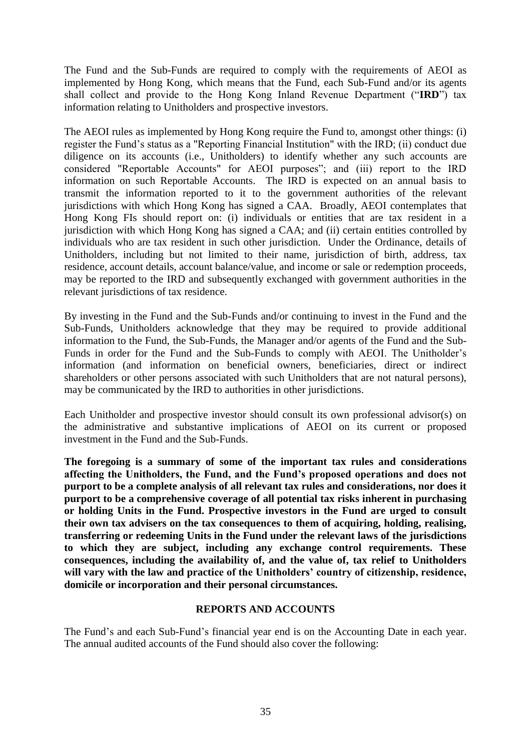The Fund and the Sub-Funds are required to comply with the requirements of AEOI as implemented by Hong Kong, which means that the Fund, each Sub-Fund and/or its agents shall collect and provide to the Hong Kong Inland Revenue Department ("**IRD**") tax information relating to Unitholders and prospective investors.

The AEOI rules as implemented by Hong Kong require the Fund to, amongst other things: (i) register the Fund's status as a "Reporting Financial Institution" with the IRD; (ii) conduct due diligence on its accounts (i.e., Unitholders) to identify whether any such accounts are considered "Reportable Accounts" for AEOI purposes"; and (iii) report to the IRD information on such Reportable Accounts. The IRD is expected on an annual basis to transmit the information reported to it to the government authorities of the relevant jurisdictions with which Hong Kong has signed a CAA. Broadly, AEOI contemplates that Hong Kong FIs should report on: (i) individuals or entities that are tax resident in a jurisdiction with which Hong Kong has signed a CAA; and (ii) certain entities controlled by individuals who are tax resident in such other jurisdiction. Under the Ordinance, details of Unitholders, including but not limited to their name, jurisdiction of birth, address, tax residence, account details, account balance/value, and income or sale or redemption proceeds, may be reported to the IRD and subsequently exchanged with government authorities in the relevant jurisdictions of tax residence.

By investing in the Fund and the Sub-Funds and/or continuing to invest in the Fund and the Sub-Funds, Unitholders acknowledge that they may be required to provide additional information to the Fund, the Sub-Funds, the Manager and/or agents of the Fund and the Sub-Funds in order for the Fund and the Sub-Funds to comply with AEOI. The Unitholder's information (and information on beneficial owners, beneficiaries, direct or indirect shareholders or other persons associated with such Unitholders that are not natural persons), may be communicated by the IRD to authorities in other jurisdictions.

Each Unitholder and prospective investor should consult its own professional advisor(s) on the administrative and substantive implications of AEOI on its current or proposed investment in the Fund and the Sub-Funds.

**The foregoing is a summary of some of the important tax rules and considerations affecting the Unitholders, the Fund, and the Fund's proposed operations and does not purport to be a complete analysis of all relevant tax rules and considerations, nor does it purport to be a comprehensive coverage of all potential tax risks inherent in purchasing or holding Units in the Fund. Prospective investors in the Fund are urged to consult their own tax advisers on the tax consequences to them of acquiring, holding, realising, transferring or redeeming Units in the Fund under the relevant laws of the jurisdictions to which they are subject, including any exchange control requirements. These consequences, including the availability of, and the value of, tax relief to Unitholders will vary with the law and practice of the Unitholders' country of citizenship, residence, domicile or incorporation and their personal circumstances.**

## **REPORTS AND ACCOUNTS**

<span id="page-39-0"></span>The Fund's and each Sub-Fund's financial year end is on the Accounting Date in each year. The annual audited accounts of the Fund should also cover the following: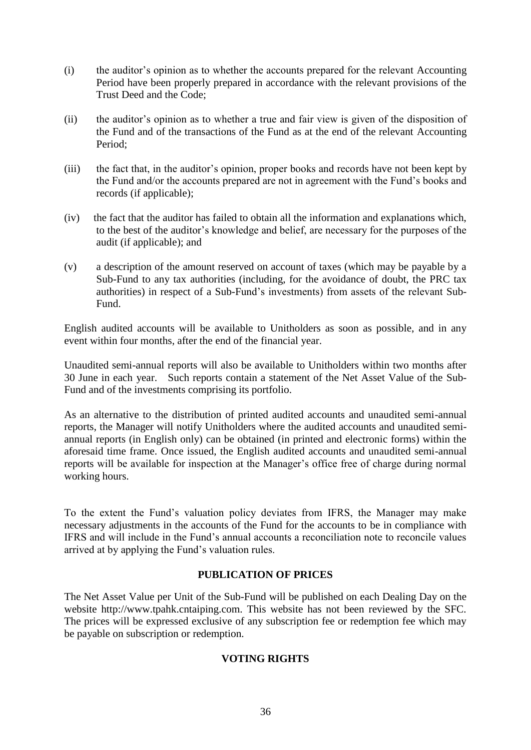- (i) the auditor's opinion as to whether the accounts prepared for the relevant Accounting Period have been properly prepared in accordance with the relevant provisions of the Trust Deed and the Code;
- (ii) the auditor's opinion as to whether a true and fair view is given of the disposition of the Fund and of the transactions of the Fund as at the end of the relevant Accounting Period;
- (iii) the fact that, in the auditor's opinion, proper books and records have not been kept by the Fund and/or the accounts prepared are not in agreement with the Fund's books and records (if applicable);
- (iv) the fact that the auditor has failed to obtain all the information and explanations which, to the best of the auditor's knowledge and belief, are necessary for the purposes of the audit (if applicable); and
- (v) a description of the amount reserved on account of taxes (which may be payable by a Sub-Fund to any tax authorities (including, for the avoidance of doubt, the PRC tax authorities) in respect of a Sub-Fund's investments) from assets of the relevant Sub-Fund.

English audited accounts will be available to Unitholders as soon as possible, and in any event within four months, after the end of the financial year.

Unaudited semi-annual reports will also be available to Unitholders within two months after 30 June in each year. Such reports contain a statement of the Net Asset Value of the Sub-Fund and of the investments comprising its portfolio.

As an alternative to the distribution of printed audited accounts and unaudited semi-annual reports, the Manager will notify Unitholders where the audited accounts and unaudited semiannual reports (in English only) can be obtained (in printed and electronic forms) within the aforesaid time frame. Once issued, the English audited accounts and unaudited semi-annual reports will be available for inspection at the Manager's office free of charge during normal working hours.

To the extent the Fund's valuation policy deviates from IFRS, the Manager may make necessary adjustments in the accounts of the Fund for the accounts to be in compliance with IFRS and will include in the Fund's annual accounts a reconciliation note to reconcile values arrived at by applying the Fund's valuation rules.

## **PUBLICATION OF PRICES**

<span id="page-40-1"></span><span id="page-40-0"></span>The Net Asset Value per Unit of the Sub-Fund will be published on each Dealing Day on the website http://www.tpahk.cntaiping.com. This website has not been reviewed by the SFC. The prices will be expressed exclusive of any subscription fee or redemption fee which may be payable on subscription or redemption.

## **VOTING RIGHTS**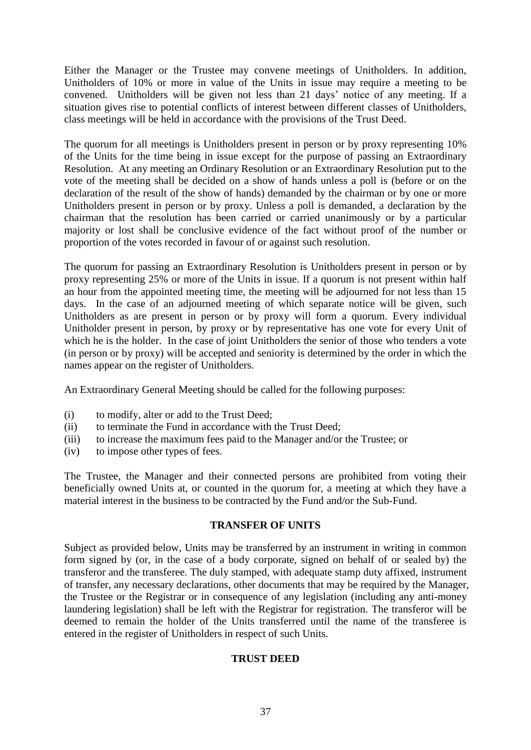Either the Manager or the Trustee may convene meetings of Unitholders. In addition, Unitholders of 10% or more in value of the Units in issue may require a meeting to be convened. Unitholders will be given not less than 21 days' notice of any meeting. If a situation gives rise to potential conflicts of interest between different classes of Unitholders, class meetings will be held in accordance with the provisions of the Trust Deed.

The quorum for all meetings is Unitholders present in person or by proxy representing 10% of the Units for the time being in issue except for the purpose of passing an Extraordinary Resolution. At any meeting an Ordinary Resolution or an Extraordinary Resolution put to the vote of the meeting shall be decided on a show of hands unless a poll is (before or on the declaration of the result of the show of hands) demanded by the chairman or by one or more Unitholders present in person or by proxy. Unless a poll is demanded, a declaration by the chairman that the resolution has been carried or carried unanimously or by a particular majority or lost shall be conclusive evidence of the fact without proof of the number or proportion of the votes recorded in favour of or against such resolution.

The quorum for passing an Extraordinary Resolution is Unitholders present in person or by proxy representing 25% or more of the Units in issue. If a quorum is not present within half an hour from the appointed meeting time, the meeting will be adjourned for not less than 15 days. In the case of an adjourned meeting of which separate notice will be given, such Unitholders as are present in person or by proxy will form a quorum. Every individual Unitholder present in person, by proxy or by representative has one vote for every Unit of which he is the holder. In the case of joint Unitholders the senior of those who tenders a vote (in person or by proxy) will be accepted and seniority is determined by the order in which the names appear on the register of Unitholders.

An Extraordinary General Meeting should be called for the following purposes:

- (i) to modify, alter or add to the Trust Deed;
- (ii) to terminate the Fund in accordance with the Trust Deed;
- (iii) to increase the maximum fees paid to the Manager and/or the Trustee; or
- (iv) to impose other types of fees.

The Trustee, the Manager and their connected persons are prohibited from voting their beneficially owned Units at, or counted in the quorum for, a meeting at which they have a material interest in the business to be contracted by the Fund and/or the Sub-Fund.

## **TRANSFER OF UNITS**

<span id="page-41-1"></span><span id="page-41-0"></span>Subject as provided below, Units may be transferred by an instrument in writing in common form signed by (or, in the case of a body corporate, signed on behalf of or sealed by) the transferor and the transferee. The duly stamped, with adequate stamp duty affixed, instrument of transfer, any necessary declarations, other documents that may be required by the Manager, the Trustee or the Registrar or in consequence of any legislation (including any anti-money laundering legislation) shall be left with the Registrar for registration. The transferor will be deemed to remain the holder of the Units transferred until the name of the transferee is entered in the register of Unitholders in respect of such Units.

## **TRUST DEED**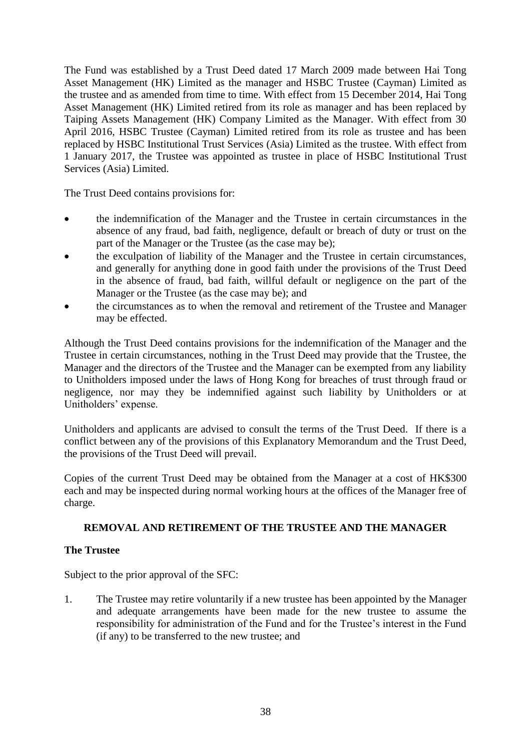The Fund was established by a Trust Deed dated 17 March 2009 made between Hai Tong Asset Management (HK) Limited as the manager and HSBC Trustee (Cayman) Limited as the trustee and as amended from time to time. With effect from 15 December 2014, Hai Tong Asset Management (HK) Limited retired from its role as manager and has been replaced by Taiping Assets Management (HK) Company Limited as the Manager. With effect from 30 April 2016, HSBC Trustee (Cayman) Limited retired from its role as trustee and has been replaced by HSBC Institutional Trust Services (Asia) Limited as the trustee. With effect from 1 January 2017, the Trustee was appointed as trustee in place of HSBC Institutional Trust Services (Asia) Limited.

The Trust Deed contains provisions for:

- the indemnification of the Manager and the Trustee in certain circumstances in the absence of any fraud, bad faith, negligence, default or breach of duty or trust on the part of the Manager or the Trustee (as the case may be);
- the exculpation of liability of the Manager and the Trustee in certain circumstances, and generally for anything done in good faith under the provisions of the Trust Deed in the absence of fraud, bad faith, willful default or negligence on the part of the Manager or the Trustee (as the case may be); and
- the circumstances as to when the removal and retirement of the Trustee and Manager may be effected.

Although the Trust Deed contains provisions for the indemnification of the Manager and the Trustee in certain circumstances, nothing in the Trust Deed may provide that the Trustee, the Manager and the directors of the Trustee and the Manager can be exempted from any liability to Unitholders imposed under the laws of Hong Kong for breaches of trust through fraud or negligence, nor may they be indemnified against such liability by Unitholders or at Unitholders' expense.

Unitholders and applicants are advised to consult the terms of the Trust Deed. If there is a conflict between any of the provisions of this Explanatory Memorandum and the Trust Deed, the provisions of the Trust Deed will prevail.

Copies of the current Trust Deed may be obtained from the Manager at a cost of HK\$300 each and may be inspected during normal working hours at the offices of the Manager free of charge.

## <span id="page-42-0"></span>**REMOVAL AND RETIREMENT OF THE TRUSTEE AND THE MANAGER**

## **The Trustee**

Subject to the prior approval of the SFC:

1. The Trustee may retire voluntarily if a new trustee has been appointed by the Manager and adequate arrangements have been made for the new trustee to assume the responsibility for administration of the Fund and for the Trustee's interest in the Fund (if any) to be transferred to the new trustee; and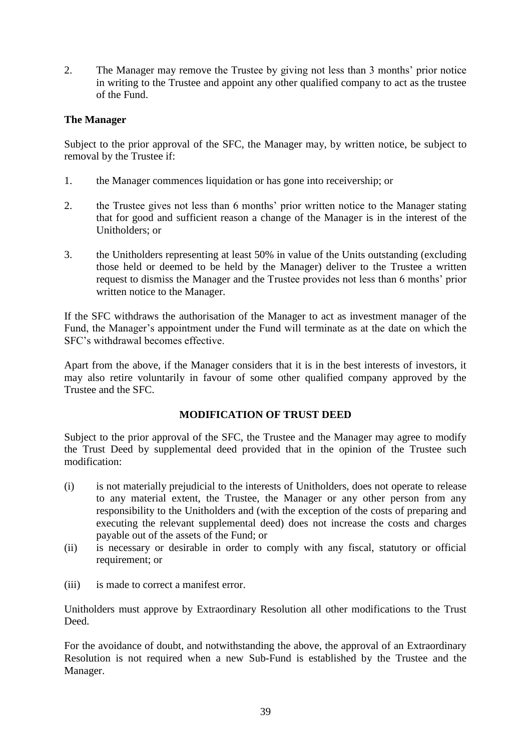2. The Manager may remove the Trustee by giving not less than 3 months' prior notice in writing to the Trustee and appoint any other qualified company to act as the trustee of the Fund.

# **The Manager**

Subject to the prior approval of the SFC, the Manager may, by written notice, be subject to removal by the Trustee if:

- 1. the Manager commences liquidation or has gone into receivership; or
- 2. the Trustee gives not less than 6 months' prior written notice to the Manager stating that for good and sufficient reason a change of the Manager is in the interest of the Unitholders; or
- 3. the Unitholders representing at least 50% in value of the Units outstanding (excluding those held or deemed to be held by the Manager) deliver to the Trustee a written request to dismiss the Manager and the Trustee provides not less than 6 months' prior written notice to the Manager.

If the SFC withdraws the authorisation of the Manager to act as investment manager of the Fund, the Manager's appointment under the Fund will terminate as at the date on which the SFC's withdrawal becomes effective.

Apart from the above, if the Manager considers that it is in the best interests of investors, it may also retire voluntarily in favour of some other qualified company approved by the Trustee and the SFC.

## **MODIFICATION OF TRUST DEED**

<span id="page-43-0"></span>Subject to the prior approval of the SFC, the Trustee and the Manager may agree to modify the Trust Deed by supplemental deed provided that in the opinion of the Trustee such modification:

- (i) is not materially prejudicial to the interests of Unitholders, does not operate to release to any material extent, the Trustee, the Manager or any other person from any responsibility to the Unitholders and (with the exception of the costs of preparing and executing the relevant supplemental deed) does not increase the costs and charges payable out of the assets of the Fund; or
- (ii) is necessary or desirable in order to comply with any fiscal, statutory or official requirement; or
- (iii) is made to correct a manifest error.

Unitholders must approve by Extraordinary Resolution all other modifications to the Trust Deed.

For the avoidance of doubt, and notwithstanding the above, the approval of an Extraordinary Resolution is not required when a new Sub-Fund is established by the Trustee and the Manager.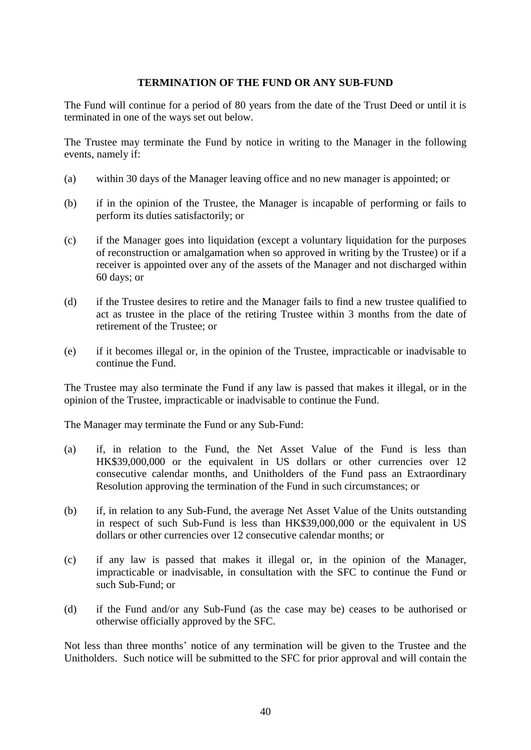#### **TERMINATION OF THE FUND OR ANY SUB-FUND**

<span id="page-44-0"></span>The Fund will continue for a period of 80 years from the date of the Trust Deed or until it is terminated in one of the ways set out below.

The Trustee may terminate the Fund by notice in writing to the Manager in the following events, namely if:

- (a) within 30 days of the Manager leaving office and no new manager is appointed; or
- (b) if in the opinion of the Trustee, the Manager is incapable of performing or fails to perform its duties satisfactorily; or
- (c) if the Manager goes into liquidation (except a voluntary liquidation for the purposes of reconstruction or amalgamation when so approved in writing by the Trustee) or if a receiver is appointed over any of the assets of the Manager and not discharged within 60 days; or
- (d) if the Trustee desires to retire and the Manager fails to find a new trustee qualified to act as trustee in the place of the retiring Trustee within 3 months from the date of retirement of the Trustee; or
- (e) if it becomes illegal or, in the opinion of the Trustee, impracticable or inadvisable to continue the Fund.

The Trustee may also terminate the Fund if any law is passed that makes it illegal, or in the opinion of the Trustee, impracticable or inadvisable to continue the Fund.

The Manager may terminate the Fund or any Sub-Fund:

- (a) if, in relation to the Fund, the Net Asset Value of the Fund is less than HK\$39,000,000 or the equivalent in US dollars or other currencies over 12 consecutive calendar months, and Unitholders of the Fund pass an Extraordinary Resolution approving the termination of the Fund in such circumstances; or
- (b) if, in relation to any Sub-Fund, the average Net Asset Value of the Units outstanding in respect of such Sub-Fund is less than HK\$39,000,000 or the equivalent in US dollars or other currencies over 12 consecutive calendar months; or
- (c) if any law is passed that makes it illegal or, in the opinion of the Manager, impracticable or inadvisable, in consultation with the SFC to continue the Fund or such Sub-Fund; or
- (d) if the Fund and/or any Sub-Fund (as the case may be) ceases to be authorised or otherwise officially approved by the SFC.

Not less than three months' notice of any termination will be given to the Trustee and the Unitholders. Such notice will be submitted to the SFC for prior approval and will contain the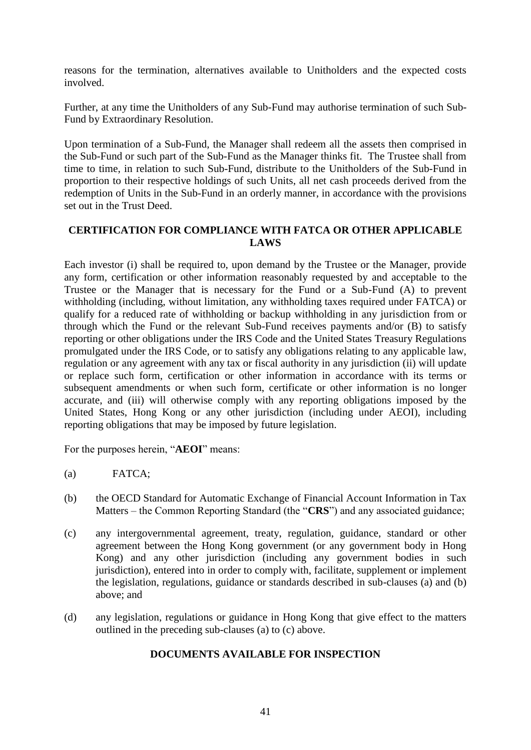reasons for the termination, alternatives available to Unitholders and the expected costs involved.

Further, at any time the Unitholders of any Sub-Fund may authorise termination of such Sub-Fund by Extraordinary Resolution.

Upon termination of a Sub-Fund, the Manager shall redeem all the assets then comprised in the Sub-Fund or such part of the Sub-Fund as the Manager thinks fit. The Trustee shall from time to time, in relation to such Sub-Fund, distribute to the Unitholders of the Sub-Fund in proportion to their respective holdings of such Units, all net cash proceeds derived from the redemption of Units in the Sub-Fund in an orderly manner, in accordance with the provisions set out in the Trust Deed.

### <span id="page-45-0"></span>**CERTIFICATION FOR COMPLIANCE WITH FATCA OR OTHER APPLICABLE LAWS**

Each investor (i) shall be required to, upon demand by the Trustee or the Manager, provide any form, certification or other information reasonably requested by and acceptable to the Trustee or the Manager that is necessary for the Fund or a Sub-Fund (A) to prevent withholding (including, without limitation, any withholding taxes required under FATCA) or qualify for a reduced rate of withholding or backup withholding in any jurisdiction from or through which the Fund or the relevant Sub-Fund receives payments and/or (B) to satisfy reporting or other obligations under the IRS Code and the United States Treasury Regulations promulgated under the IRS Code, or to satisfy any obligations relating to any applicable law, regulation or any agreement with any tax or fiscal authority in any jurisdiction (ii) will update or replace such form, certification or other information in accordance with its terms or subsequent amendments or when such form, certificate or other information is no longer accurate, and (iii) will otherwise comply with any reporting obligations imposed by the United States, Hong Kong or any other jurisdiction (including under AEOI), including reporting obligations that may be imposed by future legislation.

For the purposes herein, "**AEOI**" means:

- (a) FATCA;
- (b) the OECD Standard for Automatic Exchange of Financial Account Information in Tax Matters – the Common Reporting Standard (the "**CRS**") and any associated guidance;
- (c) any intergovernmental agreement, treaty, regulation, guidance, standard or other agreement between the Hong Kong government (or any government body in Hong Kong) and any other jurisdiction (including any government bodies in such jurisdiction), entered into in order to comply with, facilitate, supplement or implement the legislation, regulations, guidance or standards described in sub-clauses (a) and (b) above; and
- <span id="page-45-1"></span>(d) any legislation, regulations or guidance in Hong Kong that give effect to the matters outlined in the preceding sub-clauses (a) to (c) above.

## **DOCUMENTS AVAILABLE FOR INSPECTION**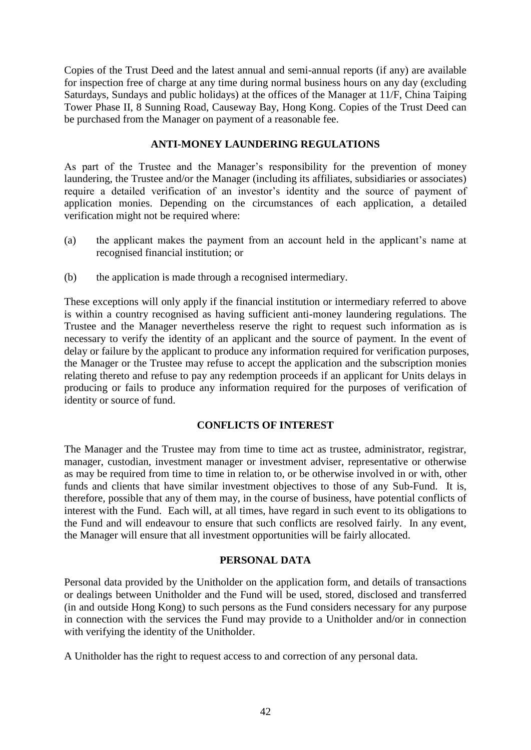Copies of the Trust Deed and the latest annual and semi-annual reports (if any) are available for inspection free of charge at any time during normal business hours on any day (excluding Saturdays, Sundays and public holidays) at the offices of the Manager at 11/F, China Taiping Tower Phase II, 8 Sunning Road, Causeway Bay, Hong Kong. Copies of the Trust Deed can be purchased from the Manager on payment of a reasonable fee.

### **ANTI-MONEY LAUNDERING REGULATIONS**

<span id="page-46-0"></span>As part of the Trustee and the Manager's responsibility for the prevention of money laundering, the Trustee and/or the Manager (including its affiliates, subsidiaries or associates) require a detailed verification of an investor's identity and the source of payment of application monies. Depending on the circumstances of each application, a detailed verification might not be required where:

- (a) the applicant makes the payment from an account held in the applicant's name at recognised financial institution; or
- (b) the application is made through a recognised intermediary.

These exceptions will only apply if the financial institution or intermediary referred to above is within a country recognised as having sufficient anti-money laundering regulations. The Trustee and the Manager nevertheless reserve the right to request such information as is necessary to verify the identity of an applicant and the source of payment. In the event of delay or failure by the applicant to produce any information required for verification purposes, the Manager or the Trustee may refuse to accept the application and the subscription monies relating thereto and refuse to pay any redemption proceeds if an applicant for Units delays in producing or fails to produce any information required for the purposes of verification of identity or source of fund.

## **CONFLICTS OF INTEREST**

<span id="page-46-1"></span>The Manager and the Trustee may from time to time act as trustee, administrator, registrar, manager, custodian, investment manager or investment adviser, representative or otherwise as may be required from time to time in relation to, or be otherwise involved in or with, other funds and clients that have similar investment objectives to those of any Sub-Fund. It is, therefore, possible that any of them may, in the course of business, have potential conflicts of interest with the Fund. Each will, at all times, have regard in such event to its obligations to the Fund and will endeavour to ensure that such conflicts are resolved fairly. In any event, the Manager will ensure that all investment opportunities will be fairly allocated.

## **PERSONAL DATA**

<span id="page-46-2"></span>Personal data provided by the Unitholder on the application form, and details of transactions or dealings between Unitholder and the Fund will be used, stored, disclosed and transferred (in and outside Hong Kong) to such persons as the Fund considers necessary for any purpose in connection with the services the Fund may provide to a Unitholder and/or in connection with verifying the identity of the Unitholder.

A Unitholder has the right to request access to and correction of any personal data.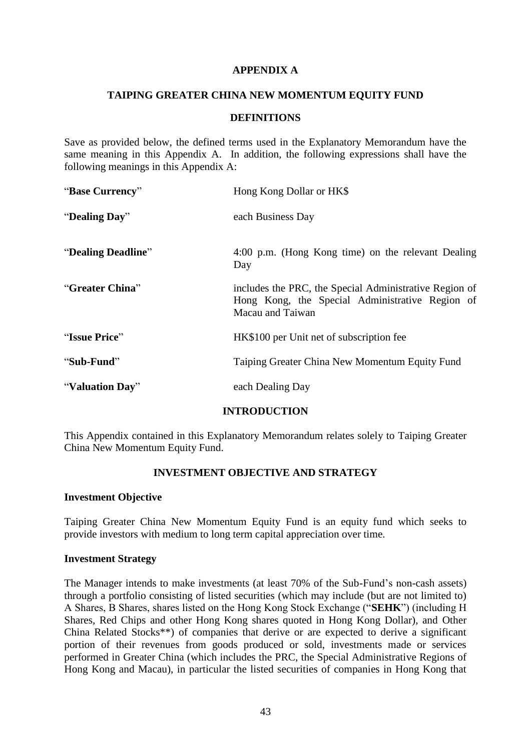#### **APPENDIX A**

#### <span id="page-47-0"></span>**TAIPING GREATER CHINA NEW MOMENTUM EQUITY FUND**

### **DEFINITIONS**

Save as provided below, the defined terms used in the Explanatory Memorandum have the same meaning in this Appendix A. In addition, the following expressions shall have the following meanings in this Appendix A:

| "Base Currency"    | Hong Kong Dollar or HK\$                                                                                                      |  |
|--------------------|-------------------------------------------------------------------------------------------------------------------------------|--|
| "Dealing Day"      | each Business Day                                                                                                             |  |
| "Dealing Deadline" | 4:00 p.m. (Hong Kong time) on the relevant Dealing<br>Day                                                                     |  |
| "Greater China"    | includes the PRC, the Special Administrative Region of<br>Hong Kong, the Special Administrative Region of<br>Macau and Taiwan |  |
| "Issue Price"      | HK\$100 per Unit net of subscription fee                                                                                      |  |
| "Sub-Fund"         | Taiping Greater China New Momentum Equity Fund                                                                                |  |
| "Valuation Day"    | each Dealing Day                                                                                                              |  |

## **INTRODUCTION**

This Appendix contained in this Explanatory Memorandum relates solely to Taiping Greater China New Momentum Equity Fund.

## **INVESTMENT OBJECTIVE AND STRATEGY**

#### **Investment Objective**

Taiping Greater China New Momentum Equity Fund is an equity fund which seeks to provide investors with medium to long term capital appreciation over time.

#### **Investment Strategy**

The Manager intends to make investments (at least 70% of the Sub-Fund's non-cash assets) through a portfolio consisting of listed securities (which may include (but are not limited to) A Shares, B Shares, shares listed on the Hong Kong Stock Exchange ("**SEHK**") (including H Shares, Red Chips and other Hong Kong shares quoted in Hong Kong Dollar), and Other China Related Stocks\*\*) of companies that derive or are expected to derive a significant portion of their revenues from goods produced or sold, investments made or services performed in Greater China (which includes the PRC, the Special Administrative Regions of Hong Kong and Macau), in particular the listed securities of companies in Hong Kong that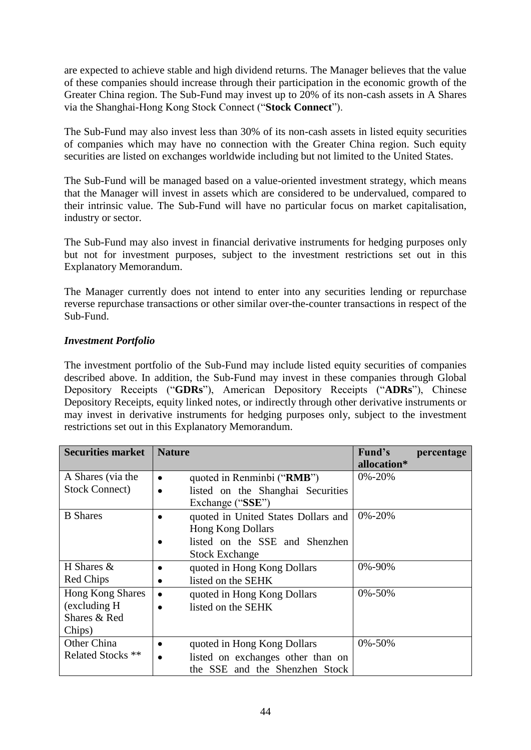are expected to achieve stable and high dividend returns. The Manager believes that the value of these companies should increase through their participation in the economic growth of the Greater China region. The Sub-Fund may invest up to 20% of its non-cash assets in A Shares via the Shanghai-Hong Kong Stock Connect ("**Stock Connect**").

The Sub-Fund may also invest less than 30% of its non-cash assets in listed equity securities of companies which may have no connection with the Greater China region. Such equity securities are listed on exchanges worldwide including but not limited to the United States.

The Sub-Fund will be managed based on a value-oriented investment strategy, which means that the Manager will invest in assets which are considered to be undervalued, compared to their intrinsic value. The Sub-Fund will have no particular focus on market capitalisation, industry or sector.

The Sub-Fund may also invest in financial derivative instruments for hedging purposes only but not for investment purposes, subject to the investment restrictions set out in this Explanatory Memorandum.

The Manager currently does not intend to enter into any securities lending or repurchase reverse repurchase transactions or other similar over-the-counter transactions in respect of the Sub-Fund.

## *Investment Portfolio*

The investment portfolio of the Sub-Fund may include listed equity securities of companies described above. In addition, the Sub-Fund may invest in these companies through Global Depository Receipts ("**GDRs**"), American Depository Receipts ("**ADRs**"), Chinese Depository Receipts, equity linked notes, or indirectly through other derivative instruments or may invest in derivative instruments for hedging purposes only, subject to the investment restrictions set out in this Explanatory Memorandum.

| <b>Securities market</b>                                           | <b>Nature</b>                                                                                                   | Fund's<br>percentage<br>allocation* |
|--------------------------------------------------------------------|-----------------------------------------------------------------------------------------------------------------|-------------------------------------|
| A Shares (via the<br><b>Stock Connect)</b>                         | quoted in Renminbi ("RMB")<br>٠<br>listed on the Shanghai Securities<br>$\bullet$                               | $0\% - 20\%$                        |
| <b>B</b> Shares                                                    | Exchange ("SSE")<br>quoted in United States Dollars and                                                         | 0%-20%                              |
|                                                                    | <b>Hong Kong Dollars</b>                                                                                        |                                     |
|                                                                    | listed on the SSE and Shenzhen<br><b>Stock Exchange</b>                                                         |                                     |
| H Shares $&$<br>Red Chips                                          | quoted in Hong Kong Dollars<br>listed on the SEHK                                                               | 0%-90%                              |
| <b>Hong Kong Shares</b><br>(excluding H)<br>Shares & Red<br>Chips) | quoted in Hong Kong Dollars<br>$\bullet$<br>listed on the SEHK                                                  | $0\% - 50\%$                        |
| Other China<br>Related Stocks <sup>**</sup>                        | quoted in Hong Kong Dollars<br>listed on exchanges other than on<br>$\bullet$<br>the SSE and the Shenzhen Stock | $0\% - 50\%$                        |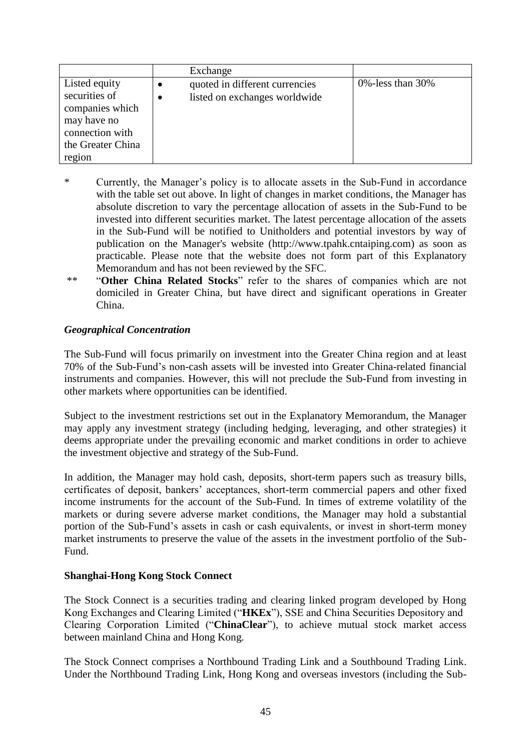|                   |   | Exchange                       |                       |
|-------------------|---|--------------------------------|-----------------------|
| Listed equity     |   | quoted in different currencies | 0\% -less than $30\%$ |
| securities of     | ٠ | listed on exchanges worldwide  |                       |
| companies which   |   |                                |                       |
| may have no       |   |                                |                       |
| connection with   |   |                                |                       |
| the Greater China |   |                                |                       |
| region            |   |                                |                       |

- \* Currently, the Manager's policy is to allocate assets in the Sub-Fund in accordance with the table set out above. In light of changes in market conditions, the Manager has absolute discretion to vary the percentage allocation of assets in the Sub-Fund to be invested into different securities market. The latest percentage allocation of the assets in the Sub-Fund will be notified to Unitholders and potential investors by way of publication on the Manager's website (http://www.tpahk.cntaiping.com) as soon as practicable. Please note that the website does not form part of this Explanatory Memorandum and has not been reviewed by the SFC.
- \*\* "**Other China Related Stocks**" refer to the shares of companies which are not domiciled in Greater China, but have direct and significant operations in Greater China.

### *Geographical Concentration*

The Sub-Fund will focus primarily on investment into the Greater China region and at least 70% of the Sub-Fund's non-cash assets will be invested into Greater China-related financial instruments and companies. However, this will not preclude the Sub-Fund from investing in other markets where opportunities can be identified.

Subject to the investment restrictions set out in the Explanatory Memorandum, the Manager may apply any investment strategy (including hedging, leveraging, and other strategies) it deems appropriate under the prevailing economic and market conditions in order to achieve the investment objective and strategy of the Sub-Fund.

In addition, the Manager may hold cash, deposits, short-term papers such as treasury bills, certificates of deposit, bankers' acceptances, short-term commercial papers and other fixed income instruments for the account of the Sub-Fund. In times of extreme volatility of the markets or during severe adverse market conditions, the Manager may hold a substantial portion of the Sub-Fund's assets in cash or cash equivalents, or invest in short-term money market instruments to preserve the value of the assets in the investment portfolio of the Sub-Fund.

## **Shanghai-Hong Kong Stock Connect**

The Stock Connect is a securities trading and clearing linked program developed by Hong Kong Exchanges and Clearing Limited ("**HKEx**"), SSE and China Securities Depository and Clearing Corporation Limited ("**ChinaClear**"), to achieve mutual stock market access between mainland China and Hong Kong.

The Stock Connect comprises a Northbound Trading Link and a Southbound Trading Link. Under the Northbound Trading Link, Hong Kong and overseas investors (including the Sub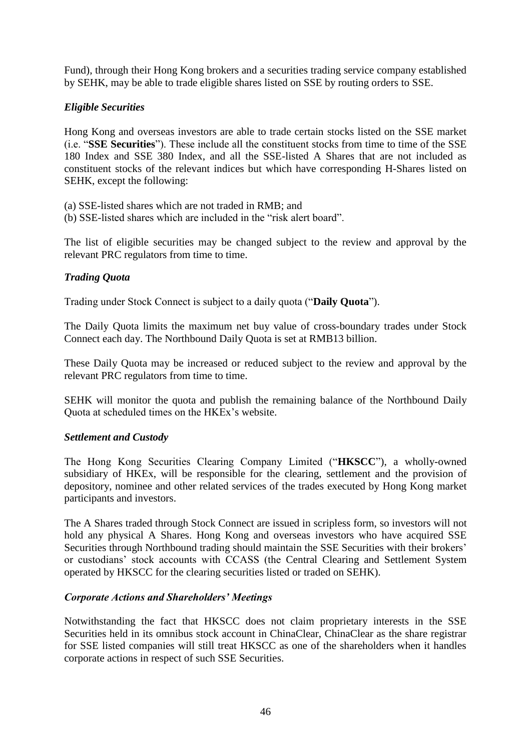Fund), through their Hong Kong brokers and a securities trading service company established by SEHK, may be able to trade eligible shares listed on SSE by routing orders to SSE.

# *Eligible Securities*

Hong Kong and overseas investors are able to trade certain stocks listed on the SSE market (i.e. "**SSE Securities**"). These include all the constituent stocks from time to time of the SSE 180 Index and SSE 380 Index, and all the SSE-listed A Shares that are not included as constituent stocks of the relevant indices but which have corresponding H-Shares listed on SEHK, except the following:

- (a) SSE-listed shares which are not traded in RMB; and
- (b) SSE-listed shares which are included in the "risk alert board".

The list of eligible securities may be changed subject to the review and approval by the relevant PRC regulators from time to time.

## *Trading Quota*

Trading under Stock Connect is subject to a daily quota ("**Daily Quota**").

The Daily Quota limits the maximum net buy value of cross-boundary trades under Stock Connect each day. The Northbound Daily Quota is set at RMB13 billion.

These Daily Quota may be increased or reduced subject to the review and approval by the relevant PRC regulators from time to time.

SEHK will monitor the quota and publish the remaining balance of the Northbound Daily Quota at scheduled times on the HKEx's website.

## *Settlement and Custody*

The Hong Kong Securities Clearing Company Limited ("**HKSCC**"), a wholly-owned subsidiary of HKEx, will be responsible for the clearing, settlement and the provision of depository, nominee and other related services of the trades executed by Hong Kong market participants and investors.

The A Shares traded through Stock Connect are issued in scripless form, so investors will not hold any physical A Shares. Hong Kong and overseas investors who have acquired SSE Securities through Northbound trading should maintain the SSE Securities with their brokers' or custodians' stock accounts with CCASS (the Central Clearing and Settlement System operated by HKSCC for the clearing securities listed or traded on SEHK).

## *Corporate Actions and Shareholders' Meetings*

Notwithstanding the fact that HKSCC does not claim proprietary interests in the SSE Securities held in its omnibus stock account in ChinaClear, ChinaClear as the share registrar for SSE listed companies will still treat HKSCC as one of the shareholders when it handles corporate actions in respect of such SSE Securities.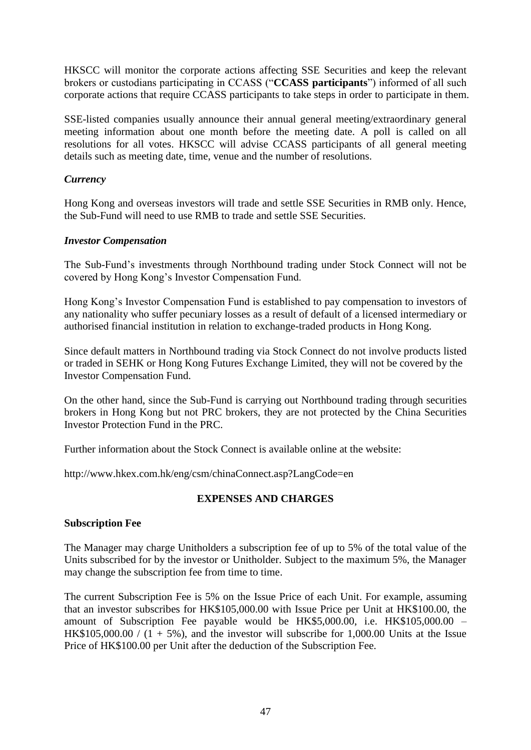HKSCC will monitor the corporate actions affecting SSE Securities and keep the relevant brokers or custodians participating in CCASS ("**CCASS participants**") informed of all such corporate actions that require CCASS participants to take steps in order to participate in them.

SSE-listed companies usually announce their annual general meeting/extraordinary general meeting information about one month before the meeting date. A poll is called on all resolutions for all votes. HKSCC will advise CCASS participants of all general meeting details such as meeting date, time, venue and the number of resolutions.

### *Currency*

Hong Kong and overseas investors will trade and settle SSE Securities in RMB only. Hence, the Sub-Fund will need to use RMB to trade and settle SSE Securities.

### *Investor Compensation*

The Sub-Fund's investments through Northbound trading under Stock Connect will not be covered by Hong Kong's Investor Compensation Fund.

Hong Kong's Investor Compensation Fund is established to pay compensation to investors of any nationality who suffer pecuniary losses as a result of default of a licensed intermediary or authorised financial institution in relation to exchange-traded products in Hong Kong.

Since default matters in Northbound trading via Stock Connect do not involve products listed or traded in SEHK or Hong Kong Futures Exchange Limited, they will not be covered by the Investor Compensation Fund.

On the other hand, since the Sub-Fund is carrying out Northbound trading through securities brokers in Hong Kong but not PRC brokers, they are not protected by the China Securities Investor Protection Fund in the PRC.

Further information about the Stock Connect is available online at the website:

http://www.hkex.com.hk/eng/csm/chinaConnect.asp?LangCode=en

## **EXPENSES AND CHARGES**

# **Subscription Fee**

The Manager may charge Unitholders a subscription fee of up to 5% of the total value of the Units subscribed for by the investor or Unitholder. Subject to the maximum 5%, the Manager may change the subscription fee from time to time.

The current Subscription Fee is 5% on the Issue Price of each Unit. For example, assuming that an investor subscribes for HK\$105,000.00 with Issue Price per Unit at HK\$100.00, the amount of Subscription Fee payable would be HK\$5,000.00, i.e. HK\$105,000.00 – HK\$105,000.00 /  $(1 + 5\%)$ , and the investor will subscribe for 1,000.00 Units at the Issue Price of HK\$100.00 per Unit after the deduction of the Subscription Fee.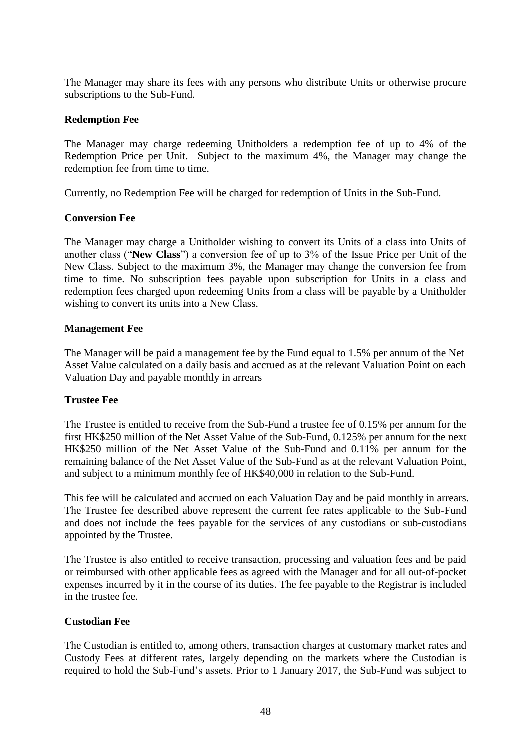The Manager may share its fees with any persons who distribute Units or otherwise procure subscriptions to the Sub-Fund.

#### **Redemption Fee**

The Manager may charge redeeming Unitholders a redemption fee of up to 4% of the Redemption Price per Unit. Subject to the maximum 4%, the Manager may change the redemption fee from time to time.

Currently, no Redemption Fee will be charged for redemption of Units in the Sub-Fund.

### **Conversion Fee**

The Manager may charge a Unitholder wishing to convert its Units of a class into Units of another class ("**New Class**") a conversion fee of up to 3% of the Issue Price per Unit of the New Class. Subject to the maximum 3%, the Manager may change the conversion fee from time to time. No subscription fees payable upon subscription for Units in a class and redemption fees charged upon redeeming Units from a class will be payable by a Unitholder wishing to convert its units into a New Class.

### **Management Fee**

The Manager will be paid a management fee by the Fund equal to 1.5% per annum of the Net Asset Value calculated on a daily basis and accrued as at the relevant Valuation Point on each Valuation Day and payable monthly in arrears

## **Trustee Fee**

The Trustee is entitled to receive from the Sub-Fund a trustee fee of 0.15% per annum for the first HK\$250 million of the Net Asset Value of the Sub-Fund, 0.125% per annum for the next HK\$250 million of the Net Asset Value of the Sub-Fund and 0.11% per annum for the remaining balance of the Net Asset Value of the Sub-Fund as at the relevant Valuation Point, and subject to a minimum monthly fee of HK\$40,000 in relation to the Sub-Fund.

This fee will be calculated and accrued on each Valuation Day and be paid monthly in arrears. The Trustee fee described above represent the current fee rates applicable to the Sub-Fund and does not include the fees payable for the services of any custodians or sub-custodians appointed by the Trustee.

The Trustee is also entitled to receive transaction, processing and valuation fees and be paid or reimbursed with other applicable fees as agreed with the Manager and for all out-of-pocket expenses incurred by it in the course of its duties. The fee payable to the Registrar is included in the trustee fee.

#### **Custodian Fee**

The Custodian is entitled to, among others, transaction charges at customary market rates and Custody Fees at different rates, largely depending on the markets where the Custodian is required to hold the Sub-Fund's assets. Prior to 1 January 2017, the Sub-Fund was subject to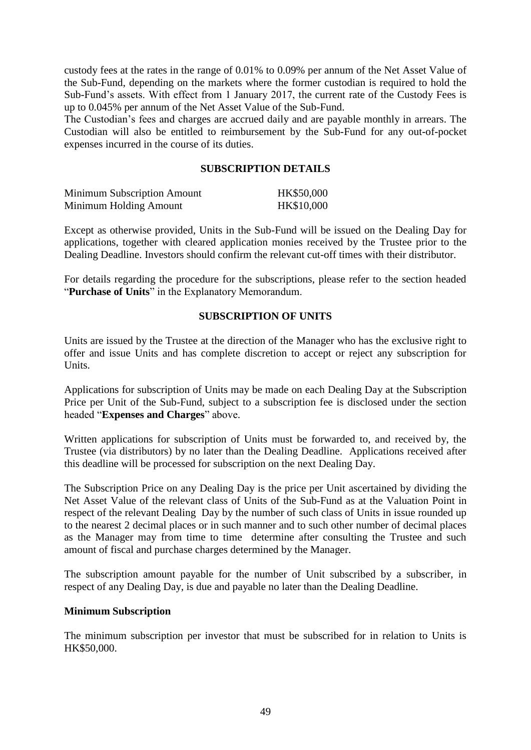custody fees at the rates in the range of 0.01% to 0.09% per annum of the Net Asset Value of the Sub-Fund, depending on the markets where the former custodian is required to hold the Sub-Fund's assets. With effect from 1 January 2017, the current rate of the Custody Fees is up to 0.045% per annum of the Net Asset Value of the Sub-Fund.

The Custodian's fees and charges are accrued daily and are payable monthly in arrears. The Custodian will also be entitled to reimbursement by the Sub-Fund for any out-of-pocket expenses incurred in the course of its duties.

### **SUBSCRIPTION DETAILS**

| <b>Minimum Subscription Amount</b> | HK\$50,000 |
|------------------------------------|------------|
| Minimum Holding Amount             | HK\$10,000 |

Except as otherwise provided, Units in the Sub-Fund will be issued on the Dealing Day for applications, together with cleared application monies received by the Trustee prior to the Dealing Deadline. Investors should confirm the relevant cut-off times with their distributor.

For details regarding the procedure for the subscriptions, please refer to the section headed "**Purchase of Units**" in the Explanatory Memorandum.

## **SUBSCRIPTION OF UNITS**

Units are issued by the Trustee at the direction of the Manager who has the exclusive right to offer and issue Units and has complete discretion to accept or reject any subscription for Units.

Applications for subscription of Units may be made on each Dealing Day at the Subscription Price per Unit of the Sub-Fund, subject to a subscription fee is disclosed under the section headed "**Expenses and Charges**" above.

Written applications for subscription of Units must be forwarded to, and received by, the Trustee (via distributors) by no later than the Dealing Deadline. Applications received after this deadline will be processed for subscription on the next Dealing Day.

The Subscription Price on any Dealing Day is the price per Unit ascertained by dividing the Net Asset Value of the relevant class of Units of the Sub-Fund as at the Valuation Point in respect of the relevant Dealing Day by the number of such class of Units in issue rounded up to the nearest 2 decimal places or in such manner and to such other number of decimal places as the Manager may from time to time determine after consulting the Trustee and such amount of fiscal and purchase charges determined by the Manager.

The subscription amount payable for the number of Unit subscribed by a subscriber, in respect of any Dealing Day, is due and payable no later than the Dealing Deadline.

#### **Minimum Subscription**

The minimum subscription per investor that must be subscribed for in relation to Units is HK\$50,000.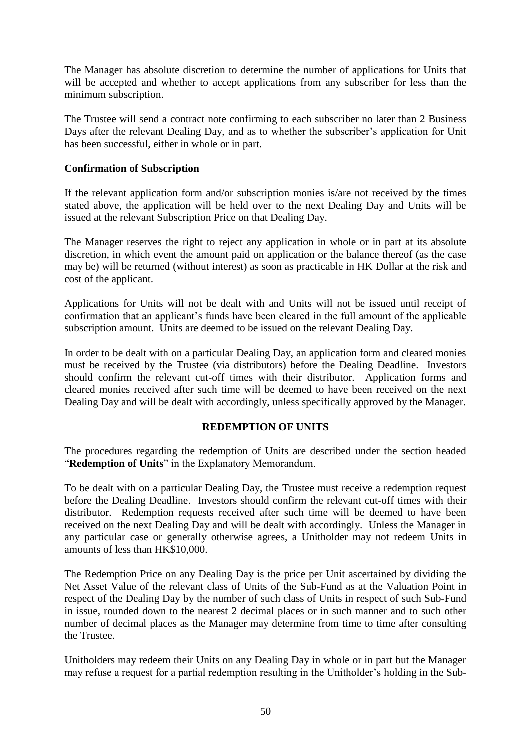The Manager has absolute discretion to determine the number of applications for Units that will be accepted and whether to accept applications from any subscriber for less than the minimum subscription.

The Trustee will send a contract note confirming to each subscriber no later than 2 Business Days after the relevant Dealing Day, and as to whether the subscriber's application for Unit has been successful, either in whole or in part.

### **Confirmation of Subscription**

If the relevant application form and/or subscription monies is/are not received by the times stated above, the application will be held over to the next Dealing Day and Units will be issued at the relevant Subscription Price on that Dealing Day.

The Manager reserves the right to reject any application in whole or in part at its absolute discretion, in which event the amount paid on application or the balance thereof (as the case may be) will be returned (without interest) as soon as practicable in HK Dollar at the risk and cost of the applicant.

Applications for Units will not be dealt with and Units will not be issued until receipt of confirmation that an applicant's funds have been cleared in the full amount of the applicable subscription amount. Units are deemed to be issued on the relevant Dealing Day.

In order to be dealt with on a particular Dealing Day, an application form and cleared monies must be received by the Trustee (via distributors) before the Dealing Deadline. Investors should confirm the relevant cut-off times with their distributor. Application forms and cleared monies received after such time will be deemed to have been received on the next Dealing Day and will be dealt with accordingly, unless specifically approved by the Manager.

#### **REDEMPTION OF UNITS**

The procedures regarding the redemption of Units are described under the section headed "**Redemption of Units**" in the Explanatory Memorandum.

To be dealt with on a particular Dealing Day, the Trustee must receive a redemption request before the Dealing Deadline. Investors should confirm the relevant cut-off times with their distributor. Redemption requests received after such time will be deemed to have been received on the next Dealing Day and will be dealt with accordingly. Unless the Manager in any particular case or generally otherwise agrees, a Unitholder may not redeem Units in amounts of less than HK\$10,000.

The Redemption Price on any Dealing Day is the price per Unit ascertained by dividing the Net Asset Value of the relevant class of Units of the Sub-Fund as at the Valuation Point in respect of the Dealing Day by the number of such class of Units in respect of such Sub-Fund in issue, rounded down to the nearest 2 decimal places or in such manner and to such other number of decimal places as the Manager may determine from time to time after consulting the Trustee.

Unitholders may redeem their Units on any Dealing Day in whole or in part but the Manager may refuse a request for a partial redemption resulting in the Unitholder's holding in the Sub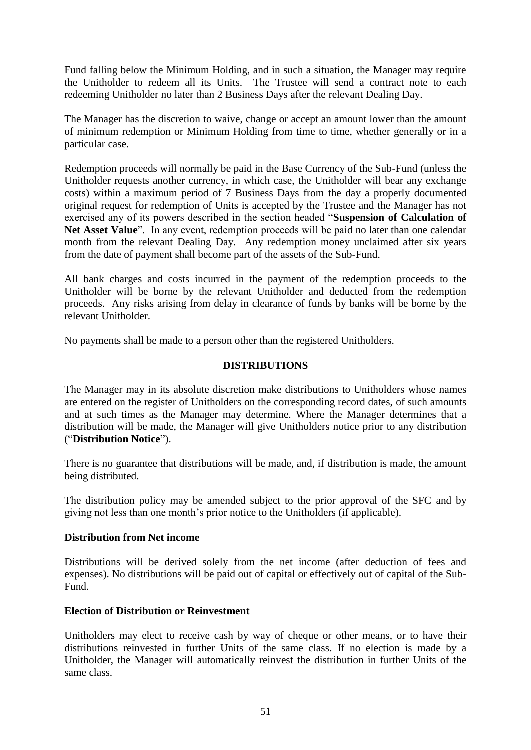Fund falling below the Minimum Holding, and in such a situation, the Manager may require the Unitholder to redeem all its Units. The Trustee will send a contract note to each redeeming Unitholder no later than 2 Business Days after the relevant Dealing Day.

The Manager has the discretion to waive, change or accept an amount lower than the amount of minimum redemption or Minimum Holding from time to time, whether generally or in a particular case.

Redemption proceeds will normally be paid in the Base Currency of the Sub-Fund (unless the Unitholder requests another currency, in which case, the Unitholder will bear any exchange costs) within a maximum period of 7 Business Days from the day a properly documented original request for redemption of Units is accepted by the Trustee and the Manager has not exercised any of its powers described in the section headed "**Suspension of Calculation of**  Net Asset Value". In any event, redemption proceeds will be paid no later than one calendar month from the relevant Dealing Day. Any redemption money unclaimed after six years from the date of payment shall become part of the assets of the Sub-Fund.

All bank charges and costs incurred in the payment of the redemption proceeds to the Unitholder will be borne by the relevant Unitholder and deducted from the redemption proceeds. Any risks arising from delay in clearance of funds by banks will be borne by the relevant Unitholder.

No payments shall be made to a person other than the registered Unitholders.

#### **DISTRIBUTIONS**

The Manager may in its absolute discretion make distributions to Unitholders whose names are entered on the register of Unitholders on the corresponding record dates, of such amounts and at such times as the Manager may determine. Where the Manager determines that a distribution will be made, the Manager will give Unitholders notice prior to any distribution ("**Distribution Notice**").

There is no guarantee that distributions will be made, and, if distribution is made, the amount being distributed.

The distribution policy may be amended subject to the prior approval of the SFC and by giving not less than one month's prior notice to the Unitholders (if applicable).

#### **Distribution from Net income**

Distributions will be derived solely from the net income (after deduction of fees and expenses). No distributions will be paid out of capital or effectively out of capital of the Sub-Fund.

## **Election of Distribution or Reinvestment**

Unitholders may elect to receive cash by way of cheque or other means, or to have their distributions reinvested in further Units of the same class. If no election is made by a Unitholder, the Manager will automatically reinvest the distribution in further Units of the same class.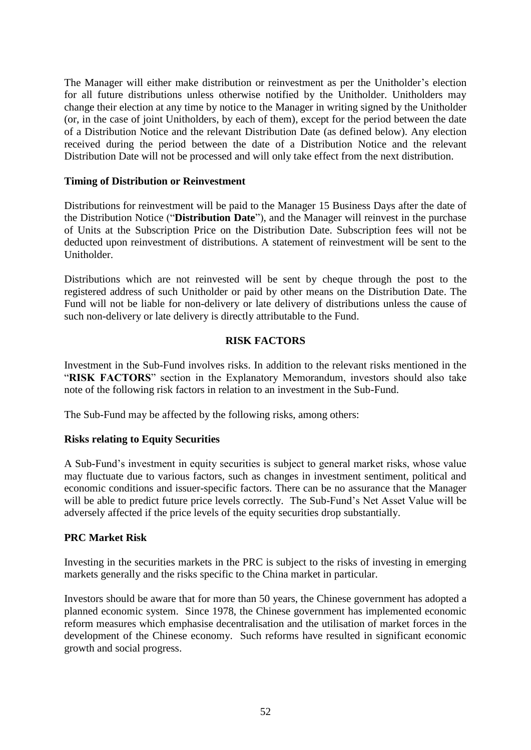The Manager will either make distribution or reinvestment as per the Unitholder's election for all future distributions unless otherwise notified by the Unitholder. Unitholders may change their election at any time by notice to the Manager in writing signed by the Unitholder (or, in the case of joint Unitholders, by each of them), except for the period between the date of a Distribution Notice and the relevant Distribution Date (as defined below). Any election received during the period between the date of a Distribution Notice and the relevant Distribution Date will not be processed and will only take effect from the next distribution.

### **Timing of Distribution or Reinvestment**

Distributions for reinvestment will be paid to the Manager 15 Business Days after the date of the Distribution Notice ("**Distribution Date**"), and the Manager will reinvest in the purchase of Units at the Subscription Price on the Distribution Date. Subscription fees will not be deducted upon reinvestment of distributions. A statement of reinvestment will be sent to the Unitholder.

Distributions which are not reinvested will be sent by cheque through the post to the registered address of such Unitholder or paid by other means on the Distribution Date. The Fund will not be liable for non-delivery or late delivery of distributions unless the cause of such non-delivery or late delivery is directly attributable to the Fund.

## **RISK FACTORS**

Investment in the Sub-Fund involves risks. In addition to the relevant risks mentioned in the "**RISK FACTORS**" section in the Explanatory Memorandum, investors should also take note of the following risk factors in relation to an investment in the Sub-Fund.

The Sub-Fund may be affected by the following risks, among others:

#### **Risks relating to Equity Securities**

A Sub-Fund's investment in equity securities is subject to general market risks, whose value may fluctuate due to various factors, such as changes in investment sentiment, political and economic conditions and issuer-specific factors. There can be no assurance that the Manager will be able to predict future price levels correctly. The Sub-Fund's Net Asset Value will be adversely affected if the price levels of the equity securities drop substantially.

#### **PRC Market Risk**

Investing in the securities markets in the PRC is subject to the risks of investing in emerging markets generally and the risks specific to the China market in particular.

Investors should be aware that for more than 50 years, the Chinese government has adopted a planned economic system. Since 1978, the Chinese government has implemented economic reform measures which emphasise decentralisation and the utilisation of market forces in the development of the Chinese economy. Such reforms have resulted in significant economic growth and social progress.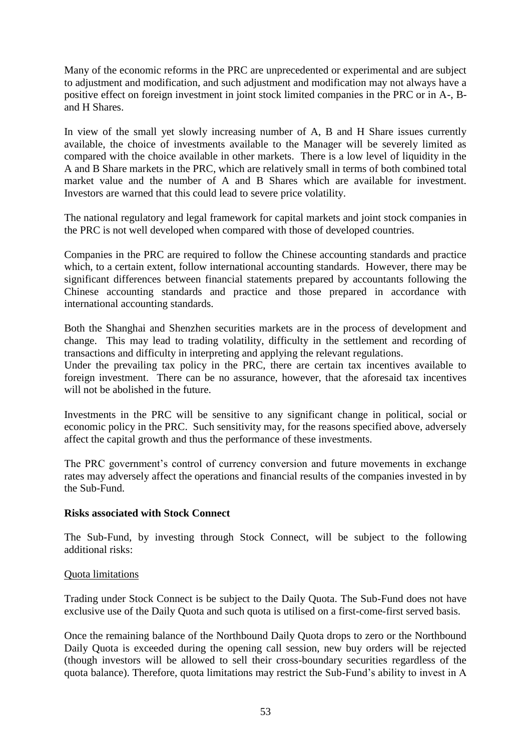Many of the economic reforms in the PRC are unprecedented or experimental and are subject to adjustment and modification, and such adjustment and modification may not always have a positive effect on foreign investment in joint stock limited companies in the PRC or in A-, Band H Shares.

In view of the small yet slowly increasing number of A, B and H Share issues currently available, the choice of investments available to the Manager will be severely limited as compared with the choice available in other markets. There is a low level of liquidity in the A and B Share markets in the PRC, which are relatively small in terms of both combined total market value and the number of A and B Shares which are available for investment. Investors are warned that this could lead to severe price volatility.

The national regulatory and legal framework for capital markets and joint stock companies in the PRC is not well developed when compared with those of developed countries.

Companies in the PRC are required to follow the Chinese accounting standards and practice which, to a certain extent, follow international accounting standards. However, there may be significant differences between financial statements prepared by accountants following the Chinese accounting standards and practice and those prepared in accordance with international accounting standards.

Both the Shanghai and Shenzhen securities markets are in the process of development and change. This may lead to trading volatility, difficulty in the settlement and recording of transactions and difficulty in interpreting and applying the relevant regulations.

Under the prevailing tax policy in the PRC, there are certain tax incentives available to foreign investment. There can be no assurance, however, that the aforesaid tax incentives will not be abolished in the future.

Investments in the PRC will be sensitive to any significant change in political, social or economic policy in the PRC. Such sensitivity may, for the reasons specified above, adversely affect the capital growth and thus the performance of these investments.

The PRC government's control of currency conversion and future movements in exchange rates may adversely affect the operations and financial results of the companies invested in by the Sub-Fund.

#### **Risks associated with Stock Connect**

The Sub-Fund, by investing through Stock Connect, will be subject to the following additional risks:

#### Quota limitations

Trading under Stock Connect is be subject to the Daily Quota. The Sub-Fund does not have exclusive use of the Daily Quota and such quota is utilised on a first-come-first served basis.

Once the remaining balance of the Northbound Daily Quota drops to zero or the Northbound Daily Quota is exceeded during the opening call session, new buy orders will be rejected (though investors will be allowed to sell their cross-boundary securities regardless of the quota balance). Therefore, quota limitations may restrict the Sub-Fund's ability to invest in A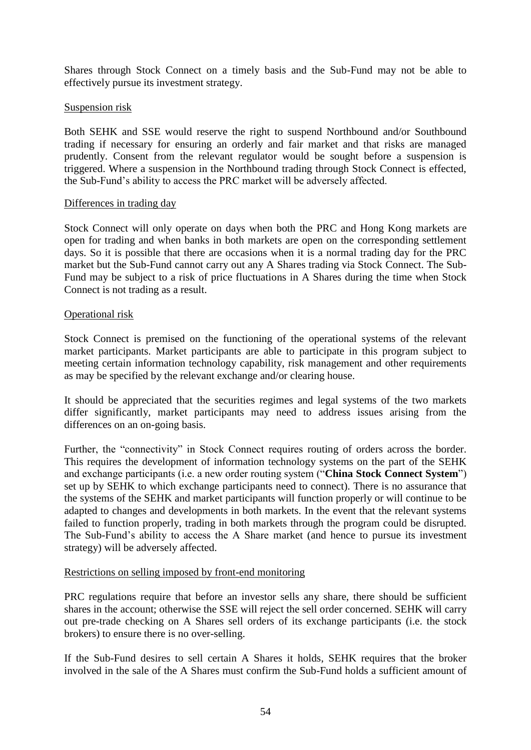Shares through Stock Connect on a timely basis and the Sub-Fund may not be able to effectively pursue its investment strategy.

### Suspension risk

Both SEHK and SSE would reserve the right to suspend Northbound and/or Southbound trading if necessary for ensuring an orderly and fair market and that risks are managed prudently. Consent from the relevant regulator would be sought before a suspension is triggered. Where a suspension in the Northbound trading through Stock Connect is effected, the Sub-Fund's ability to access the PRC market will be adversely affected.

#### Differences in trading day

Stock Connect will only operate on days when both the PRC and Hong Kong markets are open for trading and when banks in both markets are open on the corresponding settlement days. So it is possible that there are occasions when it is a normal trading day for the PRC market but the Sub-Fund cannot carry out any A Shares trading via Stock Connect. The Sub-Fund may be subject to a risk of price fluctuations in A Shares during the time when Stock Connect is not trading as a result.

#### Operational risk

Stock Connect is premised on the functioning of the operational systems of the relevant market participants. Market participants are able to participate in this program subject to meeting certain information technology capability, risk management and other requirements as may be specified by the relevant exchange and/or clearing house.

It should be appreciated that the securities regimes and legal systems of the two markets differ significantly, market participants may need to address issues arising from the differences on an on-going basis.

Further, the "connectivity" in Stock Connect requires routing of orders across the border. This requires the development of information technology systems on the part of the SEHK and exchange participants (i.e. a new order routing system ("**China Stock Connect System**") set up by SEHK to which exchange participants need to connect). There is no assurance that the systems of the SEHK and market participants will function properly or will continue to be adapted to changes and developments in both markets. In the event that the relevant systems failed to function properly, trading in both markets through the program could be disrupted. The Sub-Fund's ability to access the A Share market (and hence to pursue its investment strategy) will be adversely affected.

#### Restrictions on selling imposed by front-end monitoring

PRC regulations require that before an investor sells any share, there should be sufficient shares in the account; otherwise the SSE will reject the sell order concerned. SEHK will carry out pre-trade checking on A Shares sell orders of its exchange participants (i.e. the stock brokers) to ensure there is no over-selling.

If the Sub-Fund desires to sell certain A Shares it holds, SEHK requires that the broker involved in the sale of the A Shares must confirm the Sub-Fund holds a sufficient amount of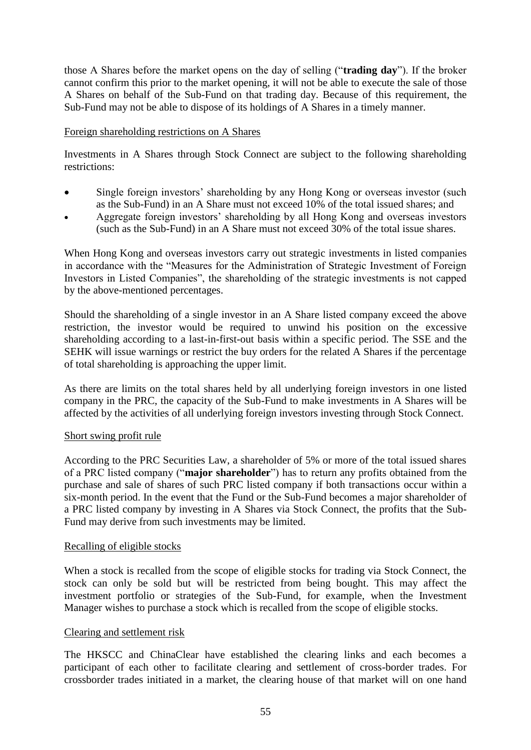those A Shares before the market opens on the day of selling ("**trading day**"). If the broker cannot confirm this prior to the market opening, it will not be able to execute the sale of those A Shares on behalf of the Sub-Fund on that trading day. Because of this requirement, the Sub-Fund may not be able to dispose of its holdings of A Shares in a timely manner.

### Foreign shareholding restrictions on A Shares

Investments in A Shares through Stock Connect are subject to the following shareholding restrictions:

- Single foreign investors' shareholding by any Hong Kong or overseas investor (such as the Sub-Fund) in an A Share must not exceed 10% of the total issued shares; and
- Aggregate foreign investors' shareholding by all Hong Kong and overseas investors (such as the Sub-Fund) in an A Share must not exceed 30% of the total issue shares.

When Hong Kong and overseas investors carry out strategic investments in listed companies in accordance with the "Measures for the Administration of Strategic Investment of Foreign Investors in Listed Companies", the shareholding of the strategic investments is not capped by the above-mentioned percentages.

Should the shareholding of a single investor in an A Share listed company exceed the above restriction, the investor would be required to unwind his position on the excessive shareholding according to a last-in-first-out basis within a specific period. The SSE and the SEHK will issue warnings or restrict the buy orders for the related A Shares if the percentage of total shareholding is approaching the upper limit.

As there are limits on the total shares held by all underlying foreign investors in one listed company in the PRC, the capacity of the Sub-Fund to make investments in A Shares will be affected by the activities of all underlying foreign investors investing through Stock Connect.

#### Short swing profit rule

According to the PRC Securities Law, a shareholder of 5% or more of the total issued shares of a PRC listed company ("**major shareholder**") has to return any profits obtained from the purchase and sale of shares of such PRC listed company if both transactions occur within a six-month period. In the event that the Fund or the Sub-Fund becomes a major shareholder of a PRC listed company by investing in A Shares via Stock Connect, the profits that the Sub-Fund may derive from such investments may be limited.

#### Recalling of eligible stocks

When a stock is recalled from the scope of eligible stocks for trading via Stock Connect, the stock can only be sold but will be restricted from being bought. This may affect the investment portfolio or strategies of the Sub-Fund, for example, when the Investment Manager wishes to purchase a stock which is recalled from the scope of eligible stocks.

#### Clearing and settlement risk

The HKSCC and ChinaClear have established the clearing links and each becomes a participant of each other to facilitate clearing and settlement of cross-border trades. For crossborder trades initiated in a market, the clearing house of that market will on one hand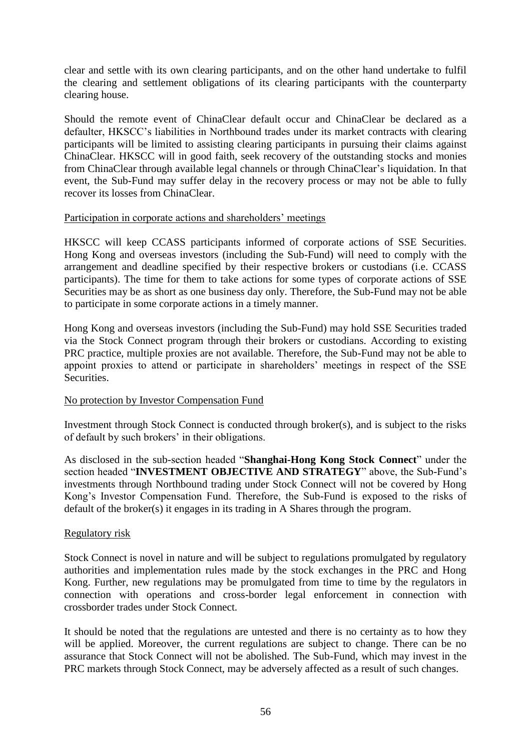clear and settle with its own clearing participants, and on the other hand undertake to fulfil the clearing and settlement obligations of its clearing participants with the counterparty clearing house.

Should the remote event of ChinaClear default occur and ChinaClear be declared as a defaulter, HKSCC's liabilities in Northbound trades under its market contracts with clearing participants will be limited to assisting clearing participants in pursuing their claims against ChinaClear. HKSCC will in good faith, seek recovery of the outstanding stocks and monies from ChinaClear through available legal channels or through ChinaClear's liquidation. In that event, the Sub-Fund may suffer delay in the recovery process or may not be able to fully recover its losses from ChinaClear.

#### Participation in corporate actions and shareholders' meetings

HKSCC will keep CCASS participants informed of corporate actions of SSE Securities. Hong Kong and overseas investors (including the Sub-Fund) will need to comply with the arrangement and deadline specified by their respective brokers or custodians (i.e. CCASS participants). The time for them to take actions for some types of corporate actions of SSE Securities may be as short as one business day only. Therefore, the Sub-Fund may not be able to participate in some corporate actions in a timely manner.

Hong Kong and overseas investors (including the Sub-Fund) may hold SSE Securities traded via the Stock Connect program through their brokers or custodians. According to existing PRC practice, multiple proxies are not available. Therefore, the Sub-Fund may not be able to appoint proxies to attend or participate in shareholders' meetings in respect of the SSE Securities.

## No protection by Investor Compensation Fund

Investment through Stock Connect is conducted through broker(s), and is subject to the risks of default by such brokers' in their obligations.

As disclosed in the sub-section headed "**Shanghai-Hong Kong Stock Connect**" under the section headed "**INVESTMENT OBJECTIVE AND STRATEGY**" above, the Sub-Fund's investments through Northbound trading under Stock Connect will not be covered by Hong Kong's Investor Compensation Fund. Therefore, the Sub-Fund is exposed to the risks of default of the broker(s) it engages in its trading in A Shares through the program.

#### Regulatory risk

Stock Connect is novel in nature and will be subject to regulations promulgated by regulatory authorities and implementation rules made by the stock exchanges in the PRC and Hong Kong. Further, new regulations may be promulgated from time to time by the regulators in connection with operations and cross-border legal enforcement in connection with crossborder trades under Stock Connect.

It should be noted that the regulations are untested and there is no certainty as to how they will be applied. Moreover, the current regulations are subject to change. There can be no assurance that Stock Connect will not be abolished. The Sub-Fund, which may invest in the PRC markets through Stock Connect, may be adversely affected as a result of such changes.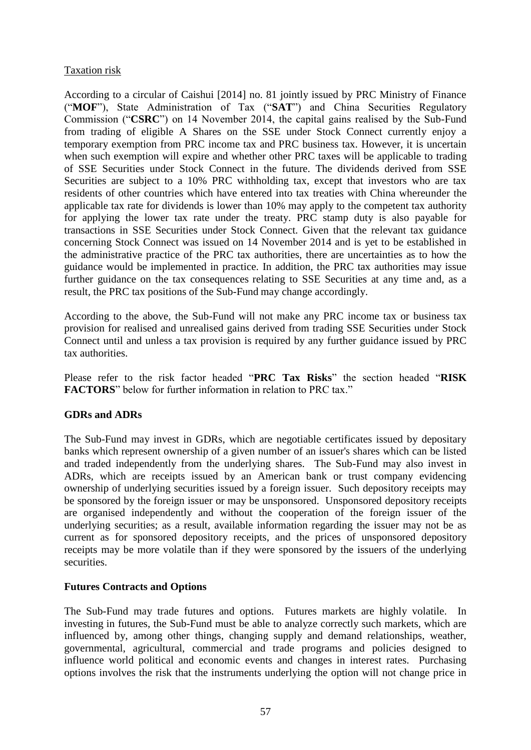### Taxation risk

According to a circular of Caishui [2014] no. 81 jointly issued by PRC Ministry of Finance ("**MOF**"), State Administration of Tax ("**SAT**") and China Securities Regulatory Commission ("**CSRC**") on 14 November 2014, the capital gains realised by the Sub-Fund from trading of eligible A Shares on the SSE under Stock Connect currently enjoy a temporary exemption from PRC income tax and PRC business tax. However, it is uncertain when such exemption will expire and whether other PRC taxes will be applicable to trading of SSE Securities under Stock Connect in the future. The dividends derived from SSE Securities are subject to a 10% PRC withholding tax, except that investors who are tax residents of other countries which have entered into tax treaties with China whereunder the applicable tax rate for dividends is lower than 10% may apply to the competent tax authority for applying the lower tax rate under the treaty. PRC stamp duty is also payable for transactions in SSE Securities under Stock Connect. Given that the relevant tax guidance concerning Stock Connect was issued on 14 November 2014 and is yet to be established in the administrative practice of the PRC tax authorities, there are uncertainties as to how the guidance would be implemented in practice. In addition, the PRC tax authorities may issue further guidance on the tax consequences relating to SSE Securities at any time and, as a result, the PRC tax positions of the Sub-Fund may change accordingly.

According to the above, the Sub-Fund will not make any PRC income tax or business tax provision for realised and unrealised gains derived from trading SSE Securities under Stock Connect until and unless a tax provision is required by any further guidance issued by PRC tax authorities.

Please refer to the risk factor headed "**PRC Tax Risks**" the section headed "**RISK FACTORS**" below for further information in relation to PRC tax."

## **GDRs and ADRs**

The Sub-Fund may invest in GDRs, which are negotiable certificates issued by depositary banks which represent ownership of a given number of an issuer's shares which can be listed and traded independently from the underlying shares. The Sub-Fund may also invest in ADRs, which are receipts issued by an American bank or trust company evidencing ownership of underlying securities issued by a foreign issuer. Such depository receipts may be sponsored by the foreign issuer or may be unsponsored. Unsponsored depository receipts are organised independently and without the cooperation of the foreign issuer of the underlying securities; as a result, available information regarding the issuer may not be as current as for sponsored depository receipts, and the prices of unsponsored depository receipts may be more volatile than if they were sponsored by the issuers of the underlying securities.

## **Futures Contracts and Options**

The Sub-Fund may trade futures and options. Futures markets are highly volatile. In investing in futures, the Sub-Fund must be able to analyze correctly such markets, which are influenced by, among other things, changing supply and demand relationships, weather, governmental, agricultural, commercial and trade programs and policies designed to influence world political and economic events and changes in interest rates. Purchasing options involves the risk that the instruments underlying the option will not change price in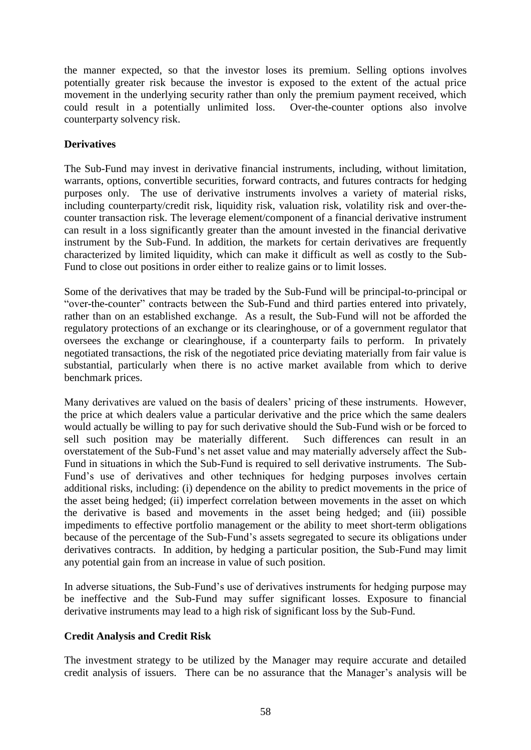the manner expected, so that the investor loses its premium. Selling options involves potentially greater risk because the investor is exposed to the extent of the actual price movement in the underlying security rather than only the premium payment received, which could result in a potentially unlimited loss. Over-the-counter options also involve counterparty solvency risk.

# **Derivatives**

The Sub-Fund may invest in derivative financial instruments, including, without limitation, warrants, options, convertible securities, forward contracts, and futures contracts for hedging purposes only. The use of derivative instruments involves a variety of material risks, including counterparty/credit risk, liquidity risk, valuation risk, volatility risk and over-thecounter transaction risk. The leverage element/component of a financial derivative instrument can result in a loss significantly greater than the amount invested in the financial derivative instrument by the Sub-Fund. In addition, the markets for certain derivatives are frequently characterized by limited liquidity, which can make it difficult as well as costly to the Sub-Fund to close out positions in order either to realize gains or to limit losses.

Some of the derivatives that may be traded by the Sub-Fund will be principal-to-principal or "over-the-counter" contracts between the Sub-Fund and third parties entered into privately, rather than on an established exchange. As a result, the Sub-Fund will not be afforded the regulatory protections of an exchange or its clearinghouse, or of a government regulator that oversees the exchange or clearinghouse, if a counterparty fails to perform. In privately negotiated transactions, the risk of the negotiated price deviating materially from fair value is substantial, particularly when there is no active market available from which to derive benchmark prices.

Many derivatives are valued on the basis of dealers' pricing of these instruments. However, the price at which dealers value a particular derivative and the price which the same dealers would actually be willing to pay for such derivative should the Sub-Fund wish or be forced to sell such position may be materially different. Such differences can result in an overstatement of the Sub-Fund's net asset value and may materially adversely affect the Sub-Fund in situations in which the Sub-Fund is required to sell derivative instruments. The Sub-Fund's use of derivatives and other techniques for hedging purposes involves certain additional risks, including: (i) dependence on the ability to predict movements in the price of the asset being hedged; (ii) imperfect correlation between movements in the asset on which the derivative is based and movements in the asset being hedged; and (iii) possible impediments to effective portfolio management or the ability to meet short-term obligations because of the percentage of the Sub-Fund's assets segregated to secure its obligations under derivatives contracts. In addition, by hedging a particular position, the Sub-Fund may limit any potential gain from an increase in value of such position.

In adverse situations, the Sub-Fund's use of derivatives instruments for hedging purpose may be ineffective and the Sub-Fund may suffer significant losses. Exposure to financial derivative instruments may lead to a high risk of significant loss by the Sub-Fund.

## **Credit Analysis and Credit Risk**

The investment strategy to be utilized by the Manager may require accurate and detailed credit analysis of issuers. There can be no assurance that the Manager's analysis will be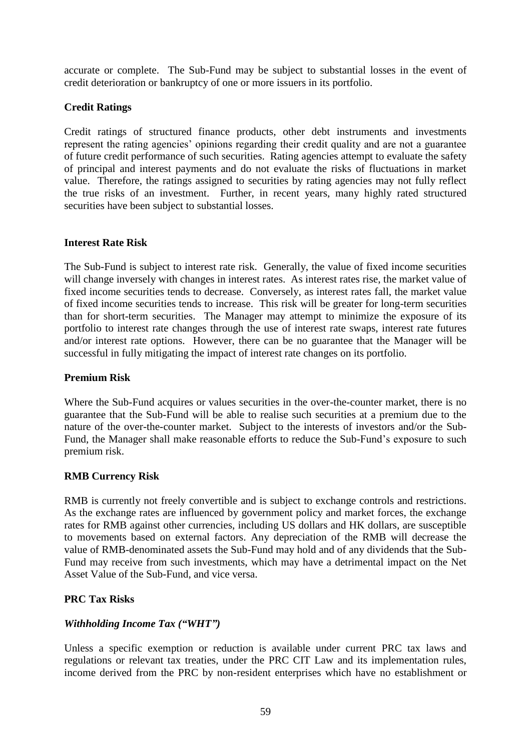accurate or complete. The Sub-Fund may be subject to substantial losses in the event of credit deterioration or bankruptcy of one or more issuers in its portfolio.

## **Credit Ratings**

Credit ratings of structured finance products, other debt instruments and investments represent the rating agencies' opinions regarding their credit quality and are not a guarantee of future credit performance of such securities. Rating agencies attempt to evaluate the safety of principal and interest payments and do not evaluate the risks of fluctuations in market value. Therefore, the ratings assigned to securities by rating agencies may not fully reflect the true risks of an investment. Further, in recent years, many highly rated structured securities have been subject to substantial losses.

### **Interest Rate Risk**

The Sub-Fund is subject to interest rate risk. Generally, the value of fixed income securities will change inversely with changes in interest rates. As interest rates rise, the market value of fixed income securities tends to decrease. Conversely, as interest rates fall, the market value of fixed income securities tends to increase. This risk will be greater for long-term securities than for short-term securities. The Manager may attempt to minimize the exposure of its portfolio to interest rate changes through the use of interest rate swaps, interest rate futures and/or interest rate options. However, there can be no guarantee that the Manager will be successful in fully mitigating the impact of interest rate changes on its portfolio.

### **Premium Risk**

Where the Sub-Fund acquires or values securities in the over-the-counter market, there is no guarantee that the Sub-Fund will be able to realise such securities at a premium due to the nature of the over-the-counter market. Subject to the interests of investors and/or the Sub-Fund, the Manager shall make reasonable efforts to reduce the Sub-Fund's exposure to such premium risk.

#### **RMB Currency Risk**

RMB is currently not freely convertible and is subject to exchange controls and restrictions. As the exchange rates are influenced by government policy and market forces, the exchange rates for RMB against other currencies, including US dollars and HK dollars, are susceptible to movements based on external factors. Any depreciation of the RMB will decrease the value of RMB-denominated assets the Sub-Fund may hold and of any dividends that the Sub-Fund may receive from such investments, which may have a detrimental impact on the Net Asset Value of the Sub-Fund, and vice versa.

## **PRC Tax Risks**

#### *Withholding Income Tax ("WHT")*

Unless a specific exemption or reduction is available under current PRC tax laws and regulations or relevant tax treaties, under the PRC CIT Law and its implementation rules, income derived from the PRC by non-resident enterprises which have no establishment or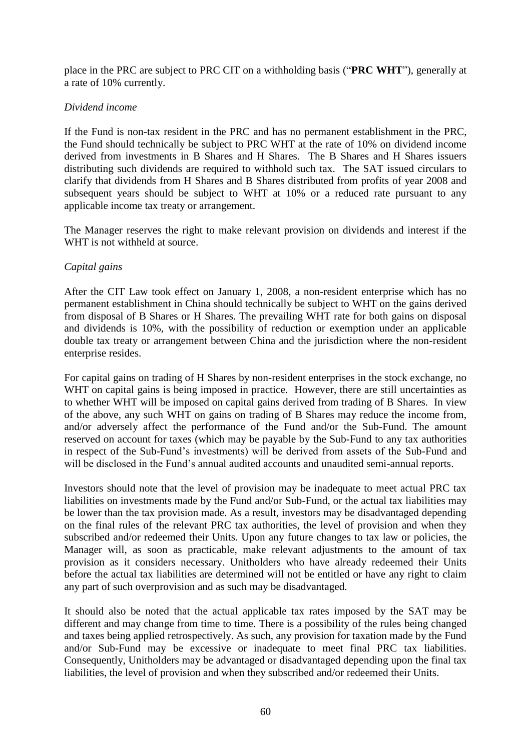place in the PRC are subject to PRC CIT on a withholding basis ("**PRC WHT**"), generally at a rate of 10% currently.

## *Dividend income*

If the Fund is non-tax resident in the PRC and has no permanent establishment in the PRC, the Fund should technically be subject to PRC WHT at the rate of 10% on dividend income derived from investments in B Shares and H Shares. The B Shares and H Shares issuers distributing such dividends are required to withhold such tax. The SAT issued circulars to clarify that dividends from H Shares and B Shares distributed from profits of year 2008 and subsequent years should be subject to WHT at 10% or a reduced rate pursuant to any applicable income tax treaty or arrangement.

The Manager reserves the right to make relevant provision on dividends and interest if the WHT is not withheld at source.

### *Capital gains*

After the CIT Law took effect on January 1, 2008, a non-resident enterprise which has no permanent establishment in China should technically be subject to WHT on the gains derived from disposal of B Shares or H Shares. The prevailing WHT rate for both gains on disposal and dividends is 10%, with the possibility of reduction or exemption under an applicable double tax treaty or arrangement between China and the jurisdiction where the non-resident enterprise resides.

For capital gains on trading of H Shares by non-resident enterprises in the stock exchange, no WHT on capital gains is being imposed in practice. However, there are still uncertainties as to whether WHT will be imposed on capital gains derived from trading of B Shares. In view of the above, any such WHT on gains on trading of B Shares may reduce the income from, and/or adversely affect the performance of the Fund and/or the Sub-Fund. The amount reserved on account for taxes (which may be payable by the Sub-Fund to any tax authorities in respect of the Sub-Fund's investments) will be derived from assets of the Sub-Fund and will be disclosed in the Fund's annual audited accounts and unaudited semi-annual reports.

Investors should note that the level of provision may be inadequate to meet actual PRC tax liabilities on investments made by the Fund and/or Sub-Fund, or the actual tax liabilities may be lower than the tax provision made. As a result, investors may be disadvantaged depending on the final rules of the relevant PRC tax authorities, the level of provision and when they subscribed and/or redeemed their Units. Upon any future changes to tax law or policies, the Manager will, as soon as practicable, make relevant adjustments to the amount of tax provision as it considers necessary. Unitholders who have already redeemed their Units before the actual tax liabilities are determined will not be entitled or have any right to claim any part of such overprovision and as such may be disadvantaged.

It should also be noted that the actual applicable tax rates imposed by the SAT may be different and may change from time to time. There is a possibility of the rules being changed and taxes being applied retrospectively. As such, any provision for taxation made by the Fund and/or Sub-Fund may be excessive or inadequate to meet final PRC tax liabilities. Consequently, Unitholders may be advantaged or disadvantaged depending upon the final tax liabilities, the level of provision and when they subscribed and/or redeemed their Units.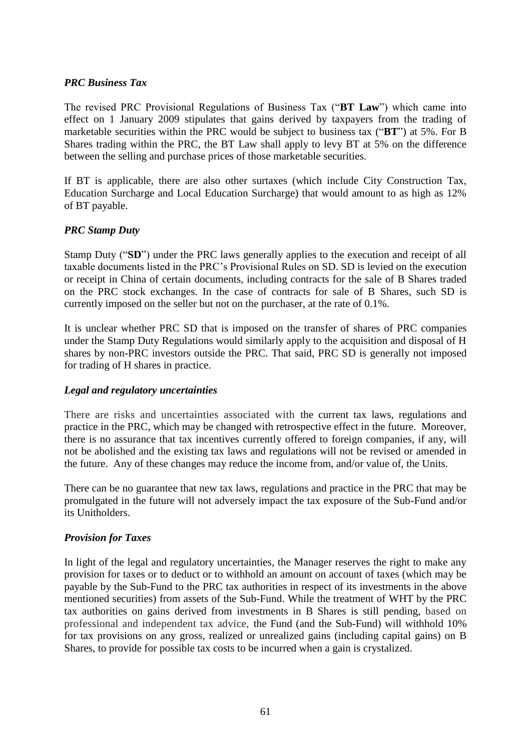### *PRC Business Tax*

The revised PRC Provisional Regulations of Business Tax ("**BT Law**") which came into effect on 1 January 2009 stipulates that gains derived by taxpayers from the trading of marketable securities within the PRC would be subject to business tax ("**BT**") at 5%. For B Shares trading within the PRC, the BT Law shall apply to levy BT at 5% on the difference between the selling and purchase prices of those marketable securities.

If BT is applicable, there are also other surtaxes (which include City Construction Tax, Education Surcharge and Local Education Surcharge) that would amount to as high as 12% of BT payable.

### *PRC Stamp Duty*

Stamp Duty ("**SD**") under the PRC laws generally applies to the execution and receipt of all taxable documents listed in the PRC's Provisional Rules on SD. SD is levied on the execution or receipt in China of certain documents, including contracts for the sale of B Shares traded on the PRC stock exchanges. In the case of contracts for sale of B Shares, such SD is currently imposed on the seller but not on the purchaser, at the rate of 0.1%.

It is unclear whether PRC SD that is imposed on the transfer of shares of PRC companies under the Stamp Duty Regulations would similarly apply to the acquisition and disposal of H shares by non-PRC investors outside the PRC. That said, PRC SD is generally not imposed for trading of H shares in practice.

#### *Legal and regulatory uncertainties*

There are risks and uncertainties associated with the current tax laws, regulations and practice in the PRC, which may be changed with retrospective effect in the future. Moreover, there is no assurance that tax incentives currently offered to foreign companies, if any, will not be abolished and the existing tax laws and regulations will not be revised or amended in the future. Any of these changes may reduce the income from, and/or value of, the Units.

There can be no guarantee that new tax laws, regulations and practice in the PRC that may be promulgated in the future will not adversely impact the tax exposure of the Sub-Fund and/or its Unitholders.

#### *Provision for Taxes*

In light of the legal and regulatory uncertainties, the Manager reserves the right to make any provision for taxes or to deduct or to withhold an amount on account of taxes (which may be payable by the Sub-Fund to the PRC tax authorities in respect of its investments in the above mentioned securities) from assets of the Sub-Fund. While the treatment of WHT by the PRC tax authorities on gains derived from investments in B Shares is still pending, based on professional and independent tax advice, the Fund (and the Sub-Fund) will withhold 10% for tax provisions on any gross, realized or unrealized gains (including capital gains) on B Shares, to provide for possible tax costs to be incurred when a gain is crystalized.